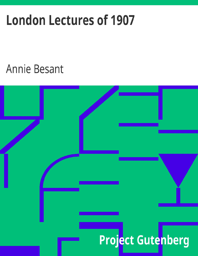# **London Lectures of 1907**

# **Annie Besant**

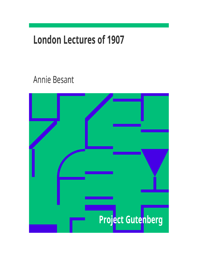# **London Lectures of 1907**

# Annie Besant

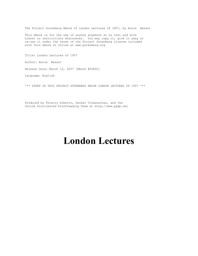The Project Gutenberg EBook of London Lectures of 1907, by Annie Besant

This eBook is for the use of anyone anywhere at no cost and with almost no restrictions whatsoever. You may copy it, give it away or re-use it under the terms of the Project Gutenberg License included with this eBook or online at www.gutenberg.org

Title: London Lectures of 1907 Author: Annie Besant Release Date: March 12, 2007 [EBook #20800]

Language: English

\*\*\* START OF THIS PROJECT GUTENBERG EBOOK LONDON LECTURES OF 1907 \*\*\*

Produced by Thierry Alberto, Sankar Viswanathan, and the Online Distributed Proofreading Team at http://www.pgdp.net

# **London Lectures**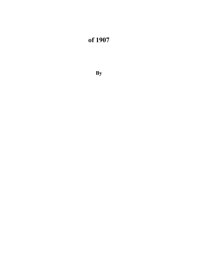# **of 1907**

**By**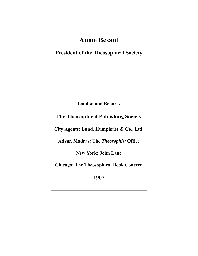### **Annie Besant**

**President of the Theosophical Society**

**London and Benares**

#### **The Theosophical Publishing Society**

**City Agents: Lund, Humphries & Co., Ltd.**

**Adyar, Madras: The** *Theosophist* **Office**

**New York: John Lane**

**Chicago: The Theosophical Book Concern**

**1907**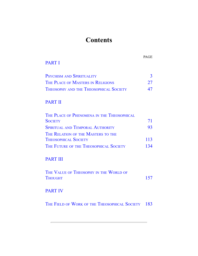## **Contents**

PAGE

#### [PART I](#page-6-0)

| <b>PSYCHISM AND SPIRITUALITY</b>              |    |
|-----------------------------------------------|----|
| THE PLACE OF MASTERS IN RELIGIONS             | 27 |
| <b>THEOSOPHY AND THE THEOSOPHICAL SOCIETY</b> | 47 |

#### [PART II](#page-49-0)

| THE PLACE OF PHENOMENA IN THE THEOSOPHICAL |            |
|--------------------------------------------|------------|
| <b>SOCIETY</b>                             | 71         |
| <b>SPIRITUAL AND TEMPORAL AUTHORITY</b>    | 93         |
| THE RELATION OF THE MASTERS TO THE         |            |
| <b>THEOSOPHICAL SOCIETY</b>                | 113        |
| THE FUTURE OF THE THEOSOPHICAL SOCIETY     | $13\Delta$ |

#### [PART III](#page-105-0)

| THE VALUE OF THEOSOPHY IN THE WORLD OF |     |
|----------------------------------------|-----|
| <b>THOUGHT</b>                         | 157 |

#### [PART IV](#page-121-0)

THE FIELD OF WORK OF THE T[HEOSOPHICAL](#page-122-0) SOCIETY [183](#page-121-1)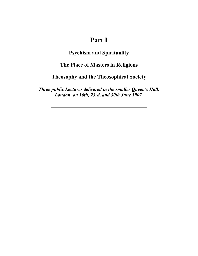## **Part I**

#### **Psychism and Spirituality**

#### <span id="page-6-0"></span>**The Place of Masters in Religions**

#### **Theosophy and the Theosophical Society**

<span id="page-6-1"></span>*Three public Lectures delivered in the smaller Queen's Hall, London, on 16th, 23rd, and 30th June 1907.*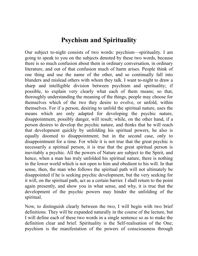## **Psychism and Spirituality**

<span id="page-7-0"></span>Our subject to-night consists of two words: psychism—spirituality. I am going to speak to you on the subjects denoted by these two words, because there is so much confusion about them in ordinary conversation, in ordinary literature, and out of that confusion much of harm arises. People think of one thing and use the name of the other, and so continually fall into blunders and mislead others with whom they talk. I want to-night to draw a sharp and intelligible division between psychism and spirituality; if possible, to explain very clearly what each of them means; so that, thoroughly understanding the meaning of the things, people may choose for themselves which of the two they desire to evolve, or unfold, within themselves. For if a person, desiring to unfold the spiritual nature, uses the means which are only adapted for developing the psychic nature, disappointment, possibly danger, will result; while, on the other hand, if a person desires to develop the psychic nature, and thinks that he will reach that development quickly by unfolding his spiritual powers, he also is equally doomed to disappointment; but in the second case, only to disappointment for a time. For while it is not true that the great psychic is necessarily a spiritual person, it is true that the great spiritual person is inevitably a psychic. All the powers of Nature are subject to the Spirit, and hence, when a man has truly unfolded his spiritual nature, there is nothing in the lower world which is not open to him and obedient to his will. In that sense, then, the man who follows the spiritual path will not ultimately be disappointed if he is seeking psychic development, but the very seeking for it will, on the spiritual path, act as a certain barrier. I shall return to the point again presently, and show you in what sense, and why, it is true that the development of the psychic powers may hinder the unfolding of the spiritual.

Now, to distinguish clearly between the two, I will begin with two brief definitions. They will be expanded naturally in the course of the lecture, but I will define each of these two words in a single sentence so as to make the definition clear and brief. Spirituality is the Self-realisation of the One; psychism is the manifestation of the powers of consciousness through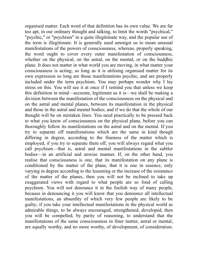organised matter. Each word of that definition has its own value. We are far too apt, in our ordinary thought and talking, to limit the words "psychical," "psychic," or "psychism" in a quite illegitimate way, and the popular use of the term is illegitimate. It is generally used amongst us to mean unusual manifestations of the powers of consciousness, whereas, properly speaking, the word ought to cover every outer manifestation of consciousness, whether on the physical, on the astral, on the mental, or on the buddhic plane. It does not matter in what world you are moving, in what matter your consciousness is acting; so long as it is utilising organised matter for its own expression so long are those manifestations psychic, and are properly included under the term psychism. You may perhaps wonder why I lay stress on this. You will see it at once if I remind you that unless we keep this definition in mind—accurate, legitimate as it is—we shall be making a division between the manifestation of the consciousness on the physical and on the astral and mental planes, between its manifestation in the physical and those in the astral and mental bodies; and if we do that the whole of our thought will be on mistaken lines. You need practically to be pressed back to what you know of consciousness on the physical plane, before you can thoroughly follow its manifestations on the astral and on the mental. If you try to separate off manifestations which are the same in kind though differing in degree, according to the fineness of the matter which is employed, if you try to separate them off, you will always regard what you call psychism—that is, astral and mental manifestations in the subtler bodies—in an artificial and unwise manner. If, on the other hand, you realise that consciousness is one, that its manifestation on any plane is conditioned by the matter of the plane, that it is one in essence, only varying in degree according to the lessening or the increase of the resistance of the matter of the planes, then you will not be inclined to take up exaggerated views with regard to what people are so fond of calling psychism. You will not denounce it in the foolish way of many people, because in denouncing it you will know that you denounce all intellectual manifestations, an absurdity of which very few people are likely to be guilty; if you take your intellectual manifestations in the physical world as admirable things, to be always encouraged, strengthened, developed, then you will be compelled, by parity of reasoning, to understand that the manifestations of the same consciousness in finer matter, astral or mental, are equally worthy, and no more worthy, of development, of consideration.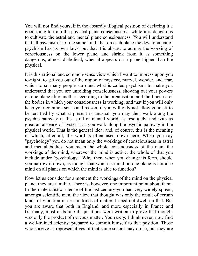You will not find yourself in the absurdly illogical position of declaring it a good thing to train the physical plane consciousness, while it is dangerous to cultivate the astral and mental plane consciousness. You will understand that all psychism is of the same kind, that on each plane the development of psychism has its own laws; but that it is absurd to admire the working of consciousness on the lower plane, and shrink from it as something dangerous, almost diabolical, when it appears on a plane higher than the physical.

It is this rational and common-sense view which I want to impress upon you to-night, to get you out of the region of mystery, marvel, wonder, and fear, which to so many people surround what is called psychism; to make you understand that you are unfolding consciousness, showing out your powers on one plane after another according to the organisation and the fineness of the bodies in which your consciousness is working; and that if you will only keep your common sense and reason, if you will only not allow yourself to be terrified by what at present is unusual, you may then walk along the psychic pathway in the astral or mental world, as resolutely, and with as great an absence of hysteria, as you walk along the psychic pathway in the physical world. That is the general idea; and, of course, this is the meaning in which, after all, the word is often used down here. When you say "psychology" you do not mean only the workings of consciousness in astral and mental bodies; you mean the whole consciousness of the man, the workings of the mind, wherever the mind is active; the whole of that you include under "psychology." Why, then, when you change its form, should you narrow it down, as though that which is mind on one plane is not also mind on all planes on which the mind is able to function?

Now let us consider for a moment the workings of the mind on the physical plane: they are familiar. There is, however, one important point about them. In the materialistic science of the last century you had very widely spread, amongst scientific men, the view that thought was only the result of certain kinds of vibration in certain kinds of matter. I need not dwell on that. But you are aware that both in England, and more especially in France and Germany, most elaborate disquisitions were written to prove that thought was only the product of nervous matter. You rarely, I think never, now find a well-trained scientist prepared to commit himself to that position. Those who survive as representatives of that same school may do so, but they are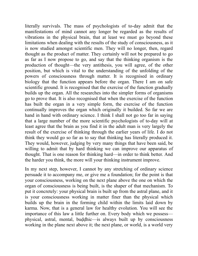literally survivals. The mass of psychologists of to-day admit that the manifestations of mind cannot any longer be regarded as the results of vibrations in the physical brain, that at least we must go beyond these limitations when dealing with the results of the study of consciousness, as it is now studied amongst scientific men. They will no longer, then, regard thought as the product of matter. They certainly will not be prepared to go as far as I now propose to go, and say that the thinking organism is the production of thought—the very antithesis, you will agree, of the other position, but which is vital to the understanding of the unfolding of the powers of consciousness through matter. It is recognised in ordinary biology that the function appears before the organ. There I am on safe scientific ground. It is recognised that the exercise of the function gradually builds up the organ. All the researches into the simpler forms of organisms go to prove that. It is also recognised that when the exercise of the function has built the organ in a very simple form, the exercise of the function continually improves the organ which originally it builded. So far we are hand in hand with ordinary science. I think I shall not go too far in saying that a large number of the more scientific psychologists of to-day will at least agree that the brain as you find it in the adult man is very largely the result of the exercise of thinking through the earlier years of life. I do not think they would go so far as to say that thinking has literally produced it. They would, however, judging by very many things that have been said, be willing to admit that by hard thinking we can improve our apparatus of thought. That is one reason for thinking hard—in order to think better. And the harder you think, the more will your thinking instrument improve.

In my next step, however, I cannot by any stretching of ordinary science persuade it to accompany me, or give me a foundation; for the point is that your consciousness, working on the next plane above the one on which the organ of consciousness is being built, is the shaper of that mechanism. To put it concretely: your physical brain is built up from the astral plane, and it is your consciousness working in matter finer than the physical which builds up the brain in the forming child within the limits laid down by karma. Now, that is a general law for healthy evolution. You will see the importance of this law a little further on. Every body which we possess physical, astral, mental, buddhic—is always built up by consciousness working in the plane next above it; the next plane, or world, is a world very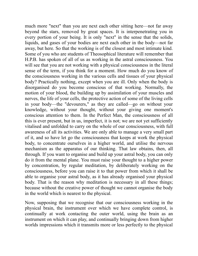much more "next" than you are next each other sitting here—not far away beyond the stars, removed by great spaces. It is interpenetrating you in every portion of your being. It is only "next" in the sense that the solids, liquids, and gases of your bodies are next each other in the body—not far away, but here. So that the working is of the closest and most intimate kind. Some of you who are students of Theosophical literature will remember that H.P.B. has spoken of all of us as working in the astral consciousness. You will see that you are not working with a physical consciousness in the literal sense of the term, if you think for a moment. How much do you know of the consciousness working in the various cells and tissues of your physical body? Practically nothing, except when you are ill. Only when the body is disorganised do you become conscious of that working. Normally, the motion of your blood, the building up by assimilation of your muscles and nerves, the life of your cells, the protective action of some of the living cells in your body—the "devourers," as they are called—go on without your knowledge, without your thought, without your giving one moment's conscious attention to them. In the Perfect Man, the consciousness of all this is ever present, but in us, imperfect, it is not; we are not yet sufficiently vitalised and unfolded to carry on the whole of our consciousness, with full awareness of all its activities. We are only able to manage a very small part of it, and so have let go the consciousness that keeps at work the physical body, to concentrate ourselves in a higher world, and utilise the nervous mechanism as the apparatus of our thinking. That law obtains, then, all through. If you want to organise and build up your astral body, you can only do it from the mental plane. You must raise your thought to a higher power by concentration, by regular meditation, by deliberately working on the consciousness, before you can raise it to that power from which it shall be able to organise your astral body, as it has already organised your physical body. That is the reason why meditation is necessary in all these things; because without the creative power of thought we cannot organise the body in the world which is nearest to the physical.

Now, supposing that we recognise that our consciousness working in the physical brain, the instrument over which we have complete control, is continually at work contacting the outer world, using the brain as an instrument on which it can play, and continually bringing down from higher worlds impressions which it transmits more or less perfectly to the physical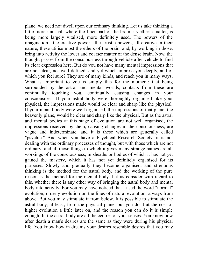plane, we need not dwell upon our ordinary thinking. Let us take thinking a little more unusual, where the finer part of the brain, its etheric matter, is being more largely vitalised, more definitely used. The powers of the imagination—the creative power—the artistic powers, all creative in their nature, these utilise most the ethers of the brain, and, by working in those, bring into activity the lower and coarser matter of the dense brain. Now, the thought passes from the consciousness through vehicle after vehicle to find its clear expression here. But do you not have many mental impressions that are not clear, not well defined, and yet which impress you deeply, and of which you feel sure? They are of many kinds, and reach you in many ways. What is important to you is simply this for the moment: that being surrounded by the astral and mental worlds, contacts from these are continually touching you, continually causing changes in your consciousness. If your astral body were thoroughly organised like your physical, the impressions made would be clear and sharp like the physical. If your mental body were well organised, the impressions of that plane, the heavenly plane, would be clear and sharp like the physical. But as the astral and mental bodies at this stage of evolution are not well organised, the impressions received by them, causing changes in the consciousness, are vague and indeterminate, and it is these which are generally called "psychic." And when you have a Psychical Research Society, it is not dealing with the ordinary processes of thought, but with those which are not ordinary; and all those things to which it gives many strange names are all workings of the consciousness, in sheaths or bodies of which it has not yet gained the mastery, which it has not yet definitely organised for its purposes. Slowly and gradually they become organised, and strenuous thinking is the method for the astral body, and the working of the pure reason is the method for the mental body. Let us consider with regard to this, whether there is any other way of bringing the astral body and mental body into activity. For you may have noticed that I used the word "normal" evolution, orderly evolution on the lines of natural evolution, always from above. But you may stimulate it from below. It is possible to stimulate the astral body, at least, from the physical plane, but you do it at the cost of higher evolution a little later on, and the reason you can do it is simple enough. In the astral body are all the centres of your senses. You know how after death a man's desires are the same as they were during his physical life. You know how in dreams your desires resemble desires that you may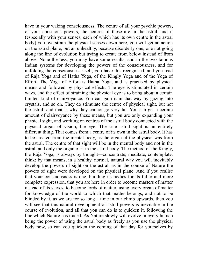have in your waking consciousness. The centre of all your psychic powers, of your conscious powers, the centres of these are in the astral, and if (especially with your senses, each of which has its own centre in the astral body) you overstrain the physical senses down here, you will get an action on the astral plane, but an unhealthy, because disorderly one, one not going along the line of evolution but trying to create from below instead of from above. None the less, you may have some results, and in the two famous Indian systems for developing the powers of the consciousness, and for unfolding the consciousness itself, you have this recognised, and you read of Râja Yoga and of Hatha Yoga, of the Kingly Yoga and of the Yoga of Effort. The Yoga of Effort is Hatha Yoga, and is practised by physical means and followed by physical effects. The eye is stimulated in certain ways, and the effect of straining the physical eye is to bring about a certain limited kind of clairvoyance. You can gain it in that way by gazing into crystals, and so on. They do stimulate the centre of physical sight, but not the astral; and that is why they cannot go very far. You can get a certain amount of clairvoyance by these means, but you are only expanding your physical sight, and working on centres of the astral body connected with the physical organ of vision, the eye. The true astral sight is an entirely different thing. That comes from a centre of its own in the astral body. It has to be created from the mental body, as the organ of the physical was from the astral. The centre of that sight will be in the mental body and not in the astral, and only the organ of it in the astral body. The method of the Kingly, the Râja Yoga, is always by thought—concentrate, meditate, contemplate, think: by that means, in a healthy, normal, natural way you will inevitably develop the powers of sight on the astral, as in the course of Nature the powers of sight were developed on the physical plane. And if you realise that your consciousness is one, building its bodies for its fuller and more complete expression, that you are here in order to become masters of matter instead of its slaves, to become lords of matter, using every organ of matter for knowledge of the world to which that matter belongs, and not to be blinded by it, as we are for so long a time in our climb upwards, then you will see that this natural development of astral powers is inevitable in the course of evolution, and all that you can do is to quicken it, following the line which Nature has traced. As Nature slowly will evolve in every human being the power of using the astral body as freely as you use the physical body now, so can you quicken the coming of that day for yourselves by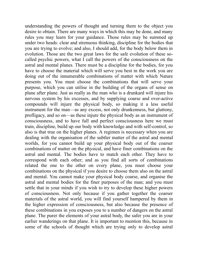understanding the powers of thought and turning them to the object you desire to obtain. There are many ways in which this may be done, and many rules you may learn for your guidance. Those rules may be summed up under two heads: clear and strenuous thinking, discipline for the bodies that you are trying to evolve; and also, I should add, for the body below them in evolution. Those are the two great laws for the safe evolution of these socalled psychic powers, what I call the powers of the consciousness on the astral and mental planes. There must be a discipline for the bodies, for you have to choose the material which will serve you best in the work you are doing out of the innumerable combinations of matter with which Nature presents you. You must choose the combinations that will serve your purpose, which you can utilise in the building of the organs of sense on plane after plane. Just as really as the man who is a drunkard will injure his nervous system by his excesses, and by supplying coarse and over-active compounds will injure the physical body, so making it a less useful instrument for the man—as any excess, not only drunkenness, but gluttony, profligacy, and so on—as these injure the physical body as an instrument of consciousness, and to have full and perfect consciousness here we must train, discipline, build up our body with knowledge and with self-control, so also is that true on the higher planes. A regimen is necessary when you are dealing with the organisation of the subtler matter of the astral and mental worlds, for you cannot build up your physical body out of the coarser combinations of matter on the physical, and have finer combinations on the astral and mental. The bodies have to match each other. They have to correspond with each other; and as you find all sorts of combinations related the one to the other on every plane, you must choose your combinations on the physical if you desire to choose them also on the astral and mental. You cannot make your physical body coarse, and organise the astral and mental bodies for the finer purposes of the man; and you must settle that in your minds if you wish to try to develop these higher powers of consciousness. Not only because if you gather together the coarser materials of the astral world, you will find yourself hampered by them in the higher expression of consciousness, but also because the presence of these combinations in you exposes you to a number of dangers on the astral plane. The purer the elements of your astral body, the safer you are in your earlier wanderings on that plane. It is important to mention this, because in some of the schools of thought which are trying only to develop astral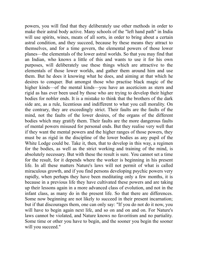powers, you will find that they deliberately use other methods in order to make their astral body active. Many schools of the "left hand path" in India will use spirits, wines, meats of all sorts, in order to bring about a certain astral condition, and they succeed, because by these means they attract to themselves, and for a time govern, the elemental powers of those lower planes—the elementals of the lower astral worlds. So that you may find that an Indian, who knows a little of this and wants to use it for his own purposes, will deliberately use these things which are attractive to the elementals of those lower worlds, and gather them around him and use them. But he does it knowing what he does, and aiming at that which he desires to conquer. But amongst those who practise black magic of the higher kinds—of the mental kinds—you have an asceticism as stern and rigid as has ever been used by those who are trying to develop their higher bodies for nobler ends. It is a mistake to think that the brothers of the dark side are, as a rule, licentious and indifferent to what you call morality. On the contrary, they are exceedingly strict. Their faults are the faults of the mind, not the faults of the lower desires, of the organs of the different bodies which may gratify them. Their faults are the more dangerous faults of mental powers misused for personal ends. But they realise very well that if they want the mental powers and the higher ranges of those powers, they must be as rigid in the discipline of the lower bodies as any pupil of the White Lodge could be. Take it, then, that to develop in this way, a regimen for the bodies, as well as the strict working and training of the mind, is absolutely necessary. But with these the result is sure. You cannot set a time for the result, for it depends where the worker is beginning in his present life. In all these matters Nature's laws will not permit of what is called miraculous growth, and if you find persons developing psychic powers very rapidly, when perhaps they have been meditating only a few months, it is because in a previous life they have cultivated these powers and are taking up their lessons again in a more advanced class of evolution, and not in the infant class, as many do in the present life. So that there are differences. Some now beginning are not likely to succeed in their present incarnation; but if that discourages them, one can only say: "If you do not do it now, you will have to begin again next life, and so on and on and on. For Nature's laws cannot be violated, and Nature knows no favoritism and no partiality. Some time or other you have to begin, and the sooner you begin the sooner will you succeed."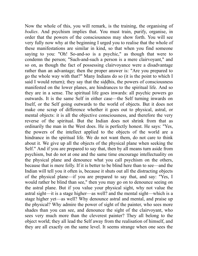Now the whole of this, you will remark, is the training, the organising of *bodies*. And psychism implies that. You must train, purify, organise, in order that the powers of the consciousness may show forth. You will see very fully now why at the beginning I urged you to realise that the whole of these manifestations are similar in kind, so that when you find someone saying to you: "Oh! So-and-so is a psychic," as though that were to condemn the person; "Such-and-such a person is a mere clairvoyant," and so on, as though the fact of possessing clairvoyance were a disadvantage rather than an advantage; then the proper answer is: "Are you prepared to go the whole way with that?" Many Indians do so (it is the point to which I said I would return); they say that the siddhis, the powers of consciousness manifested on the lower planes, are hindrances to the spiritual life. And so they are in a sense. The spiritual life goes inwards: all psychic powers go outwards. It is the same Self in either case—the Self turning inwards on Itself, or the Self going outwards to the world of objects. But it does not make one scrap of difference whether it goes out to physical, astral, or mental objects: it is all the objective consciousness, and therefore the very reverse of the spiritual. But the Indian does not shrink from that as ordinarily the man in the West does. He is perfectly honest. He says: "Yes, the powers of the intellect applied to the objects of the world are a hindrance in the spiritual life. We do not want them, do not care to think about it. We give up all the objects of the physical plane when seeking the Self." And if you are prepared to say that, then by all means turn aside from psychism, but do not at one and the same time encourage intellectuality on the physical plane and denounce what you call psychism on the others, because that is mere folly. If it is better to be blind here than to see—and the Indian will tell you it often is, because it shuts out all the distracting objects of the physical plane—if you are prepared to say that, and say: "Yes, I would rather be blind than see," then you may go on to denounce seeing on the astral plane. But if you value your physical sight, why not value the astral sight—it is a stage higher—as well? and the mental sight—which is a stage higher yet—as well? Why denounce astral and mental, and praise up the physical? Why admire the power of sight of the painter, who sees more shades than you can see, and denounce the sight of the clairvoyant, who sees very much more than the cleverest painter? They all belong to the object world; they all lead the Self away from the realisation of himself, and they are all exactly on the same level. It seems strange when one sees the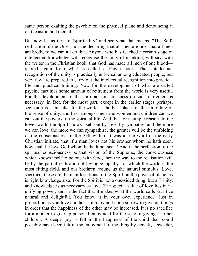same person exalting the psychic on the physical plane and denouncing it on the astral and mental.

But now let us turn to "spirituality" and see what that means. "The Selfrealisation of the One"; not the declaring that all men are one, that all men are brothers: we can all do that. Anyone who has reached a certain stage of intellectual knowledge will recognise the unity of mankind; will say, with the writer in the Christian book, that God has made all men of one blood quoted again from what is called a Pagan book. That intellectual recognition of the unity is practically universal among educated people; but very few are prepared to carry out the intellectual recognition into practical life and practical training. Now for the development of what are called psychic faculties some amount of retirement from the world is very useful. For the development of the spiritual consciousness no such retirement is necessary. In fact, for the most part, except in the earlier stages perhaps, seclusion is a mistake; for the world is the best place for the unfolding of the sense of unity, and best amongst men and women and children can we call out the powers of the spiritual life. And that for a simple reason. In the lower world the Spirit shows itself out by love, by sympathy; and the more we can love, the more we can sympathise, the greater will be the unfolding of the consciousness of the Self within. It was a true word of the early Christian Initiate, that if a man loves not his brother whom he hath seen, how shall he love God whom he hath not seen? And if the perfection of the spiritual consciousness be that vision of the Supreme, the consciousness which knows itself to be one with God, then the way to the realisation will be by the partial realisation of loving sympathy, for which the world is the most fitting field, and our brethren around us the natural stimulus. Love, sacrifice, these are the manifestations of the Spirit on the physical plane, as is right knowledge also. For the Spirit is not a one-sided thing, but a Trinity, and knowledge is as necessary as love. The special value of love lies in its unifying power, and in the fact that it makes what the world calls sacrifice natural and delightful. You know it in your own experience. Just in proportion as you love another is it a joy and not a sorrow to give up things in order that the happiness of the other may be increased. It is no sacrifice for a mother to give up personal enjoyment for the sake of giving it to her children. A deeper joy is felt in the happiness of the child than could possibly have been felt in the enjoyment of the thing by herself; a sweeter,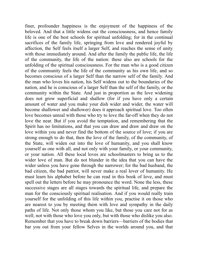finer, profounder happiness is the enjoyment of the happiness of the beloved. And that a little widens out the consciousness, and hence family life is one of the best schools for spiritual unfolding; for in the continual sacrifices of the family life, springing from love and rendered joyful by affection, the Self feels itself a larger Self, and reaches the sense of unity with those immediately around. And after the family the public life, the life of the community, the life of the nation: these also are schools for the unfolding of the spiritual consciousness. For the man who is a good citizen of the community feels the life of the community as his own life, and so becomes conscious of a larger Self than the narrow self of the family. And the man who loves his nation, his Self widens out to the boundaries of the nation, and he is conscious of a larger Self than the self of the family, or the community within the State. And just in proportion as the love widening does not grow superficial and shallow (for if you have only a certain amount of water and you make your dish wider and wider, the water will become shallower and shallower) does it approach spiritual love. Too often love becomes unreal with those who try to love the far-off when they do not love the near. But if you avoid the temptation, and remembering that the Spirit has no limitations, and that you can draw and draw and draw on the love within you and never find the bottom of the source of love; if you are strong enough to do that, then the love of the family, of the community, of the State, will widen out into the love of humanity, and you shall know yourself as one with all, and not only with your family, or your community, or your nation. All these local loves are schoolmasters to bring us to the wider love of man. But do not blunder in the idea that you can have the wider unless you have gone through the narrower; for the bad husband, the bad citizen, the bad patriot, will never make a real lover of humanity. He must learn his alphabet before he can read in this book of love, and must spell out the letters before he may pronounce the word. None the less, these successive stages are all stages towards the spiritual life, and prepare the man for the consciously spiritual realisation. And if you would really train yourself for the unfolding of this life within you, practise it on those who are nearest to you by meeting them with love and sympathy in the daily paths of life. Not only those whom you like, but those you care not for as well; not with those who love you only, but with those who dislike you also. Remember that you have to break down barriers—barriers of the bodies that bar you out from your fellow Selves in the worlds around you, and that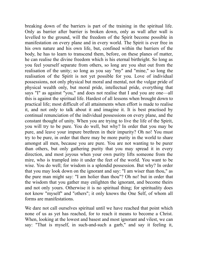breaking down of the barriers is part of the training in the spiritual life. Only as barrier after barrier is broken down, only as wall after wall is levelled to the ground, will the freedom of the Spirit become possible in manifestation on every plane and in every world. The Spirit is ever free in his own nature and his own life, but, confined within the barriers of the body, he has to learn to transcend them, before, on these planes of matter, he can realise the divine freedom which is his eternal birthright. So long as you feel yourself separate from others, so long are you shut out from the realisation of the unity; so long as you say "my" and "mine," so long the realisation of the Spirit is not yet possible for you. Love of individual possessions, not only physical but moral and mental, not the vulgar pride of physical wealth only, but moral pride, intellectual pride, everything that says "I" as against "you," and does not realise that I and you are one—all this is against the spiritual life. Hardest of all lessons when brought down to practical life; most difficult of all attainments when effort is made to realise it, and not only to talk about it and imagine it. It is best practised by continual renunciation of the individual possessions on every plane, and the constant thought of unity. When you are trying to live the life of the Spirit, you will try to be pure. You do well, but why? In order that you may be pure, and leave your impure brethren in their impurity? Oh no! You must try to be pure, in order that there may be more purity in the world to share amongst all men, because you are pure. You are not wanting to be purer than others, but only gathering purity that you may spread it in every direction, and most joyous when your own purity lifts someone from the mire, who is trampled into it under the feet of the world. You want to be wise. You do well; for wisdom is a splendid possession. But why? In order that you may look down on the ignorant and say: "I am wiser than thou," as the pure man might say: "I am holier than thou"? Oh no! but in order that the wisdom that you gather may enlighten the ignorant, and become theirs and not only yours. Otherwise it is no spiritual thing; for spirituality does not know "myself" and "others"; it only knows the One Self, of whom all forms are manifestations.

We dare not call ourselves spiritual until we have reached that point which none of us as yet has reached, for to reach it means to become a Christ. When, looking at the lowest and basest and most ignorant and vilest, we can say: "That is myself, in such-and-such a garb," and say it feeling it,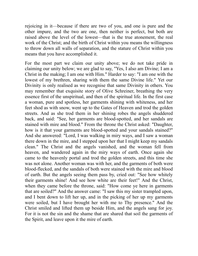rejoicing in it—because if there are two of you, and one is pure and the other impure, and the two are one, then neither is perfect, but both are raised above the level of the lowest—that is the true atonement, the real work of the Christ; and the birth of Christ within you means the willingness to throw down all walls of separation, and the stature of Christ within you means that you have accomplished it.

For the most part we claim our unity above; we do not take pride in claiming our unity below; we are glad to say, "Yes, I also am Divine; I am a Christ in the making; I am one with Him." Harder to say: "I am one with the lowest of my brethren, sharing with them the same Divine life." Yet our Divinity is only realised as we recognise that same Divinity in others. You may remember that exquisite story of Olive Schreiner, breathing the very essence first of the unspiritual, and then of the spiritual life. In the first case a woman, pure and spotless, her garments shining with whiteness, and her feet shod as with snow, went up to the Gates of Heaven and trod the golden streets. And as she trod them in her shining robes the angels shuddered back, and said: "See, her garments are blood-spotted, and her sandals are stained with mire and blood." From the throne the Christ asked: "Daughter, how is it that your garments are blood-spotted and your sandals stained?" And she answered: "Lord, I was walking in miry ways, and I saw a woman there down in the mire, and I stepped upon her that I might keep my sandals clean." The Christ and the angels vanished, and the woman fell from heaven, and wandered again in the miry ways of earth. Once again she came to the heavenly portal and trod the golden streets, and this time she was not alone. Another woman was with her, and the garments of both were blood-flecked, and the sandals of both were stained with the mire and blood of earth. But the angels seeing them pass by, cried out: "See how whitely their garments shine! And see how white are their feet!" And the Christ, when they came before the throne, said: "How come ye here in garments that are soiled?" And the answer came: "I saw this my sister trampled upon, and I bent down to lift her up, and in the picking of her up my garments were soiled, but I have brought her with me to Thy presence." And the Christ smiled and lifted them up beside Him, and the angels sang for joy. For it is not the sin and the shame that are shared that soil the garments of the Spirit, and leave upon it the mire of earth.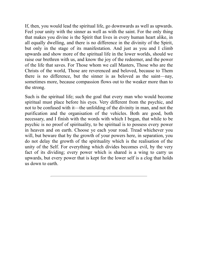If, then, you would lead the spiritual life, go downwards as well as upwards. Feel your unity with the sinner as well as with the saint. For the only thing that makes you divine is the Spirit that lives in every human heart alike, in all equally dwelling, and there is no difference in the divinity of the Spirit, but only in the stage of its manifestation. And just as you and I climb upwards and show more of the spiritual life in the lower worlds, should we raise our brethren with us, and know the joy of the redeemer, and the power of the life that saves. For Those whom we call Masters, Those who are the Christs of the world, Those are reverenced and beloved, because to Them there is no difference, but the sinner is as beloved as the saint—nay, sometimes more, because compassion flows out to the weaker more than to the strong.

<span id="page-21-0"></span>Such is the spiritual life; such the goal that every man who would become spiritual must place before his eyes. Very different from the psychic, and not to be confused with it—the unfolding of the divinity in man, and not the purification and the organisation of the vehicles. Both are good, both necessary, and I finish with the words with which I began, that while to be psychic is no proof of spirituality, to be spiritual is to possess every power in heaven and on earth. Choose ye each your road. Tread whichever you will, but beware that by the growth of your powers here, in separation, you do not delay the growth of the spirituality which is the realisation of the unity of the Self. For everything which divides becomes evil, by the very fact of its dividing; every power which is shared is a wing to carry us upwards, but every power that is kept for the lower self is a clog that holds us down to earth.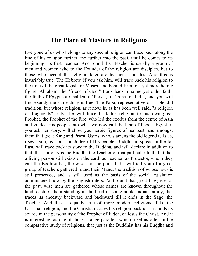#### **The Place of Masters in Religions**

<span id="page-22-0"></span>Everyone of us who belongs to any special religion can trace back along the line of his religion further and further into the past, until he comes to its beginning, its first Teacher. And round that Teacher is usually a group of men and women who to the Founder of the religion are disciples, but to those who accept the religion later are teachers, apostles. And this is invariably true. The Hebrew, if you ask him, will trace back his religion to the time of the great legislator Moses, and behind Him to a yet more heroic figure, Abraham, the "friend of God." Look back to some yet older faith, the faith of Egypt, of Chaldea, of Persia, of China, of India, and you will find exactly the same thing is true. The Parsî, representative of a splendid tradition, but whose religion, as it now, is, as has been well said, "a religion of fragments" only—he will trace back his religion to his own great Prophet, the Prophet of the Fire, who led the exodus from the centre of Asia and guided His people into what we now call the land of Persia. Egypt, if you ask her story, will show you heroic figures of her past, and amongst them that great King and Priest, Osiris, who, slain, as the old legend tells us, rises again, as Lord and Judge of His people. Buddhism, spread in the far East, will trace back its story to the Buddha, and will declare in addition to that, that not only is the Buddha the Teacher of that particular faith, but that a living person still exists on the earth as Teacher, as Protector, whom they call the Bodhisattva, the wise and the pure. India will tell you of a great group of teachers gathered round their Manu, the tradition of whose laws is still preserved, and is still used as the basis of the social legislation administered now by the English rulers. And round that great Lawgiver of the past, wise men are gathered whose names are known throughout the land, each of them standing at the head of some noble Indian family, that traces its ancestry backward and backward till it ends in the Sage, the Teacher. And this is equally true of more modern religions. Take the Christian religion, and the Christian traces his religion back until it finds its source in the personality of the Prophet of Judea, of Jesus the Christ. And it is interesting, as one of those strange parallels which meet us often in the comparative study of religions, that just as the Buddhist has his Buddha and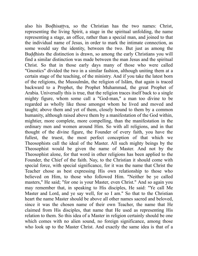also his Bodhisattva, so the Christian has the two names: Christ, representing the living Spirit, a stage in the spiritual unfolding, the name representing a stage, an office, rather than a special man, and joined to that the individual name of Jesus, in order to mark the intimate connection, as some would say the identity, between the two. But just as among the Buddhists the distinction is drawn, so among the early Christians you will find a similar distinction was made between the man Jesus and the spiritual Christ. So that in those early days many of those who were called "Gnostics" divided the two in a similar fashion, although uniting them at a certain stage of the teaching, of the ministry. And if you take the latest born of the religions, the Mussulmân, the religion of Islâm, that again is traced backward to a Prophet, the Prophet Muhammad, the great Prophet of Arabia. Universally this is true, that the religion traces itself back to a single mighty figure, whom some call a "God-man," a man too divine to be regarded as wholly like those amongst whom he lived and moved and taught; above them and yet of them, closely bound to them by a common humanity, although raised above them by a manifestation of the God within, mightier, more complete, more compelling, than the manifestation in the ordinary men and women around Him. So with all religions, and in that thought of the divine figure, the Founder of every faith, you have the fullest, the truest, the most perfect conception of that which we Theosophists call the ideal of the Master. All such mighty beings by the Theosophist would be given the name of Master. And not by the Theosophist alone, for that word in other religions has been applied to the Founder, the Chief of the faith. Nay, to the Christian it should come with special force, with special significance, for it was the name that Christ the Teacher chose as best expressing His own relationship to those who believed on Him, to those who followed Him. "Neither be ye called masters," He said; "for one is your Master, even Christ." And so again you may remember that, in speaking to His disciples, He said: "Ye call Me Master and Lord, and ye say well, for so I am." So that to the Christian heart the name Master should be above all other names sacred and beloved, since it was the chosen name of their own Teacher, the name that He claimed from His disciples, that name that He used as representing His relation to them. So this idea of a Master in religion certainly should be one which comes with no alien sound, no foreign significance, among those who look up to the Master Christ. And exactly the same idea is that of a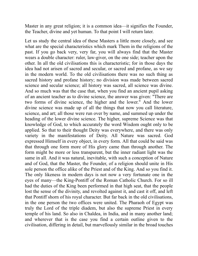Master in any great religion; it is a common idea—it signifies the Founder, the Teacher, divine and yet human. To that point I will return later.

Let us study the central idea of these Masters a little more closely, and see what are the special characteristics which mark Them in the religions of the past. If you go back very, very far, you will always find that the Master wears a double character: ruler, law-giver, on the one side; teacher upon the other. In all the old civilisations this is characteristic; for in those days the idea had not arisen of sacred and secular, or sacred and profane, as we say in the modern world. To the old civilisations there was no such thing as sacred history and profane history; no division was made between sacred science and secular science; all history was sacred, all science was divine. And so much was that the case that, when you find an ancient pupil asking of an ancient teacher as to divine science, the answer was given: "There are two forms of divine science, the higher and the lower." And the lower divine science was made up of all the things that now you call literature, science, and art; all those were run over by name, and summed up under the heading of the lower divine science. The higher, supreme Science was that knowledge of God, to which accurately the word Wisdom ought only to be applied. So that to their thought Deity was everywhere, and there was only variety in the manifestations of Deity. All Nature was sacred. God expressed Himself in every object, in every form. All that could be said was that through one form more of His glory came than through another. The form might be more or less transparent, but the inner radiant light was the same in all. And it was natural, inevitable, with such a conception of Nature and of God, that the Master, the Founder, of a religion should unite in His sole person the office alike of the Priest and of the King. And so you find it. The only likeness in modern days is not now a very fortunate one in the eyes of many—the King-Pontiff of the Roman Catholic Church. For so ill had the duties of the King been performed in that high seat, that the people lost the sense of the divinity, and revolted against it, and cast it off, and left that Pontiff shorn of his royal character. But far back in the old civilisations, in the one person the two offices were united. The Pharaoh of Egypt was truly the Lord of the triple diadem, but also the supreme Priest in every temple of his land. So also in Chaldea, in India, and in many another land; and wherever that is the case you find a certain outline given to the civilisation, differing in detail, but marvellously similar in the broad touches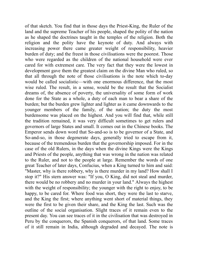of that sketch. You find that in those days the Priest-King, the Ruler of the land and the supreme Teacher of his people, shaped the polity of the nation as he shaped the doctrines taught in the temples of the religion. Both the religion and the polity have the keynote of duty. And always with increasing power there came greater weight of responsibility, heavier burden of duty; and the freest in those civilisations were the poorest. Those who were regarded as the children of the national household were ever cared for with extremest care. The very fact that they were the lowest in development gave them the greatest claim on the divine Man who ruled, so that all through the note of those civilisations is the note which to-day would be called socialistic—with one enormous difference, that the most wise ruled. The result, in a sense, would be the result that the Socialist dreams of, the absence of poverty, the universality of some form of work done for the State as a whole, a duty of each man to bear a share of the burden; but the burden grew lighter and lighter as it came downwards to the younger members of the family, of the nation; the duty the most burdensome was placed on the highest. And you will find that, while still the tradition remained, it was very difficult sometimes to get rulers and governors of large States and small. It comes out in the Chinese books. The Emperor sends down word that So-and-so is to be governor of a State, and So-and-so, in those degenerate days, generally tried to escape from it, because of the tremendous burden that the governorship imposed. For in the case of the old Rulers, in the days when the divine Kings were the Kings and Priests of the people, anything that was wrong in the nation was related to the Ruler, and not to the people at large. Remember the words of one great Teacher of later days, Confucius, when a King turned to him and said: "Master, why is there robbery, why is there murder in my land? How shall I stop it?" His stern answer was: "If you, O King, did not steal and murder, there would be no robbery and no murder in your land." Always the highest with the weight of responsibility; the younger with the right to enjoy, to be happy, to be cared for. Where food was short, they were the last to starve, and the King the first; where anything went short of material things, they were the first to be given their share, and the King the last. Such was the outline of the social organisation. Slight traces of it remain even to the present day. You can see traces of it in the civilisation that was destroyed in Peru by the conquerors, the Spanish conquerors, of that land. Some traces of it still remain in India, although degraded and decayed. The note is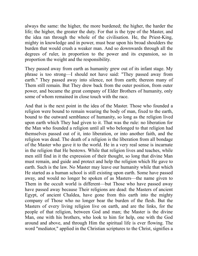always the same: the higher, the more burdened; the higher, the harder the life; the higher, the greater the duty. For that is the type of the Master, and the idea ran through the whole of the civilisation. He, the Priest-King, mighty in knowledge and in power, must bear upon his broad shoulders the burden that would crush a weaker man. And so downwards through all the degrees of ruler, in proportion to the power and its expansion, so in proportion the weight and the responsibility.

They passed away from earth as humanity grew out of its infant stage. My phrase is too strong—I should not have said: "They passed away from earth." They passed away into silence, not from earth; thereon many of Them still remain. But They drew back from the outer position, from outer power, and became the great company of Elder Brothers of humanity, only some of whom remained in close touch with the race.

And that is the next point in the idea of the Master. Those who founded a religion were bound to remain wearing the body of man, fixed to the earth, bound to the outward semblance of humanity, so long as the religion lived upon earth which They had given to it. That was the rule: no liberation for the Man who founded a religion until all who belonged to that religion had themselves passed out of it, into liberation, or into another faith, and the religion was dead. The death of a religion is the liberation from all bondage of the Master who gave it to the world. He in a very real sense is incarnate in the religion that He bestows. While that religion lives and teaches, while men still find in it the expression of their thought, so long that divine Man must remain, and guide and protect and help the religion which He gave to earth. Such is the law. No Master may leave our humanity while that which He started as a human school is still existing upon earth. Some have passed away, and would no longer be spoken of as Masters—the name given to Them in the occult world is different—but Those who have passed away have passed away because Their religions are dead: the Masters of ancient Egypt, of ancient Chaldea, have gone from this earth into the mighty company of Those who no longer bear the burden of the flesh. But the Masters of every living religion live on earth, and are the links, for the people of that religion, between God and man; the Master is the divine Man, one with his brothers, who look to him for help, one with the God around and above, and through Him the spiritual life is ever flowing. The word "mediator," applied in the Christian scriptures to the Christ, signifies a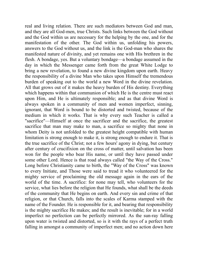real and living relation. There are such mediators between God and man, and they are all God-men, true Christs. Such links between the God without and the God within us are necessary for the helping by the one, and for the manifestation of the other. The God within us, unfolding his powers, answers to the God without us, and the link is the God-man who shares the manifested nature of divinity, and yet remains one with His brethren in the flesh. A bondage, yes. But a voluntary bondage—a bondage assumed in the day in which the Messenger came forth from the great White Lodge to bring a new revelation, to found a new divine kingdom upon earth. Heavy the responsibility of a divine Man who takes upon Himself the tremendous burden of speaking out to the world a new Word in the divine revelation. All that grows out of it makes the heavy burden of His destiny. Everything which happens within that communion of which He is the centre must react upon Him, and He is ultimately responsible; and as that divine Word is always spoken in a community of men and women imperfect, sinning, ignorant, that Word is bound to be distorted and twisted, because of the medium in which it works. That is why every such Teacher is called a "sacrifice"—Himself at once the sacrificer and the sacrifice, the greatest sacrifice that man may make to man, a sacrifice so mighty that none in whom Deity is not unfolded to the greatest height compatible with human limitation is strong enough to make it, is strong enough to endure it. That is the true sacrifice of the Christ; not a few hours' agony in dying, but century after century of crucifixion on the cross of matter, until salvation has been won for the people who bear His name, or until they have passed under some other Lord. Hence is that road always called "the Way of the Cross." Long before Christianity came to birth, the "Way of the Cross" was known to every Initiate, and Those were said to tread it who volunteered for the mighty service of proclaiming the old message again in the ears of the world of the time. A sacrifice: for none may tell, who volunteers for the service, what lies before the religion that He founds, what shall be the deeds of the community that He begins on earth. And every sin and crime of that religion, or that Church, falls into the scales of Karma stamped with the name of the Founder. He is responsible for it, and bearing that responsibility is the mighty sacrifice He makes; and the result is inevitable; for in a world imperfect no perfection can be perfectly mirrored. As the sun-ray falling upon water is twisted and distorted, so is it with the rays of a perfect truth falling in amongst a community of imperfect men; and no action down here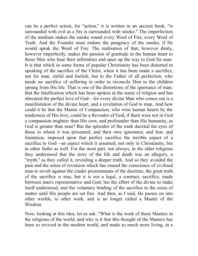can be a perfect action, for "action," it is written in an ancient book, "is surrounded with evil as a fire is surrounded with smoke." The imperfection of the medium makes the smoke round every Word of Fire, every Word of Truth. And the Founder must endure the pungency of the smoke, if He would speak the Word of Fire. The realisation of that, however dimly, however imperfectly, makes the passion of gratitude in the human heart to those Men who bear their infirmities and open up the way to God for man. It is that which in some forms of popular Christianity has been distorted in speaking of the sacrifice of the Christ, when it has been made a sacrifice, not for man, sinful and foolish, but to the Father of all perfection, who needs no sacrifice of suffering in order to reconcile Him to the children sprung from His life. That is one of the distortions of the ignorance of man; that the falsification which has been spoken in the name of religion and has obscured the perfect love of God—for every divine Man who comes out is a manifestation of the divine heart, and a revelation of God to man. And how could it be that the Master of Compassion, who wins human hearts by the tenderness of His love, could be a Revealer of God, if there were not in God a compassion mightier than His own, and profounder than His humanity, as God is greater than man? But the splendor of the truth dazzled the eyes of those to whom it was presented, and their own ignorance, and fear, and limitation, imposed upon that perfect sacrifice the terrible aspect of a sacrifice to God—an aspect which it assumed, not only in Christianity, but in other faiths as well. For the most part, not always, in the elder religions they understood that the story of the life and death was an allegory, a "myth," as they called it, revealing a deeper truth. And so they avoided the pain and the sense of revulsion which has roused the conscience of civilised man to revolt against the cruder presentments of the doctrine; the great truth of the sacrifice is true, but it is not a legal, a contract, sacrifice, made between man's representative and God; but the effort of the divine to make itself understood, and the voluntary binding of the sacrifice to the cross of matter until His people are set free. And then, as I said, He passes on into other worlds, to other work, and is no longer called a Master of the Wisdom.

Now, looking at this idea, let us ask: "What is the work of these Masters in the religions of the world, and why is it that this thought of the Masters has been so revived in the modern world, and made so much more living, in a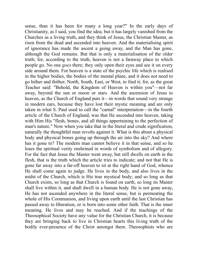sense, than it has been for many a long year?" In the early days of Christianity, as I said, you find the idea; but it has largely vanished from the Churches as a living truth, and they think of Jesus, the Christian Master, as risen from the dead and ascended into heaven. And the materialising spirit of ignorance has made the ascent a going away, and the Man has gone, although the God remains. But that is only a materialisation of the older truth; for, according to the truth, heaven is not a faraway place to which people go. No one *goes* there; they only open their eyes and see it on every side around them. For heaven is a state of the psychic life which is realised in the higher bodies, the bodies of the mental plane, and it does not need to go hither and thither, North, South, East, or West, to find it; for, as the great Teacher said: "Behold, the Kingdom of Heaven is within you"—not far away, beyond the sun or moon or stars. And the ascension of Jesus to heaven, as the Church of England puts it—in words that sound very strange in modern ears, because they have lost their mystic meaning and are only taken in what S. Paul used to call the "carnal" interpretation—in the fourth article of the Church of England, was that He ascended into heaven, taking with Him His "flesh, bones, and all things appertaining to the perfection of man's nature." Now when you take that in the literal and crude signification, naturally the thoughtful man revolts against it. What is this about a physical body and physical bones going up through the air into the sky? And where has it gone to? The modern man cannot believe it in that sense, and so he loses the spiritual verity enshrined in words of symbolism and of allegory. For the fact that Jesus the Master went away, but still dwells on earth in the flesh, that is the truth which the article tries to indicate; and not that He is gone far away into a far-off heaven to sit at the right hand of God, whence He shall come again to judge. He lives in the body, and also lives in the midst of the Church, which is His true mystical body; and so long as that Church exists, so long as that Church is found on earth, so long its Master shall live within it, and shall dwell in a human body. He is not gone away, He has not ascended anywhere in the literal sense, but is permeating the whole of His Communion, and living upon earth until the last Christian has passed away to liberation, or is born into some other faith. That is the inner meaning. He lives and may be reached. And if the teachings of the Theosophical Society have any value for the Christian Church, it is because they are bringing back to live in Christian hearts this living truth of the bodily ever-presence of the Christ amongst them. Theosophists who are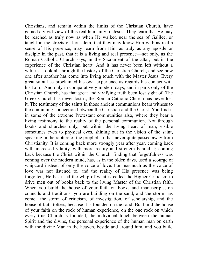Christians, and remain within the limits of the Christian Church, have gained a vivid view of this real humanity of Jesus. They learn that He may be reached as truly now as when He walked near the sea of Galilee, or taught in the streets of Jerusalem, that they may know Him with as real a sense of His presence, may learn from Him as truly as any apostle or disciple in the past, that it is a living and real presence—not only, as the Roman Catholic Church says, in the Sacrament of the altar, but in the experience of the Christian heart. And it has never been left without a witness. Look all through the history of the Christian Church, and see how one after another has come into living touch with the Master Jesus. Every great saint has proclaimed his own experience as regards his contact with his Lord. And only in comparatively modern days, and in parts only of the Christian Church, has that great and vivifying truth been lost sight of. The Greek Church has never lost it; the Roman Catholic Church has never lost it. The testimony of the saints in those ancient communions bears witness to the continuing connection between the Christian and the Christ. You find it in some of the extreme Protestant communities also, where they bear a living testimony to the reality of the personal communion. Not through books and churches only, but within the living heart of man, visible sometimes even to physical eyes, shining out in the vision of the saint, speaking in the rapture of the prophet—it has never quite passed away from Christianity. It is coming back more strongly year after year, coming back with increased vitality, with more reality and strength behind it; coming back because the Christ within the Church, finding that forgetfulness was coming over the modern mind, has, as in the olden days, used a scourge of whipcord instead of only the voice of love. For inasmuch as the voice of love was not listened to, and the reality of His presence was being forgotten, He has used the whip of what is called the Higher Criticism to drive men out of books back to the living Master of the Christian faith. When you build the house of your faith on books and manuscripts, on councils and traditions, you are building on the sand, and the storm has come—the storm of criticism, of investigation, of scholarship, and the house of faith totters, because it is founded on the sand. But build the house of your faith on the rock of human experience, on the one rock on which every true Church is founded, the individual touch between the human Spirit and the divine, the personal experience of the human man on earth with the divine Man in the heaven, beside and around him, and you build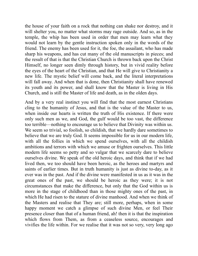the house of your faith on a rock that nothing can shake nor destroy, and it will shelter you, no matter what storms may rage outside. And so, as in the temple, the whip has been used in order that men may learn what they would not learn by the gentle instruction spoken only in the words of the friend. The enemy has been used for it, the foe, the assailant, who has made sharp his weapons, and has cut many of the old manuscripts in pieces; and the result of that is that the Christian Church is thrown back upon the Christ Himself, no longer seen dimly through history, but in vivid reality before the eyes of the heart of the Christian, and that He will give to Christianity a new life. The mystic belief will come back, and the literal interpretations will fall away. And when that is done, then Christianity shall have renewed its youth and its power, and shall know that the Master is living in His Church, and is still the Master of life and death, as in the olden days.

And by a very real instinct you will find that the most earnest Christians cling to the humanity of Jesus, and that is the value of the Master to us, when inside our hearts is written the truth of His existence. If there were only such men as we, and God, the gulf would be too vast, the difference too terrible—nothing to encourage us to believe that Divinity was within us. We seem so trivial, so foolish, so childish, that we hardly dare sometimes to believe that we are truly God. It seems impossible for us in our modern life, with all the follies in which we spend ourselves, with all the childish ambitions and terrors with which we amuse or frighten ourselves. This little modern life seems so petty and so vulgar that we scarcely dare to believe ourselves divine. We speak of the old heroic days, and think that if we had lived then, we too should have been heroic, as the heroes and martyrs and saints of earlier times. But in truth humanity is just as divine to-day, as it ever was in the past. And if the divine were manifested in us as it was in the great ones of the past, we should be heroic as they were; it is not circumstances that make the difference, but only that the God within us is more in the stage of childhood than in those mighty ones of the past, in which He had risen to the stature of divine manhood. And when we think of the Masters and realise that They are; still more, perhaps, when in some happy moment we catch a glimpse of such divine Men, or feel Their presence closer than that of a human friend, ah! then it is that the inspiration which flows from Them, as from a ceaseless source, encourages and vivifies the life within. For we realise that it was not so very, very long ago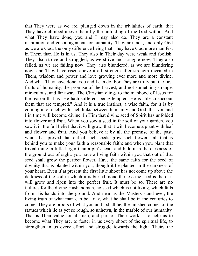that They were as we are, plunged down in the trivialities of earth; that They have climbed above them by the unfolding of the God within. And what They have done, you and I may also do. They are a constant inspiration and encouragement for humanity. They are men, and only God as we are God; the only difference being that They have God more manifest in Them than He is in us. They also in Their day were weak and foolish; They also strove and struggled, as we strive and struggle now; They also failed, as we are failing now; They also blundered, as we are blundering now; and They have risen above it all, strength after strength revealed in Them, wisdom and power and love growing ever more and more divine. And what They have done, you and I can do. For They are truly but the first fruits of humanity, the promise of the harvest, and not something strange, miraculous, and far away. The Christian clings to the manhood of Jesus for the reason that as "He hath suffered, being tempted, He is able to succour them that are tempted." And it is a true instinct, a wise faith, for it is by coming into touch with such links between humanity and God, that you and I in time will become divine. In Him that divine seed of Spirit has unfolded into flower and fruit. When you sow a seed in the soil of your garden, you sow it in the full belief that it will grow, that it will become a plant with leaf and flower and fruit. And you believe it by all the promise of the past, which has proved that out of such seeds grow such flowers; all that is behind you to make your faith a reasonable faith; and when you plant that trivial thing, a little larger than a pin's head, and hide it in the darkness of the ground out of sight, you have a living faith within you that out of that seed shall grow the perfect flower. Have the same faith for the seed of divinity that is planted within you, though it be planted in the darkness of your heart. Even if at present the first little shoot has not come up above the darkness of the soil in which it is buried, none the less the seed is there; it will grow and ripen into the perfect fruit. It must be so. There are no failures for the divine Husbandman, no seed which is not living, which falls from His hands into the ground. And near us the Masters stand ever, the living truth of what man can be—nay, what he shall be in the centuries to come. They are proofs of what you and I shall be, the finished copies of the statues which lie as yet so rough, so unhewn, in the marble of our humanity. That is Their value for all men, and part of Their work is to help us to become what They are, to foster in us every shoot of the spiritual life, to strengthen in us every effort and struggle towards the light. Theirs the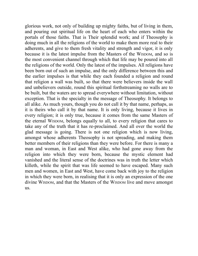glorious work, not only of building up mighty faiths, but of living in them, and pouring out spiritual life on the heart of each who enters within the portals of those faiths. That is Their splendid work; and if Theosophy is doing much in all the religions of the world to make them more real to their adherents, and give to them fresh vitality and strength and vigor, it is only because it is the latest impulse from the Masters of the WISDOM, and so is the most convenient channel through which that life may be poured into all the religions of the world. Only the latest of the impulses. All religions have been born out of such an impulse, and the only difference between this and the earlier impulses is that while they each founded a religion and round that religion a wall was built, so that there were believers inside the wall and unbelievers outside, round this spiritual forthstreaming no walls are to be built, but the waters are to spread everywhere without limitation, without exception. That is the specialty in the message of Theosophy. It belongs to all alike. As much yours, though you do not call it by that name, perhaps, as it is theirs who call it by that name. It is only living, because it lives in every religion; it is only true, because it comes from the same Masters of the eternal WISDOM, belongs equally to all, to every religion that cares to take any of the truth that it has re-proclaimed. And all over the world the glad message is going. There is not one religion which is now living, amongst whose adherents Theosophy is not spreading, and making them better members of their religions than they were before. For there is many a man and woman, in East and West alike, who had gone away from the religion into which they were born, because the mystic element had vanished and the literal sense of the doctrines was in truth the letter which killeth, while the spirit that was life seemed to have escaped. Many such men and women, in East and West, have come back with joy to the religion in which they were born, in realising that it is only an expression of the one divine WISDOM, and that the Masters of the WISDOM live and move amongst us.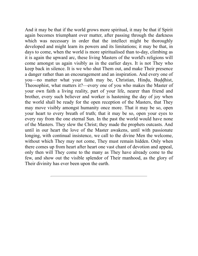<span id="page-34-0"></span>And it may be that if the world grows more spiritual, it may be that if Spirit again becomes triumphant over matter, after passing through the darkness which was necessary in order that the intellect might be thoroughly developed and might learn its powers and its limitations; it may be that, in days to come, when the world is more spiritualised than to-day, climbing as it is again the upward arc, these living Masters of the world's religions will come amongst us again visibly as in the earlier days. It is not They who keep back in silence. It is we who shut Them out, and make Their presence a danger rather than an encouragement and an inspiration. And every one of you—no matter what your faith may be, Christian, Hindu, Buddhist, Theosophist, what matters it?—every one of you who makes the Master of your own faith a living reality, part of your life, nearer than friend and brother, every such believer and worker is hastening the day of joy when the world shall be ready for the open reception of the Masters, that They may move visibly amongst humanity once more. That it may be so, open your heart to every breath of truth; that it may be so, open your eyes to every ray from the one eternal Sun. In the past the world would have none of the Masters. They slew the Christ; they made the prophets outcasts. And until in our heart the love of the Master awakens, until with passionate longing, with continual insistence, we call to the divine Men the welcome, without which They may not come, They must remain hidden. Only when there comes up from heart after heart one vast chant of devotion and appeal, only then will They come to the many as They have already come to the few, and show out the visible splendor of Their manhood, as the glory of Their divinity has ever been upon the earth.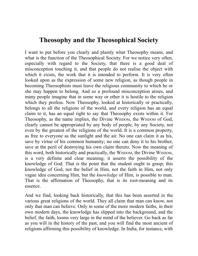### <span id="page-35-0"></span>**Theosophy and the Theosophical Society**

I want to put before you clearly and plainly what Theosophy means, and what is the function of the Theosophical Society. For we notice very often, especially with regard to the Society, that there is a good deal of misconception touching it, and that people do not realise the object with which it exists, the work that it is intended to perform. It is very often looked upon as the expression of some new religion, as though people in becoming Theosophists must leave the religious community to which he or she may happen to belong. And so a profound misconception arises, and many people imagine that in some way or other it is hostile to the religion which they profess. Now Theosophy, looked at historically or practically, belongs to all the religions of the world, and every religion has an equal claim to it, has an equal right to say that Theosophy exists within it. For Theosophy, as the name implies, the Divine WISDOM, the WISDOM of God, clearly cannot be appropriated by any body of people, by any Society, not even by the greatest of the religions of the world. It is a common property, as free to everyone as the sunlight and the air. No one can claim it as his, save by virtue of his common humanity; no one can deny it to his brother, save at the peril of destroying his own claim thereto. Now the meaning of this word, both historically and practically, the WISDOM, the Divine WISDOM, is a very definite and clear meaning; it asserts the possibility of the knowledge of God. That is the point that the student ought to grasp; this knowledge of God, not the belief in Him, not the faith in Him, not only vague idea concerning Him, but the *knowledge* of Him, is possible to man. That is the affirmation of Theosophy, that is its root-meaning and its essence.

And we find, looking back historically, that this has been asserted in the various great religions of the world. They all claim that man can know, not only that man can believe. Only in some of the more modern faiths, in their own modern days, the knowledge has slipped into the background, and the belief, the faith, looms very large in the mind of the believer. Go back as far as you will in the history of the past, and you will find the most ancient of religions affirming this possibility of knowledge. In India, for instance, with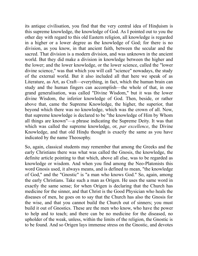its antique civilisation, you find that the very central idea of Hinduism is this supreme knowledge, the knowledge of God. As I pointed out to you the other day with regard to this old Eastern religion, all knowledge is regarded in a higher or a lower degree as the knowledge of God; for there is no division, as you know, in that ancient faith, between the secular and the sacred. That division is a modern division, and was unknown in the ancient world. But they did make a division in knowledge between the higher and the lower; and the lower knowledge, or the lower science, called the "lower divine science," was that which you will call "science" nowadays, the study of the external world. But it also included all that here we speak of as Literature, as Art, as Craft—everything, in fact, which the human brain can study and the human fingers can accomplish—the whole of that, in one grand generalisation, was called "Divine Wisdom," but it was the lower divine Wisdom, the inferior knowledge of God. Then, beside, or rather above that, came the Supreme Knowledge, the higher, the superior, that beyond which there was no knowledge, which was the crown of all. Now, that supreme knowledge is declared to be "the knowledge of Him by Whom all things are known"—a phrase indicating the Supreme Deity. It was that which was called the supreme knowledge, or, *par excellence*, the Divine Knowledge, and that old Hindu thought is exactly the same as you have indicated by the name Theosophy.

So, again, classical students may remember that among the Greeks and the early Christians there was what was called the Gnosis, the knowledge, the definite article pointing to that which, above all else, was to be regarded as knowledge or wisdom. And when you find among the Neo-Platonists this word Gnosis used, it always means, and is defined to mean, "the knowledge of God," and the "Gnostic" is "a man who knows God." So, again, among the early Christians. Take such a man as Origen. He uses the same word in exactly the same sense; for when Origen is declaring that the Church has medicine for the sinner, and that Christ is the Good Physician who heals the diseases of men, he goes on to say that the Church has also the Gnosis for the wise, and that you cannot build the Church out of sinners; you must build it out of Gnostics. These are the men who know, who have the power to help and to teach; and there can be no medicine for the diseased, no upholder of the weak, unless, within the limits of the religion, the Gnostic is to be found. And so Origen lays immense stress on the Gnostic, and devotes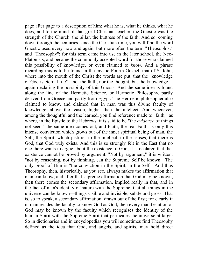page after page to a description of him: what he is, what he thinks, what he does; and to the mind of that great Christian teacher, the Gnostic was the strength of the Church, the pillar, the buttress of the faith. And so, coming down through the centuries, since the Christian time, you will find the word Gnostic used every now and again, but more often the term "Theosophist" and "Theosophy"; for this term came into use in the later school, the Neo-Platonists, and became the commonly accepted word for those who claimed this possibility of knowledge, or even claimed to *know*. And a phrase regarding this is to be found in the mystic Fourth Gospel, that of S. John, where into the mouth of the Christ the words are put, that the "knowledge of God is eternal life"—not the faith, nor the thought, but the knowledge again declaring the possibility of this Gnosis. And the same idea is found along the line of the Hermetic Science, or Hermetic Philosophy, partly derived from Greece and partly from Egypt. The Hermetic philosopher also claimed to know, and claimed that in man was this divine faculty of knowledge, above the reason, higher than the intellect. And whenever, among the thoughtful and the learned, you find reference made to "faith," as where, in the Epistle to the Hebrews, it is said to be "the *evidence* of things not seen," the same idea comes out, and Faith, the real Faith, is only this intense conviction which grows out of the inner spiritual being of man, the Self, the Spirit, which justifies to the intellect, to the senses, that there is God, that God truly exists. And this is so strongly felt in the East that no one there wants to argue about the existence of God; it is declared that that existence cannot be proved by argument. "Not by argument," it is written, "not by reasoning, not by thinking, can the Supreme Self be known." The only proof of Him is "the conviction in the Spirit, in the Self." And thus Theosophy, then, historically, as you see, always makes the affirmation that man can know; and after that supreme affirmation that God may be known, then there comes the secondary affirmation, implied really in that, and in the fact of man's identity of nature with the Supreme, that all things in the universe can be known—things visible and invisible, subtle and gross. That is, so to speak, a secondary affirmation, drawn out of the first; for clearly if in man resides the faculty to know God as God, then every manifestation of God may be known by the faculty which recognises the identity of the human Spirit with the Supreme Spirit that permeates the universe at large. So in dictionaries and in encyclopedias you will sometimes find Theosophy defined as the idea that God, and angels, and spirits, may hold direct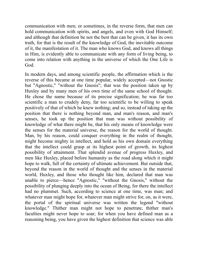communication with men; or sometimes, in the reverse form, that men can hold communication with spirits, and angels, and even with God Himself; and although that definition be not the best that can be given, it has its own truth, for that is the result of the knowledge of God, the inevitable outcome of it, the manifestation of it. The man who knows God, and knows all things in Him, is evidently able to communicate with any form of living being, to come into relation with anything in the universe of which the One Life is God.

In modern days, and among scientific people, the affirmation which is the reverse of this became at one time popular, widely accepted—not Gnostic but "Agnostic," "without the Gnosis"; that was the position taken up by Huxley and by many men of his own time of the same school of thought. He chose the name because of its precise signification; he was far too scientific a man to crudely deny, far too scientific to be willing to speak positively of that of which he knew nothing; and so, instead of taking up the position that there is nothing beyond man, and man's reason, and man's senses, he took up the position that man was without possibility of knowledge of what there might be, that his only means of knowledge were the senses for the material universe, the reason for the world of thought. Man, by his reason, could conquer everything in the realm of thought, might become mighty in intellect, and hold as his own domain everything that the intellect could grasp at its highest point of growth, its highest possibility of attainment. That splendid avenue of progress Huxley, and men like Huxley, placed before humanity as the road along which it might hope to walk, full of the certainty of ultimate achievement. But outside that, beyond the reason in the world of thought and the senses in the material world, Huxley, and those who thought like him, declared that man was unable to pierce—hence "Agnostic," "without the Gnosis," without the possibility of plunging deeply into the ocean of Being, for there the intellect had no plummet. Such, according to science at one time, was man; and whatever man might hope for, whatever man might strive for, on, as it were, the portal of the spiritual universe was written the legend "without knowledge." Thither man might not hope to penetrate, thither man's faculties might never hope to soar; for when you have defined man as a reasoning being, you have given the highest definition that science was able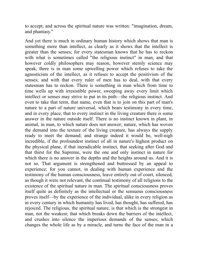to accept, and across the spiritual nature was written: "imagination, dream, and phantasy."

And yet there is much in ordinary human history which shows that man is something more than intellect, as clearly as it shows that the intellect is greater than the senses; for every statesman knows that he has to reckon with what is sometimes called "the religious instinct" in man, and that however coldly philosophers may reason, however sternly science may speak, there is in man some upwelling power which refuses to take the agnosticism of the intellect, as it refuses to accept the positivism of the senses; and with that every ruler of men has to deal, with that every statesman has to reckon. There is something in man which from time to time wells up with irresistible power, sweeping away every limit which intellect or senses may strive to put in its path—the religious instinct. And even to take that term, that name, even that is to join on this part of man's nature to a part of nature universal, which bears testimony in every time, and in every place, that to every instinct in the living creature there is some answer in the nature outside itself. There is no instinct known in plant, in animal, in man, to which nature does not answer; nature, which has woven the demand into the texture of the living creature, has always the supply ready to meet the demand; and strange indeed it would be, well-nigh incredible, if the profoundest instinct of all in nature's highest product on the physical plane, if that ineradicable instinct, that seeking after God and that thirst for the Supreme, were the one and only instinct in nature for which there is no answer in the depths and the heights around us. And it is not so. That argument is strengthened and buttressed by an appeal to experience; for you cannot, in dealing with human experience and the testimony of the human consciousness, leave entirely out of court, silenced, as though it were not relevant, the continual testimony of all religions to the existence of the spiritual nature in man. The spiritual consciousness proves itself quite as definitely as the intellectual or the sensuous consciousness proves itself—by the experience of the individual, alike in every religion as in every century in which humanity has lived, has thought, has suffered, has rejoiced. The religious, the spiritual nature, is that which is the strongest in man, not the weakest; that which breaks down the barriers of the intellect, and crushes into silence the imperious demands of the senses; which changes the whole life as by a miracle, and turns the face of the man in a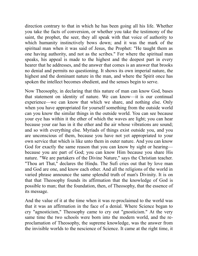direction contrary to that in which he has been going all his life. Whether you take the facts of conversion, or whether you take the testimony of the saint, the prophet, the seer, they all speak with that voice of authority to which humanity instinctively bows down; and it was the mark of the spiritual man when it was said of Jesus, the Prophet: "He taught them as one having authority, and not as the scribes." For where the spiritual man speaks, his appeal is made to the highest and the deepest part in every hearer that he addresses, and the answer that comes is an answer that brooks no denial and permits no questioning. It shows its own imperial nature, the highest and the dominant nature in the man, and where the Spirit once has spoken the intellect becomes obedient, and the senses begin to serve.

Now Theosophy, in declaring that this nature of man can know God, bases that statement on identity of nature. We can know—it is our continual experience—we can know that which we share, and nothing else. Only when you have appropriated for yourself something from the outside world can you know the similar things in the outside world. You can see because your eye has within it the ether of which the waves are light; you can hear because your ear has in it the ether and the air whose vibrations are sound; and so with everything else. Myriads of things exist outside you, and you are unconscious of them, because you have not yet appropriated to your own service that which is like unto them in outer nature. And you can know God for exactly the same reason that you can know by sight or hearing because you are part of God; you can know Him because you share His nature. "We are partakers of the Divine Nature," says the Christian teacher. "Thou art That," declares the Hindu. The Sufi cries out that by love man and God are one, and know each other. And all the religions of the world in varied phrase announce the same splendid truth of man's Divinity. It is on that that Theosophy founds its affirmation that the knowledge of God is possible to man; that the foundation, then, of Theosophy, that the essence of its message.

And the value of it at the time when it was re-proclaimed to the world was that it was an affirmation in the face of a denial. Where Science began to cry "agnosticism," Theosophy came to cry out "gnosticism." At the very same time the two schools were born into the modern world, and the reproclamation of Theosophy, the supreme knowledge, was the answer from the invisible worlds to the nescience of Science. It came at the right time, it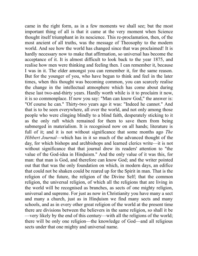came in the right form, as in a few moments we shall see; but the most important thing of all is that it came at the very moment when Science thought itself triumphant in its nescience. This re-proclamation, then, of the most ancient of all truths, was the message of Theosophy to the modern world. And see how the world has changed since that was proclaimed! It is hardly necessary now to make that affirmation, so universal has become the acceptance of it. It is almost difficult to look back to the year 1875, and realise how men were thinking and feeling then. I can remember it, because I was in it. The elder amongst you can remember it, for the same reason. But for the younger of you, who have begun to think and feel in the later times, when this thought was becoming common, you can scarcely realise the change in the intellectual atmosphere which has come about during these last two-and-thirty years. Hardly worth while is it to proclaim it now, it is so commonplace. If now you say: "Man can know God," the answer is: "Of course he can." Thirty-two years ago it was: "Indeed he cannot." And that is to be seen everywhere, all over the world, and not only among those people who were clinging blindly to a blind faith, desperately sticking to it as the only raft which remained for them to save them from being submerged in materialism. It is recognised now on all hands; literature is full of it; and it is not without significance that some months ago *The Hibbert Journal*—which has in it so much of the advanced thought of the day, for which bishops and archbishops and learned clerics write—it is not without significance that that journal drew its readers' attention to "the value of the God-idea in Hinduism." And the only value of it was this, for man: that man is God, and therefore can know God; and the writer pointed out that that was the only foundation on which, in modern days, an edifice that could not be shaken could be reared up for the Spirit in man. That is the religion of the future, the religion of the Divine Self; that the common religion, the universal religion, of which all the religions that are living in the world will be recognised as branches, as sects of one mighty religion, universal and supreme. For just as now in Christianity you have many a sect and many a church, just as in Hinduism we find many sects and many schools, and as in every other great religion of the world at the present time there are divisions between the believers in the same religion, so shall it be —very likely by the end of this century—with all the religions of the world; there will be only one religion—the knowledge of God—and all religious sects under that one mighty and universal name.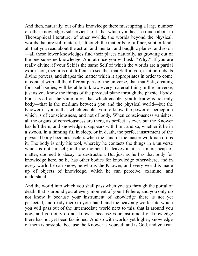And then, naturally, out of this knowledge there must spring a large number of other knowledges subservient to it, that which you hear so much about in Theosophical literature, of other worlds, the worlds beyond the physical, worlds that are still material, although the matter be of a finer, subtler kind; all that you read about the astral, and mental, and buddhic planes, and so on —all these lower knowledges find their places naturally, as growing out of the one supreme knowledge. And at once you will ask: "Why?" If you are really divine, if your Self is the same Self of which the worlds are a partial expression, then it is not difficult to see that that Self in you, as it unfolds its divine powers, and shapes the matter which it appropriates in order to come in contact with all the different parts of the universe, that that Self, creating for itself bodies, will be able to know every material thing in the universe, just as you know the things of the physical plane through the physical body. For it is all on the same lines: that which enables you to know is not only body—that is the medium between you and the physical world—but the Knower in you is that which enables you to know, the power of perception which is of consciousness, and not of body. When consciousness vanishes, all the organs of consciousness are there, as perfect as ever, but the Knower has left them, and knowledge disappears with him; and so, whether it be in a swoon, in a fainting fit, in sleep, or in death, the perfect instrument of the physical body becomes useless when the hand of the master workman drops it. The body is only his tool, whereby he contacts the things in a universe which is not himself; and the moment he leaves it, it is a mere heap of matter, doomed to decay, to destruction. But just as he has that body for knowledge here, so he has other bodies for knowledge otherwhere, and in every world he can know, he who is the Knower, and every world is made up of objects of knowledge, which he can perceive, examine, and understand.

And the world into which you shall pass when you go through the portal of death, that is around you at every moment of your life here, and you only do not know it because your instrument of knowledge there is not yet perfected, and ready there to your hand; and the heavenly world into which you will pass out of the intermediate world next to this, that is around you now, and you only do not know it because your instrument of knowledge there has not yet been fashioned. And so with worlds yet higher, knowledge of them is possible, because the Knower is yourself and is God, and you can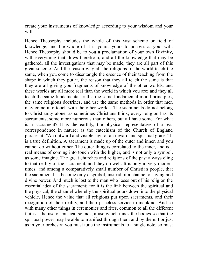create your instruments of knowledge according to your wisdom and your will.

Hence Theosophy includes the whole of this vast scheme or field of knowledge; and the whole of it is yours, yours to possess at your will. Hence Theosophy should be to you a proclamation of your own Divinity, with everything that flows therefrom; and all the knowledge that may be gathered, all the investigations that may be made, they are all part of this great scheme. And the reason why all the religions of the world teach the same, when you come to disentangle the essence of their teaching from the shape in which they put it, the reason that they all teach the same is that they are all giving you fragments of knowledge of the other worlds, and these worlds are all more real than the world in which you are; and they all teach the same fundamental truths, the same fundamental moral principles, the same religious doctrines, and use the same methods in order that men may come into touch with the other worlds. The sacraments do not belong to Christianity alone, as sometimes Christians think; every religion has its sacraments, some more numerous than others, but all have some. For what is a sacrament? It is the earthly, the physical representative of a real correspondence in nature; as the catechism of the Church of England phrases it: "An outward and visible sign of an inward and spiritual grace." It is a true definition. A sacrament is made up of the outer and inner, and you cannot do without either. The outer thing is correlated to the inner, and is a real means of coming into touch with the higher, and is not only a symbol, as some imagine. The great churches and religions of the past always cling to that reality of the sacrament, and they do well. It is only in very modern times, and among a comparatively small number of Christian people, that the sacrament has become only a symbol, instead of a channel of living and divine power. And much is lost to the man who loses out of his religion the essential idea of the sacrament; for it is the link between the spiritual and the physical, the channel whereby the spiritual pours down into the physical vehicle. Hence the value that all religions put upon sacraments, and their recognition of their reality, and their priceless service to mankind. And so with many other things in ceremonies and rites, common to all the different faiths—the use of musical sounds, a use which tunes the bodies so that the spiritual power may be able to manifest through them and by them. For just as in your orchestra you must tune the instruments to a single note, so must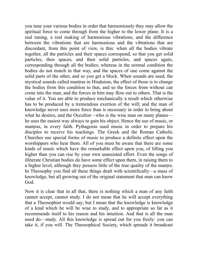you tune your various bodies in order that harmoniously they may allow the spiritual force to come through from the higher to the lower plane. It is a real tuning, a real making of harmonious vibrations; and the difference between the vibrations that are harmonious and the vibrations that are discordant, from this point of view, is this: when all the bodies vibrate together, all the particles and their spaces correspond, so that you get solid particles, then spaces, and then solid particles, and spaces again, corresponding through all the bodies; whereas in the normal condition the bodies do not match in that way, and the spaces of one come against the solid parts of the other, and so you get a block. When sounds are used, the mystical sounds called mantras in Hinduism, the effect of those is to change the bodies from this condition to that, and so the forces from without can come into the man, and the forces in him may flow out to others. That is the value of it. You are able to produce mechanically a result which otherwise has to be produced by a tremendous exertion of the will; and the man of knowledge never uses more force than is necessary in order to bring about what he desires, and the Occultist—who is the wise man on many planes he uses the easiest way always to gain his object. Hence the use of music, or mantras, in every faith. Pythagoras used music in order to prepare his disciples to receive his teachings. The Greek and the Roman Catholic Churches use special forms of music to produce a definite effect upon the worshippers who hear them. All of you must be aware that there are some kinds of music which have the remarkable effect upon you, of lifting you higher than you can rise by your own unassisted effort. Even the songs of illiterate Christian bodies do have some effect upon them, in raising them to a higher level, although they possess little of the true quality of the mantra. In Theosophy you find all these things dealt with scientifically—a mass of knowledge, but all growing out of the original statement that man can know God.

Now it is clear that in all that, there is nothing which a man of any faith cannot accept, cannot study. I do not mean that he will accept everything that a Theosophist would say; but I mean that the knowledge is knowledge of a kind which he will be wise to study, and to appropriate so far as it recommends itself to his reason and his intuition. And that is all the man need do—study. All this knowledge is spread out for you freely: you can take it, if you will. The Theosophical Society, which spreads it broadcast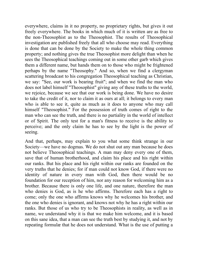everywhere, claims in it no property, no proprietary rights, but gives it out freely everywhere. The books in which much of it is written are as free to the non-Theosophist as to the Theosophist. The results of Theosophical investigation are published freely that all who choose may read. Everything is done that can be done by the Society to make the whole thing common property; and nothing gives the true Theosophist more delight than when he sees the Theosophical teachings coming out in some other garb which gives them a different name, but hands them on to those who might be frightened perhaps by the name "Theosophy." And so, when we find a clergyman scattering broadcast to his congregation Theosophical teaching as Christian, we say: "See, our work is bearing fruit"; and when we find the man who does not label himself "Theosophist" giving any of these truths to the world, we rejoice, because we see that our work is being done. We have no desire to take the credit of it, nor to claim it as ours at all; it belongs to every man who is able to see it, quite as much as it does to anyone who may call himself "Theosophist." For the possession of truth comes of right to the man who can see the truth, and there is no partiality in the world of intellect or of Spirit. The only test for a man's fitness to receive is the ability to perceive; and the only claim he has to see by the light is the power of seeing.

And that, perhaps, may explain to you what some think strange in our Society—we have no dogmas. We do not shut out any man because he does not believe Theosophical teachings. A man may deny every one of them, save that of human brotherhood, and claim his place and his right within our ranks. But his place and his right within our ranks are founded on the very truths that he denies; for if man could not know God, if there were no identity of nature in every man with God, then there would be no foundation for our reception of him, nor any reason for welcoming him as a brother. Because there is only one life, and one nature, therefore the man who denies is God, as is he who affirms. Therefore each has a right to come; only the one who affirms knows why he welcomes his brother, and the one who denies is ignorant, and knows not why he has a right within our ranks. But those of us who try to be Theosophists in reality, as well as in name, we understand why it is that we make him welcome, and it is based on this sane idea, that a man can see the truth best by studying it, and not by repeating formulæ that he does not understand. What is the use of putting a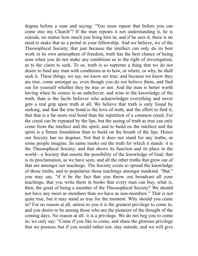dogma before a man and saying: "You must repeat that before you can come into my Church"? If the man repeats it not understanding it, he is outside, no matter how much you bring him in; and if he sees it, there is no need to make that as a portal to your fellowship. And we believe, we of the Theosophical Society, that just because the intellect can only do its best work in its own atmosphere of freedom, truth has the best chance of being seen when you do not make any conditions as to the right of investigation, as to the claim to seek. To us, truth is so supreme a thing that we do not desire to bind any man with conditions as to how, or where, or why, he shall seek it. These things, we say, we know are true; and because we know they are true, come amongst us, even though you do not believe them, and find out for yourself whether they be true or not. And the man is better worth having when he comes in an unbeliever, and wins to the knowledge of the truth, than is the facile believer who acknowledges everything and never gets a real grip upon truth at all. We believe that truth is only found by seeking, and that the true bond is the love of truth, and the effort to find it; that that is a far more real bond than the repetition of a common creed. For the creed can be repeated by the lips, but the seeing of truth as true can only come from the intellect and the spirit, and to build on the intellect and the spirit is a firmer foundation than to build on the breath of the lips. Hence our Society has no dogmas. Not that it does not stand for any truths, as some people imagine. Its name marks out the truth for which it stands: it is the Theosophical Society; and that shows its function and its place in the world—a Society that asserts the possibility of the knowledge of God; that is its proclamation, as we have seen, and all the other truths that grow out of that are amongst our teachings. The Society exists to spread the knowledge of those truths, and to popularise those teachings amongst mankind. "But," you may say, "if it be the fact that you throw out broadcast all your teachings, that you write them in books that every man can buy, what is, then, the good of being a member of the Theosophical Society? We should not have any more as members than we have as non-members." That is not quite true, but it may stand as true for the moment. Why should you come in? For no reason at all, unless to you it is the greatest privilege to come in, and you desire to be among those who are the pioneers of the thought of the coming days. No reason at all: it is a privilege. We do not beg you to come in; we only say: "Come if you like to come, and share the glorious privilege that we possess; but if you would rather not, stay outside, and we will give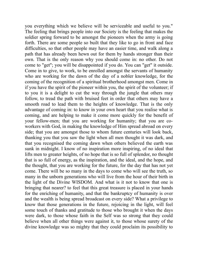you everything which we believe will be serviceable and useful to you." The feeling that brings people into our Society is the feeling that makes the soldier spring forward to be amongst the pioneers when the army is going forth. There are some people so built that they like to go in front and face difficulties, so that other people may have an easier time, and walk along a path that has already been hewn out for them by hands stronger than their own. That is the only reason why you should come in: no other. Do not come to "get"; you will be disappointed if you do. You can "get" it outside. Come in to give, to work, to be enrolled amongst the servants of humanity who are working for the dawn of the day of a nobler knowledge, for the coming of the recognition of a spiritual brotherhood amongst men. Come in if you have the spirit of the pioneer within you, the spirit of the volunteer; if to you it is a delight to cut the way through the jungle that others may follow, to tread the path with bruised feet in order that others may have a smooth road to lead them to the heights of knowledge. That is the only advantage of coming in: to know in your own heart that you realise what is coming, and are helping to make it come more quickly for the benefit of your fellow-men; that you are working for humanity; that you are coworkers with God, in making the knowledge of Him spread abroad on every side; that you are amongst those to whom future centuries will look back, thanking you that you saw the light when all men thought it was dark, and that you recognised the coming dawn when others believed the earth was sunk in midnight. I know of no inspiration more inspiring, of no ideal that lifts men to greater heights, of no hope that is so full of splendor, no thought that is so full of energy, as the inspiration, and the ideal, and the hope, and the thought, that you are working for the future, for the day that has not yet come. There will be so many in the days to come who will see the truth, so many in the unborn generations who will live from the hour of their birth in the light of the Divine WISDOM. And what is it not to know that one is bringing that nearer? to feel that this great treasure is placed in your hands for the enriching of humanity, and that the bankruptcy of humanity is over and the wealth is being spread broadcast on every side? What a privilege to know that those generations in the future, rejoicing in the light, will feel some touch of thanks and gratitude to those who brought it when the days were dark, to those whose faith in the Self was so strong that they could believe when all other things were against it, to those whose surety of the divine knowledge was so mighty that they could proclaim its possibility to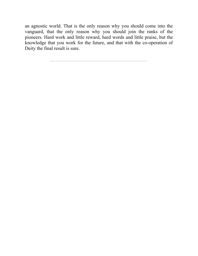an agnostic world. That is the only reason why you should come into the vanguard, that the only reason why you should join the ranks of the pioneers. Hard work and little reward, hard words and little praise, but the knowledge that you work for the future, and that with the co-operation of Deity the final result is sure.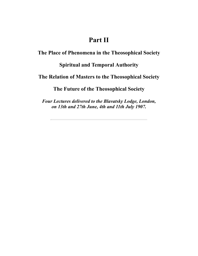# **Part II**

**The Place of Phenomena in the Theosophical Society**

### **Spiritual and Temporal Authority**

#### **The Relation of Masters to the Theosophical Society**

**The Future of the Theosophical Society**

*Four Lectures delivered to the Blavatsky Lodge, London, on 13th and 27th June, 4th and 11th July 1907.*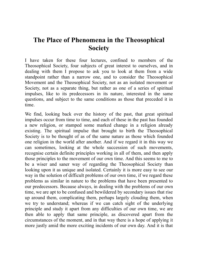# **The Place of Phenomena in the Theosophical Society**

I have taken for these four lectures, confined to members of the Theosophical Society, four subjects of great interest to ourselves, and in dealing with them I propose to ask you to look at them from a wide standpoint rather than a narrow one, and to consider the Theosophical Movement and the Theosophical Society, not as an isolated movement or Society, not as a separate thing, but rather as one of a series of spiritual impulses, like to its predecessors in its nature, interested in the same questions, and subject to the same conditions as those that preceded it in time.

We find, looking back over the history of the past, that great spiritual impulses occur from time to time, and each of these in the past has founded a new religion, or stamped some marked change in a religion already existing. The spiritual impulse that brought to birth the Theosophical Society is to be thought of as of the same nature as those which founded one religion in the world after another. And if we regard it in this way we can sometimes, looking at the whole succession of such movements, recognise certain definite principles working in all of them, and then apply those principles to the movement of our own time. And this seems to me to be a wiser and saner way of regarding the Theosophical Society than looking upon it as unique and isolated. Certainly it is more easy to see our way in the solution of difficult problems of our own time, if we regard these problems as similar in nature to the problems that have been presented to our predecessors. Because always, in dealing with the problems of our own time, we are apt to be confused and bewildered by secondary issues that rise up around them, complicating them, perhaps largely clouding them, when we try to understand; whereas if we can catch sight of the underlying principle and study it apart from any difficulties of our own time, we are then able to apply that same principle, as discovered apart from the circumstances of the moment, and in that way there is a hope of applying it more justly amid the more exciting incidents of our own day. And it is that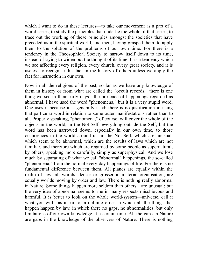which I want to do in these lectures—to take our movement as a part of a world series, to study the principles that underlie the whole of that series, to trace out the working of these principles amongst the societies that have preceded us in the spiritual world, and then, having grasped them, to apply them to the solution of the problems of our own time. For there is a tendency in the Theosophical Society to narrow itself down to its time, instead of trying to widen out the thought of its time. It is a tendency which we see affecting every religion, every church, every great society, and it is useless to recognise this fact in the history of others unless we apply the fact for instruction in our own.

Now in all the religions of the past, so far as we have any knowledge of them in history or from what are called the "occult records," there is one thing we see in their early days—the presence of happenings regarded as abnormal. I have used the word "phenomena," but it is a very stupid word. One uses it because it is generally used; there is no justification in using that particular word in relation to some outer manifestations rather than to all. Properly speaking, "phenomena," of course, will cover the whole of the objects in the world, in the Not-Self, everything outside the Self; but the word has been narrowed down, especially in our own time, to those occurrences in the world around us, in the Not-Self, which are unusual, which seem to be abnormal, which are the results of laws which are not familiar, and therefore which are regarded by some people as supernatural, by others, speaking more carefully, simply as superphysical. And we lose much by separating off what we call "abnormal" happenings, the so-called "phenomena," from the normal every-day happenings of life. For there is no fundamental difference between them. All planes are equally within the realm of law; all worlds, denser or grosser in material organisation, are equally worlds moving by order and law. There is nothing really abnormal in Nature. Some things happen more seldom than others—are unusual; but the very idea of abnormal seems to me in many respects mischievous and harmful. It is better to look on the whole world-system—universe, call it what you will—as a part of a definite order in which all the things that happen happen by law, in which there no gaps, no abnormalities, but only limitations of our own knowledge at a certain time. All the gaps in Nature are gaps in the knowledge of the observers of Nature. There is nothing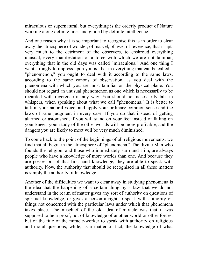miraculous or supernatural, but everything is the orderly product of Nature working along definite lines and guided by definite intelligence.

And one reason why it is so important to recognise this is in order to clear away the atmosphere of wonder, of marvel, of awe, of reverence, that is apt, very much to the detriment of the observers, to enshroud everything unusual, every manifestation of a force with which we are not familiar, everything that in the old days was called "miraculous." And one thing I want strongly to impress upon you is, that in everything that can be called a "phenomenon," you ought to deal with it according to the same laws, according to the same canons of observation, as you deal with the phenomena with which you are most familiar on the physical plane. You should not regard an unusual phenomenon as one which is necessarily to be regarded with reverence in any way. You should not necessarily talk in whispers, when speaking about what we call "phenomena." It is better to talk in your natural voice, and apply your ordinary common sense and the laws of sane judgment in every case. If you do that instead of getting alarmed or astonished, if you will stand on your feet instead of falling on your knees, your study of the other worlds will be more profitable, and the dangers you are likely to meet will be very much diminished.

To come back to the point of the beginnings of all religious movements, we find that all begin in the atmosphere of "phenomena." The divine Man who founds the religion, and those who immediately surround Him, are always people who have a knowledge of more worlds than one. And because they are possessors of that first-hand knowledge, they are able to speak with authority. Now, the authority that should be recognised in all these matters is simply the authority of knowledge.

Another of the difficulties we want to clear away in studying phenomena is the idea that the happening of a certain thing by a law that we do not understand in the realm of matter gives any sort of authority on questions of spiritual knowledge, or gives a person a right to speak with authority on things not concerned with the particular laws under which that phenomena takes place. The mischief of the old idea of miracle was that it was supposed to be a proof, not of knowledge of another world or other forces, but of the title of the miracle-worker to speak with authority on religious and moral questions; while, as a matter of fact, the knowledge of what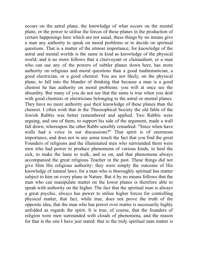occurs on the astral plane, the knowledge of what occurs on the mental plane, or the power to utilise the forces of these planes in the production of certain happenings here which are not usual, these things by no means give a man any authority to speak on moral problems or to decide on spiritual questions. That is a matter of the utmost importance, for knowledge of the astral and mental worlds is the same in kind as knowledge of the physical world; and it no more follows that a clairvoyant or clairaudient, or a man who can use any of the powers of subtler planes down here, has more authority on religious and moral questions than a good mathematician, a good electrician, or a good chemist. You are not likely, on the physical plane, to fall into the blunder of thinking that because a man is a good chemist he has authority on moral problems: you will at once see the absurdity. But many of you do not see that the same is true when you deal with good chemists or electricians belonging to the astral or mental planes. They have no more authority *quâ* their knowledge of these planes than the chemist. I often wish that in the Theosophical Society the old fable of the Jewish Rabbis was better remembered and applied. Two Rabbis were arguing, and one of them, to support his side of the argument, made a wall fall down; whereupon the other Rabbi sensibly remarked: "Since when have walls had a voice in our discussions?" That spirit is of enormous importance, and does not in any sense touch the fact that you find the great Founders of religions and the illuminated men who surrounded them were men who had power to produce phenomena of various kinds, to heal the sick, to make the lame to walk, and so on, and that phenomena always accompanied the great religious Teacher in the past. These things did not give Him His religious authority: they were simply the outcome of His knowledge of natural laws; for a man who is thoroughly spiritual has matter subject to him on every plane in Nature. But it by no means follows that the man who can manipulate matter on the lower planes is therefore able to speak with authority on the higher. The fact that the spiritual man is always a great psychic, always has power to utilise higher forces for controlling physical matter, that fact, while true, does not prove the truth of the opposite idea, that the man who has power over matter is necessarily highly unfolded as regards the spirit. It is true, of course, that the founders of religion were men surrounded with clouds of phenomena, and the reason for that is the one I have just stated: that to the truly spiritual man matter is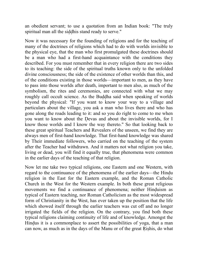an obedient servant; to use a quotation from an Indian book: "The truly spiritual man all the siddhis stand ready to serve."

Now it was necessary for the founding of religions and for the teaching of many of the doctrines of religions which had to do with worlds invisible to the physical eye, that the man who first promulgated these doctrines should be a man who had a first-hand acquaintance with the conditions they described. For you must remember that in every religion there are two sides to its teaching: the side of the spiritual truths known only to the unfolded divine consciousness; the side of the existence of other worlds than this, and of the conditions existing in those worlds—important to men, as they have to pass into those worlds after death, important to men also, as much of the symbolism, the rites and ceremonies, are connected with what we may roughly call occult science. As the Buddha said when speaking of worlds beyond the physical: "If you want to know your way to a village and particulars about the village, you ask a man who lives there and who has gone along the roads leading to it: and so you do right to come to me when you want to know about the Devas and about the invisible worlds, for I know those worlds and I know the way thereto." So that looking back to these great spiritual Teachers and Revealers of the unseen, we find they are always men of first-hand knowledge. That first-hand knowledge was shared by Their immediate followers, who carried on the teaching of the system after the Teacher had withdrawn. And it matters not what religion you take, living or dead, you will find it equally true, that phenomena were common in the earlier days of the teaching of that religion.

Now let me take two typical religions, one Eastern and one Western, with regard to the continuance of the phenomena of the earlier days—the Hindụ religion in the East for the Eastern example, and the Roman Catholic Church in the West for the Western example. In both these great religious movements we find a continuance of phenomena; neither Hinduism as typical of Eastern teaching, nor Roman Catholicism as the most widespread form of Christianity in the West, has ever taken up the position that the life which showed itself through the earlier teachers was cut off and no longer irrigated the fields of the religion. On the contrary, you find both these typical religions claiming continuity of life and of knowledge. Amongst the Hindus it is a commonplace to assert the possibilities of yoga, that a man can now, as much as in the days of the Manu or of the great Rishis, do what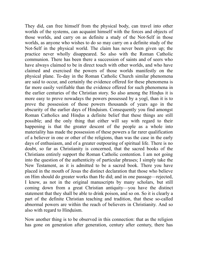They did, can free himself from the physical body, can travel into other worlds of the systems, can acquaint himself with the forces and objects of those worlds, and carry on as definite a study of the Not-Self in those worlds, as anyone who wishes to do so may carry on a definite study of the Not-Self in the physical world. The claim has never been given up; the practice never wholly disappeared. So also with the Roman Catholic communion. There has been there a succession of saints and of seers who have always claimed to be in direct touch with other worlds, and who have claimed and exercised the powers of those worlds manifestly on the physical plane. To-day in the Roman Catholic Church similar phenomena are said to occur, and certainly the evidence offered for these phenomena is far more easily verifiable than the evidence offered for such phenomena in the earlier centuries of the Christian story. So also among the Hindus it is more easy to prove nowadays the powers possessed by a yogî, than it is to prove the possession of those powers thousands of years ago in the obscurity of the earlier days of Hinduism. Consequently you find amongst Roman Catholics and Hindus a definite belief that these things are still possible; and the only thing that either will say with regard to their happening is that the greater descent of the people as a whole into materiality has made the possession of these powers a far rarer qualification of a believer in one or other of the religions, than was the case in the early days of enthusiasm, and of a greater outpouring of spiritual life. There is no doubt, so far as Christianity is concerned, that the sacred books of the Christians entirely support the Roman Catholic contention. I am not going into the question of the authenticity of particular phrases; I simply take the New Testament, as it is admitted to be a sacred book. There you have placed in the mouth of Jesus the distinct declaration that those who believe on Him should do greater works than He did; and in one passage—rejected, I know, as not in the original manuscripts by many scholars, but still coming down from a great Christian antiquity—you have the distinct statement that they shall be able to drink poison, and so on. So it is clearly a part of the definite Christian teaching and tradition, that these so-called abnormal powers are within the reach of believers in Christianity. And so also with regard to Hinduism.

Now another thing is to be observed in this connection: that as the religion has gone on generation after generation, century after century, there has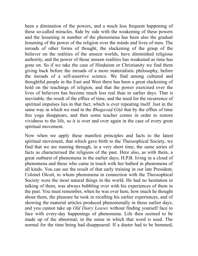been a diminution of the powers, and a much less frequent happening of these so-called miracles. Side by side with the weakening of these powers and the lessening in number of the phenomena has been also the gradual lessening of the power of the religion over the minds and lives of men. The inroads of other forms of thought, the slackening of the grasp of the believer on the realities of the unseen worlds, have diminished religious authority, and the power of those unseen realities has weakened as time has gone on. So if we take the case of Hinduism or Christianity we find them giving back before the inroads of a more materialistic philosophy, before the inroads of a self-assertive science. We find among cultured and thoughtful people in the East and West there has been a great slackening of hold on the teachings of religion, and that the power exercised over the lives of believers has become much less real than in earlier days. That is inevitable, the result of the efflux of time, and the need for the recurrence of spiritual impulses lies in that fact, which is ever repeating itself. Just in the same way in which we read in the *Bhagavad-Gîtâ* that by the efflux of time this yoga disappears, and then some teacher comes in order to restore vividness to the life, so it is over and over again in the case of every great spiritual movement.

Now when we apply these manifest principles and facts to the latest spiritual movement, that which gave birth to the Theosophical Society, we find that we are running through, in a very short time, the same series of facts as characterised the religions of the past. Here also, as with them, a great outburst of phenomena in the earlier days; H.P.B. living in a cloud of phenomena and those who came in touch with her bathed in phenomena of all kinds. You can see the result of that early training in our late President, Colonel Olcott, to whom phenomena in connection with the Theosophical Society were the most natural things in the world. He had no hesitation in talking of them, was always bubbling over with his experiences of them in the past. You must remember, when he was over here, how much he thought about them, the pleasure he took in recalling his earlier experiences, and of showing the material articles produced phenomenally in those earlier days; and you cannot take up *Old Diary Leaves* without finding yourself face to face with every-day happenings of phenomena. Life then seemed to be made up of the abnormal, in the sense in which that word is used. The normal for the time being had disappeared. If a duster had to be hemmed,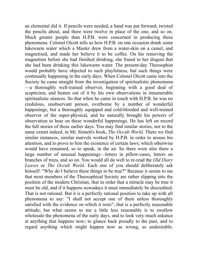an elemental did it. If pencils were needed, a hand was put forward, twisted the pencils about, and there were twelve in place of the one, and so on. Much greater people than H.P.B. were concerned in producing these phenomena. Colonel Olcott tells us how H.P.B. on one occasion drank some lukewarm water which a Master drew from a water-skin on a camel, and magnetised, and made her believe it to be coffee. On his removing the magnetism before she had finished drinking, she found to her disgust that she had been drinking this lukewarm water. The present-day Theosophist would probably have objected to such playfulness, but such things were continually happening in the early days. When Colonel Olcott came into the Society he came straight from the investigation of spiritualistic phenomena —a thoroughly well-trained observer, beginning with a good deal of scepticism, and beaten out of it by his own observations in innumerable spiritualistic séances. So that when he came in touch with H.P.B. he was no credulous, unobservant person, overborne by a number of wonderful happenings, but a thoroughly equipped and cold-blooded and well-trained observer of the super-physical, and he naturally brought his powers of observation to bear on these wonderful happenings. He has left on record the full stories of these earlier days. You may find similar stories, not to the same extent indeed, in Mr. Sinnett's book, *The Occult World*. There we find similar instances, similar marvels worked by H.P.B. in order to arouse his attention, and to prove to him the existence of certain laws; which otherwise would have remained, so to speak, in the air. So there were also there a large number of unusual happenings—letters in pillow-cases, letters on branches of trees, and so on. You would all do well to re-read the *Old Diary Leaves* or *The Occult World*. Each one of you should deliberately ask himself: "Why do I believe these things to be true?" Because it seems to me that most members of the Theosophical Society are rather slipping into the position of the modern Christian, that in order that a miracle may be true it must be old, and if it happens nowadays it must immediately be discredited. That is not rational. But it is a perfectly rational position to take up with all phenomena to say: "I shall not accept one of them unless thoroughly satisfied with the evidence on which it rests"; that is a perfectly reasonable attitude; but what seems to me a little less reasonable is to swallow wholesale the phenomena of the early days, and to look very much askance at anything that happens now; to glance back proudly to the past, and to regard anything which might happen now as wrong, as undesirable.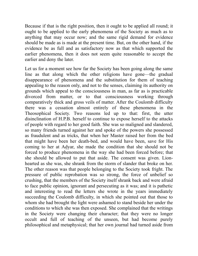Because if that is the right position, then it ought to be applied all round; it ought to be applied to the early phenomena of the Society as much as to anything that may occur now; and the same rigid demand for evidence should be made as is made at the present time. But, on the other hand, if the evidence be as full and as satisfactory now as that which supported the earlier phenomena, then it does not seem quite reasonable to accept the earlier and deny the later.

Let us for a moment see how far the Society has been going along the same line as that along which the other religions have gone—the gradual disappearance of phenomena and the substitution for them of teaching appealing to the reason only, and not to the senses, claiming its authority on grounds which appeal to the consciousness in man, as far as is practicable divorced from matter, or to that consciousness working through comparatively thick and gross veils of matter. After the Coulomb difficulty there was a cessation almost entirely of these phenomena in the Theosophical Society. Two reasons led up to that: first, the utter disinclination of H.P.B. herself to continue to expose herself to the attacks of people with regard to her good faith. She was so maligned and slandered, so many friends turned against her and spoke of the powers she possessed as fraudulent and as tricks, that when her Master raised her from the bed that might have been her death-bed, and would have been, save for His coming to her at Adyar, she made the condition that she should not be forced to produce phenomena in the way she had been forced before; that she should be allowed to put that aside. The consent was given. Lionhearted as she was, she shrank from the storm of slander that broke on her. The other reason was that people belonging to the Society took fright. The pressure of public reprobation was so strong, the force of unbelief so crushing, that the members of the Society itself shrank back and were afraid to face public opinion, ignorant and persecuting as it was; and it is pathetic and interesting to read the letters she wrote in the years immediately succeeding the Coulomb difficulty, in which she pointed out that those to whom she had brought the light were ashamed to stand beside her under the conditions to which she was then exposed. She complained that the writings in the Society were changing their character; that they were no longer occult and full of teaching of the unseen, but had become purely philosophical and metaphysical; that her own journal had turned aside from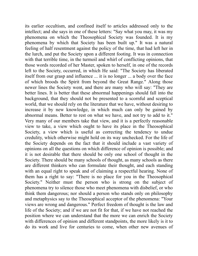its earlier occultism, and confined itself to articles addressed only to the intellect; and she says in one of these letters: "Say what you may, it was my phenomena on which the Theosophical Society was founded. It is my phenomena by which that Society has been built up." It was a natural feeling of half resentment against the policy of the time, that had left her in the lurch, and put the Society upon a different footing. It was in connection with that terrible time, in the turmoil and whirl of conflicting opinions, that those words recorded of her Master, spoken to herself, in one of the records left to the Society, occurred, in which He said: "The Society has liberated itself from our grasp and influence ... it is no longer ... a body over the face of which broods the Spirit from beyond the Great Range." Along those newer lines the Society went, and there are many who will say: "They are better lines. It is better that these abnormal happenings should fall into the background, that they should not be presented to a scornful and sceptical world, that we should rely on the literature that we have, without desiring to increase it by new knowledge, in which much can only be gained by abnormal means. Better to rest on what we have, and not try to add to it." Very many of our members take that view, and it is a perfectly reasonable view to take, a view which ought to have its place in the Theosophical Society, a view which is useful as correcting the tendency to undue credulity, which otherwise might hold on its way unchecked. For the life of the Society depends on the fact that it should include a vast variety of opinions on all the questions on which difference of opinion is possible; and it is not desirable that there should be only one school of thought in the Society. There should be many schools of thought, as many schools as there are different thinkers who can formulate their thought, and each standing with an equal right to speak and of claiming a respectful hearing. None of them has a right to say: "There is no place for you in the Theosophical Society." Neither must the person who is strong on the subject of phenomena try to silence those who meet phenomena with disbelief, or who think them dangerous; nor should a person who stands only on philosophy and metaphysics say to the Theosophical acceptor of the phenomena: "Your views are wrong and dangerous." Perfect freedom of thought is the law and life of the Society; and if we are not fit for that, if we have not reached the position where we can understand that the more we can enrich the Society with differences of opinion and different standpoints, the more likely is it to do its work and live for centuries to come, when other new avenues of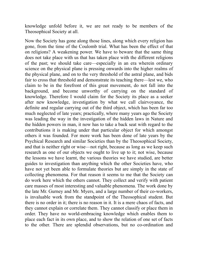knowledge unfold before it, we are not ready to be members of the Theosophical Society at all.

Now the Society has gone along those lines, along which every religion has gone, from the time of the Coulomb trial. What has been the effect of that on religions? A weakening power. We have to beware that the same thing does not take place with us that has taken place with the different religions of the past; we should take care—especially in an era wherein ordinary science on the physical plane is pressing onwards into the higher realms of the physical plane, and on to the very threshold of the astral plane, and bids fair to cross that threshold and demonstrate its teaching there—lest we, who claim to be in the forefront of this great movement, do not fall into the background, and become unworthy of carrying on the standard of knowledge. Therefore I would claim for the Society its place as a seeker after new knowledge, investigation by what we call clairvoyance, the definite and regular carrying out of the third object, which has been far too much neglected of late years; practically, where many years ago the Society was leading the way in the investigation of the hidden laws in Nature and the hidden powers in man, it now has to take a back seat with regard to the contributions it is making under that particular object for which amongst others it was founded. For more work has been done of late years by the Psychical Research and similar Societies than by the Theosophical Society, and that is neither right or wise—not right, because as long as we keep such research as one of our objects we ought to live up to it; not wise, because the lessons we have learnt, the various theories we have studied, are better guides to investigation than anything which the other Societies have, who have not yet been able to formulate theories but are simply in the state of collecting phenomena. For that reason it seems to me that the Society can do work here which the others cannot. They collect and verify with patient care masses of most interesting and valuable phenomena. The work done by the late Mr. Gurney and Mr. Myers, and a large number of their co-workers, is invaluable work from the standpoint of the Theosophical student. But there is no order in it; there is no reason in it. It is a mere chaos of facts, and they cannot explain or correlate them. They cannot classify or place them in order. They have no world-embracing knowledge which enables them to place each fact in its own place, and to show the relation of one set of facts to the other. There are splendid observations, but no co-ordination and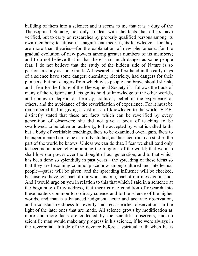building of them into a science; and it seems to me that it is a duty of the Theosophical Society, not only to deal with the facts that others have verified, but to carry on researches by properly qualified persons among its own members; to utilise its magnificent theories, its knowledge—for they are more than theories—for the explanation of new phenomena, for the gradual evolution of new powers among greater numbers of its members; and I do not believe that in that there is so much danger as some people fear. I do not believe that the study of the hidden side of Nature is so perilous a study as some think. All researches at first hand in the early days of a science have some danger: chemistry, electricity, had dangers for their pioneers, but not dangers from which wise people and brave should shrink; and I fear for the future of the Theosophical Society if it follows the track of many of the religions and lets go its hold of knowledge of the other worlds, and comes to depend on hearsay, tradition, belief in the experience of others, and the avoidance of the reverification of experience. For it must be remembered that in giving a vast mass of knowledge to the world, H.P.B. distinctly stated that these are facts which can be reverified by every generation of observers; she did not give a body of teaching to be swallowed, to be taken on authority, to be accepted by what is called faith; but a body of verifiable teachings, facts to be examined over again, facts to be experimented on, to be carefully studied, as the scientific man studies the part of the world he knows. Unless we can do that, I fear we shall tend only to become another religion among the religions of the world; that we also shall lose our power over the thought of our generation, and to that which has been done so splendidly in past years—the spreading of these ideas so that they are becoming commonplace now among cultured and intellectual people—pause will be given, and the spreading influence will be checked, because we have left part of our work undone, part of our message unsaid. And I would urge on you in relation to this that which I said in a sentence at the beginning of my address, that there is one condition of research into these matters common to ordinary science and to the science of the higher worlds, and that is a balanced judgment, acute and accurate observation, and a constant readiness to reverify and recast earlier observations in the light of the later ones that are made. All science grows by modification as more and more facts are collected by the scientific observers, and no scientific man would make any progress in his science, if he were always in the reverential attitude of the devotee before a spiritual truth when he is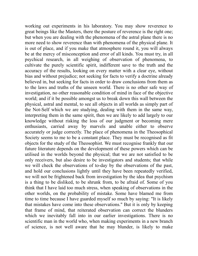working out experiments in his laboratory. You may show reverence to great beings like the Masters, there the posture of reverence is the right one; but when you are dealing with the phenomena of the astral plane there is no more need to show reverence than with phenomena of the physical plane. It is out of place, and if you make that atmosphere round it, you will always be at the mercy of misconception and error of all kinds. You must try, in all psychical research, in all weighing of observation of phenomena, to cultivate the purely scientific spirit, indifferent save to the truth and the accuracy of the results, looking on every matter with a clear eye, without bias and without prejudice; not seeking for facts to verify a doctrine already believed in, but seeking for facts in order to draw conclusions from them as to the laws and truths of the unseen world. There is no other safe way of investigation, no other reasonable condition of mind in face of the objective world; and if it be possible amongst us to break down this wall between the physical, astral and mental, to see all objects in all worlds as simply part of the Not-Self which we are studying, dealing with them in the same way, interpreting them in the same spirit, then we are likely to add largely to our knowledge without risking the loss of our judgment or becoming mere enthusiasts, carried away by marvels and unable either to observe accurately or judge correctly. The place of phenomena in the Theosophical Society seems to me to be a constant place. They must be recognised as fit objects for the study of the Theosophist. We must recognise frankly that our future literature depends on the development of these powers which can be utilised in the worlds beyond the physical; that we are not satisfied to be only receivers, but also desire to be investigators and students; that while we will check the observations of to-day by the observations of the past, and hold our conclusions lightly until they have been repeatedly verified, we will not be frightened back from investigation by the idea that psychism is a thing to be disliked, to be shrunk from, to be afraid of. Some of you think that I have laid too much stress, when speaking of observations in the other worlds, on the probability of mistake. Some have blamed me from time to time because I have guarded myself so much by saying: "It is likely that mistakes have come into these observations." But it is only by keeping that frame of mind, that reiterated observation can correct the blunders which we inevitably fall into in our earlier investigations. There is no scientific man in the world who, when making experiments in a new branch of science, is not well aware that he may blunder, is likely to make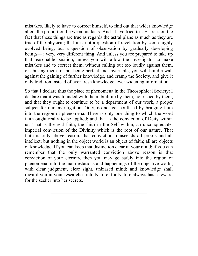mistakes, likely to have to correct himself, to find out that wider knowledge alters the proportion between his facts. And I have tried to lay stress on the fact that these things are true as regards the astral plane as much as they are true of the physical; that it is not a question of revelation by some highly evolved being, but a question of observation by gradually developing beings—a very, very different thing. And unless you are prepared to take up that reasonable position, unless you will allow the investigator to make mistakes and to correct them, without calling out too loudly against them, or abusing them for not being perfect and invariable, you will build a wall against the gaining of further knowledge, and cramp the Society, and give it only tradition instead of ever fresh knowledge, ever widening information.

So that I declare thus the place of phenomena in the Theosophical Society: I declare that it was founded with them, built up by them, nourished by them, and that they ought to continue to be a department of our work, a proper subject for our investigation. Only, do not get confused by bringing faith into the region of phenomena. There is only one thing to which the word faith ought really to be applied: and that is the conviction of Deity within us. That is the real faith, the faith in the Self within, an unconquerable, imperial conviction of the Divinity which is the root of our nature. That faith is truly above reason; that conviction transcends all proofs and all intellect; but nothing in the object world is an object of faith; all are objects of knowledge. If you can keep that distinction clear in your mind; if you can remember that the only warranted conviction above reason is that conviction of your eternity, then you may go safely into the region of phenomena, into the manifestations and happenings of the objective world, with clear judgment, clear sight, unbiased mind; and knowledge shall reward you in your researches into Nature, for Nature always has a reward for the seeker into her secrets.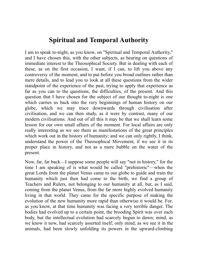### **Spiritual and Temporal Authority**

I am to speak to-night, as you know, on "Spiritual and Temporal Authority," and I have chosen this, with the other subjects, as bearing on questions of immediate interest to the Theosophical Society. But in dealing with each of these, as on the first occasion, I want, if I can, to lift you above any controversy of the moment, and to put before you broad outlines rather than mere details, and to lead you to look at all these questions from the wider standpoint of the experience of the past, trying to apply that experience as far as you can to the questions, the difficulties, of the present. And this question that I have chosen for the subject of our thought to-night is one which carries us back into the very beginnings of human history on our globe, which we may trace downwards through civilisation after civilisation, and we can then study, as it were by contrast, many of our modern civilisations. And out of all this it may be that we shall learn some lesson for our own small affairs of the moment. For local affairs are only really interesting as we see them as manifestations of the great principles which work out in the history of humanity; and we can only rightly, I think, understand the power of the Theosophical Movement, if we see it in its proper place in history, and not as a mere bubble on the water of the present.

Now, far, far back—I suppose some people will say "not in history," for the time I am speaking of is what would be called "prehistoric"—when the great Lords from the planet Venus came to our globe to guide and train the humanity which just then had come to the birth, we find a group of Teachers and Rulers, not belonging to our humanity at all, but, as I said, coming from the planet Venus, from the far more highly evolved humanity living in that world. They came for the specific purpose of making the evolution of the new humanity more rapid than otherwise it would be. For, as you know, at that time humanity was facing a very terrible danger. The bodies had evolved up to a certain point, the brooding Spirit was over each body, but the intellectual evolution had scarcely begun to dawn; mind, as we know it now, had scarcely asserted itself; only mind, as we see it in the animals, had been slowly unfolding its powers in the upward-climbing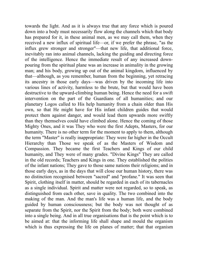towards the light. And as it is always true that any force which is poured down into a body must necessarily flow along the channels which that body has prepared for it, in these animal men, as we may call them, when they received a new influx of spiritual life—or, if we prefer the phrase, "as the influx grew stronger and stronger"—that new life, that additional force, inevitably ran into animal channels, lacking the guiding and directing force of the intelligence. Hence the immediate result of any increased downpouring from the spiritual plane was an increase in animality in the growing man; and his body, growing up out of the animal kingdom, influenced by that—although, as you remember, human from the beginning, yet retracing its ancestry in those early days—was driven by the incoming life into various lines of activity, harmless to the brute, but that would have been destructive to the upward-climbing human being. Hence the need for a swift intervention on the part of the Guardians of all humanities; and our planetary Logos called to His help humanity from a chain older than His own, so that He might have for His infant children guides that would protect them against danger, and would lead them upwards more swiftly than they themselves could have climbed alone. Hence the coming of those Mighty Ones, and it was They who were the first Adepts, Masters, for our humanity. There is no other term for the moment to apply to them, although the term "Master" is really inappropriate: They were far higher in the Occult Hierarchy than Those we speak of as the Masters of Wisdom and Compassion. They became the first Teachers and Kings of our child humanity, and They were of many grades. "Divine Kings" They are called in the old records; Teachers and Kings in one. They established the polities of the infant nations; They gave to those same nations their religions; and in those early days, as in the days that will close our human history, there was no distinction recognised between "sacred" and "profane." It was seen that Spirit, clothing itself in matter, should be regarded in each of its tabernacles as a single individual. Spirit and matter were not regarded, so to speak, as distinguished from each other, save in quality. The two combined into the making of the man. And the man's life was a human life, and the body guided by human consciousness; but the body was not thought of as separate from the Spirit, nor the Spirit from the body; both were combined into a single being. And in all true organisations that is the point which is to be aimed at: that the informing life shall shape and mould the organism which is thus expressing the life on planes of matter; that that organism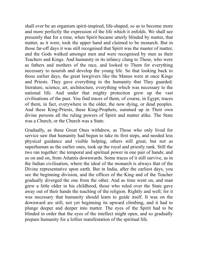shall ever be an organism spirit-inspired, life-shaped, so as to become more and more perfectly the expression of the life which it enfolds. We shall see presently that for a time, when Spirit became utterly blinded by matter, that matter, as it were, took the upper hand and claimed to be monarch. But in those far-off days it was still recognised that Spirit was the master of matter, and the Gods walked amongst men and were recognised by men as their Teachers and Kings. And humanity in its infancy clung to These, who were as fathers and mothers of the race, and looked to Them for everything necessary to nourish and develop the young life. So that looking back to those earlier days, the great lawgivers like the Manus were at once Kings and Priests. They gave everything to the humanity that They guarded: literature, science, art, architecture, everything which was necessary to the national life. And under that mighty protection grew up the vast civilisations of the past. You find traces of them, of course, in Egypt; traces of them, in fact, everywhere in the older, the now dying, or dead peoples. And these King-Priests, these King-Prophets, summed up in Their own divine persons all the ruling powers of Spirit and matter alike. The State was a Church, or the Church was a State.

Gradually, as these Great Ones withdrew, as Those who only lived for service saw that humanity had begun to take its first steps, and needed less physical guidance and visible helping, others still great, but not as superhuman as the earlier ones, took up the royal and priestly rank. Still the two ran together: the temporal and spiritual power in one pair of hands; and so on and on, from Atlantis downwards. Some traces of it still survive, as in the Indian civilisation, where the ideal of the monarch is always that of the Divine representative upon earth. But in India, after the earliest days, you see the beginning division, and the offices of the King and of the Teacher gradually diverged the one from the other. And as time went on, and man grew a little older in his childhood, those who ruled over the State gave away out of their hands the teaching of the religion. Rightly and well; for it was necessary that humanity should learn to guide itself. It was on the downward arc still, not yet beginning its upward climbing, and it had to plunge deeper and deeper into matter. The eyes of the Spirit had to be blinded in order that the eyes of the intellect might open, and so gradually prepare humanity for a loftier manifestation of the spiritual life.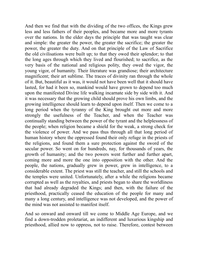And then we find that with the dividing of the two offices, the Kings grew less and less fathers of their peoples, and became more and more tyrants over the nations. In the elder days the principle that was taught was clear and simple: the greater the power, the greater the sacrifice; the greater the power, the greater the duty. And on that principle of the Law of Sacrifice the old civilisations were built up; to that they owed their splendor; to that the long ages through which they lived and flourished; to sacrifice, as the very basis of the national and religious polity, they owed the vigor, the young vigor, of humanity. Their literature was grandiose; their architecture magnificent; their art sublime. The traces of divinity ran through the whole of it. But, beautiful as it was, it would not have been well that it should have lasted, for had it been so, mankind would have grown to depend too much upon the manifested Divine life walking incarnate side by side with it. And it was necessary that the growing child should prove his own limbs, and the growing intelligence should learn to depend upon itself. Then we come to a long period when the tyranny of the King brought out more and more strongly the usefulness of the Teacher, and when the Teacher was continually standing between the power of the tyrant and the helplessness of the people; when religion became a shield for the weak, a strong check for the violence of power. And we pass thus through all that long period of human history where the oppressed found their only refuge in the priests of the religions, and found them a sure protection against the sword of the secular power. So went on for hundreds, nay, for thousands of years, the growth of humanity; and the two powers went further and further apart, coming more and more the one into opposition with the other. And the people, the nations, gradually grew in power, grew in intelligence, to a considerable extent. The priest was still the teacher, and still the schools and the temples were united. Unfortunately, after a while the religions became corrupted as well as the royalties, and priests began to share the worldliness that had already degraded the Kings; and then, with the failure of the priesthood, practically ceased the education of the people for many and many a long century, and intelligence was not developed, and the power of the mind was not assisted to manifest itself.

And so onward and onward till we come to Middle Age Europe, and we find a down-trodden proletariat, an indifferent and luxurious kingship and priesthood, allied now to oppress, not to raise. Therefore, contest between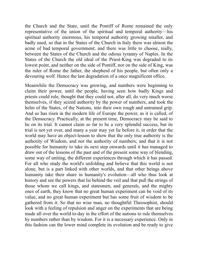the Church and the State, until the Pontiff of Rome remained the only representative of the union of the spiritual and temporal authority—his spiritual authority enormous, his temporal authority growing smaller, and badly used, so that in the States of the Church in Italy there was almost the acme of bad temporal government; and there was little to choose, really, between the States of the Church and the odious tyranny of Naples. In the States of the Church the old ideal of the Priest-King was degraded to its lowest point, and neither on the side of Pontiff, nor on the side of King, was the ruler of Rome the father, the shepherd of his people, but often only a devouring wolf. Hence the last degradation of a once magnificent office.

Meanwhile the Democracy was growing, and numbers were beginning to claim their power, until the people, having seen how badly Kings and priests could rule, thought that they could not, after all, do very much worse themselves, if they seized authority by the power of numbers, and took the helm of the States, of the Nations, into their own rough and untrained grip. And so has risen in the modern life of Europe the power, as it is called, of the Democracy. Practically, at the present time, Democracy may be said to be on its trial. It cannot claim so far to be a very splendid success, but its trial is not yet over, and many a year may yet lie before it, in order that the world may have an object-lesson to show that the only true authority is the authority of Wisdom, and not the authority of numbers; and that it is not possible for humanity to take its next step onwards until it has managed to draw out of the lessons of the past and of the present some way of blending, some way of uniting, the different experiences through which it has passed. For all who study the world's unfolding and believe that this world is not alone, but is a part linked with other worlds, and that other beings above humanity take their share in humanity's evolution—all who thus look at history and see the powers that lie behind the veil and that pull the strings of those whom we call kings, and statesmen, and generals, and the mighty ones of earth, they know that no great human experiment can be void of its value, and no great human experiment but has some fruit of wisdom to be gathered from it. So that no wise man, no thoughtful Theosophist, should look with a feeling of repulsion and anger on the experiments that are being made all over the world to-day in the effort of the nations to rule themselves by numbers rather than by wisdom. For it is a necessary experience. Only in this fashion can the lower mind complete its evolution and be ready to give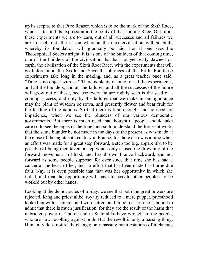up its sceptre to that Pure Reason which is to be the mark of the Sixth Race, which is to find its expression in the polity of that coming Race. Out of all these experiments we are to learn, out of all successes and all failures we are to spell out, the lesson whereon the next civilisation will be built, whereby its foundation will gradually be laid. For if one sees the Theosophical Society aright, it is as one of the builders of that coming time, one of the builders of the civilisation that has not yet really dawned on earth, the civilisation of the Sixth Root Race, with the experiments that will go before it in the Sixth and Seventh sub-races of the Fifth. For these experiments take long in the making, and, as a great teacher once said: "Time is no object with us." There is plenty of time for all the experiments, and all the blunders, and all the failures; and all the successes of the future will grow out of these, because every failure rightly seen is the seed of a coming success, and only by the failures that we make in our ignorance may the plant of wisdom be sown, and presently flower and bear fruit for the feeding of the nations. So that there is time enough, and no need for impatience, when we see the blunders of our various democratic governments. But there is much need that thoughtful people should take care so to see the signs of the time, and so to understand the forces at work, that the same blunder be not made in the days of the present as was made at the close of the eighteenth century in France; for there also was a time when an effort was made for a great step forward, a step too big, apparently, to be possible of being then taken, a step which only caused the drowning of the forward movement in blood, and has thrown France backward, and not forward as some people suppose; for ever since that time she has had a cancer at the heart of her, and no effort that has been made has borne due fruit. Nay, it is even possible that that was her opportunity in which she failed, and that the opportunity will have to pass to other peoples, to be worked out by other hands.

Looking at the democracies of to-day, we see that both the great powers are rejected, King and priest alike, royalty reduced to a mere puppet, priesthood looked on with suspicion and with hatred; and in both cases one is bound to admit that there is much justification, for they are the result of the harm that unbridled power in Church and in State alike have wrought to the people, who are now revolting against both. But the revolt is only a passing thing. Humanity does not really change; only passing manifestations of it change;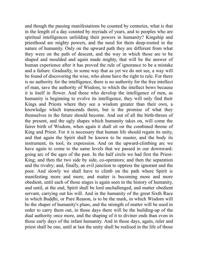and though the passing manifestations be counted by centuries, what is that in the length of a day counted by myriads of years, and to peoples who are spiritual intelligences unfolding their powers in humanity? Kingship and priesthood are mighty powers, and the need for them deep-rooted in the nature of humanity. Only on the upward path they are different from what they were on the path of descent, and the way in which those are to be shaped and moulded and again made mighty, that will be the answer of human experience after it has proved the rule of ignorance to be a mistake and a failure. Gradually, in some way that as yet we do not see, a way will be found of discovering the wise, who alone have the right to rule. For there is no authority for the intelligence, there is no authority for the free intellect of man, save the authority of Wisdom, to which the intellect bows because it is itself in flower. And those who develop the intelligence of men, as humanity is beginning to evolve its intelligence, they will only find their Kings and Priests where they see a wisdom greater than their own, a knowledge which transcends theirs, but is the promise of what they themselves in the future should become. And out of all the birth-throes of the present, and the ugly shapes which humanity takes on, will come the fairer birth of Wisdom, when again it shall sit on the combined throne of King and Priest. For it is necessary that human life should regain its unity, and that again the Spirit shall be known to be master, and the body its instrument, its tool, its expression. And on the upward-climbing arc we have again to come to the same levels that we passed in our downwardgoing arc of the ages of the past. In the half circle we had first the Priest-King; and then the two side by side, co-operators; and then the separation and the rivalry; and, finally, an evil junction to oppress the ignorant and the poor. And slowly we shall have to climb on the path where Spirit is manifesting more and more, and matter is becoming more and more obedient, until each of those stages is again seen in the history of humanity, and until, at the end, Spirit shall be lord unchallenged, and matter obedient servant, carrying out his will. And in the humanity of the great Sixth Race in which Buddhi, or Pure Reason, is to be the mark, in which Wisdom will be the shaper of humanity's plans, and the strength of matter will be used in order to carry them out, in those days there will be the building-up of the dual authority once more, and the shaping of it to diviner ends than even in those early days of the infant humanity. And in those days, again, ruler and priest shall be one, until at last the unity shall be realised in the life of those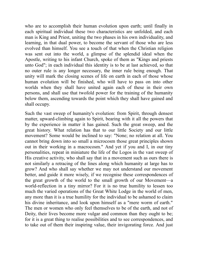who are to accomplish their human evolution upon earth; until finally in each spiritual individual these two characteristics are unfolded, and each man is King and Priest, uniting the two phases in his own individuality, and learning, in that dual power, to become the servant of those who are less evolved than himself. You see a touch of that when the Christian religion was sent out into the world, a glimpse of the splendid ideal when the Apostle, writing to his infant Church, spoke of them as "Kings and priests unto God"; in each individual this identity is to be at last achieved, so that no outer rule is any longer necessary, the inner rule being enough. That unity will mark the closing scenes of life on earth in each of those whose human evolution will be finished, who will have to pass on into other worlds when they shall have united again each of these in their own persons, and shall use that twofold power for the training of the humanity below them, ascending towards the point which they shall have gained and shall occupy.

Such the vast sweep of humanity's evolution: from Spirit, through densest matter, upward-climbing again to Spirit, bearing with it all the powers that by the experience in matter it has gained. Such the great sweep, and the great history. What relation has that to our little Society and our little movement? Some would be inclined to say: "None; no relation at all. You cannot bring down into so small a microcosm those great principles shown out in their working in a macrocosm." And yet if you and I, in our tiny personalities, repeat in miniature the life of the Logos in the vast sweep of His creative activity, who shall say that in a movement such as ours there is not similarly a retracing of the lines along which humanity at large has to grow? And who shall say whether we may not understand our movement better, and guide it more wisely, if we recognise these correspondences of the great growth of the world to the small growth of our Movement—a world-reflection in a tiny mirror? For it is no true humility to lessen too much the varied operations of the Great White Lodge in the world of men, any more than it is a true humility for the individual to be ashamed to claim his divine inheritance, and look upon himself as a "mere worm of earth." The men or women who only feel themselves to be of the earth, and not of Deity, their lives become more vulgar and common than they ought to be; for it is a great thing to realise possibilities and to see correspondences, and to take out of them their inspiring value, their invigorating force. And just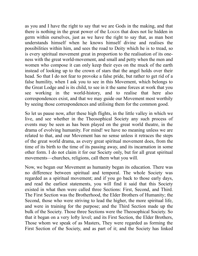as you and I have the right to say that we are Gods in the making, and that there is nothing in the great power of the LOGOS that does not lie hidden in germ within ourselves, just as we have the right to say that, as man best understands himself when he knows himself divine and realises the possibilities within him, and sees the road to Deity which he is to tread, so is every spiritual movement great in proportion to the realisation of its oneness with the great world-movement, and small and petty when the men and women who compose it can only keep their eyes on the muck of the earth instead of looking up to the crown of stars that the angel holds over their head. So that I do not fear to provoke a false pride, but rather to get rid of a false humility, when I ask you to see in this Movement, which belongs to the Great Lodge and is its child, to see in it the same forces at work that you see working in the world-history, and to realise that here also correspondences exist, and that we may guide our Movement most worthily by seeing those correspondences and utilising them for the common good.

So let us pause now, after these high flights, in the little valley in which we live, and see whether in the Theosophical Society any such process of events may be seen as has been played on the great world theatre, in the drama of evolving humanity. For mind! we have no meaning unless we are related to that, and our Movement has no sense unless it retraces the steps of the great world drama, as every great spiritual movement does, from the time of its birth to the time of its passing away, and its incarnation in some other form. I do not claim it for our Society only, but for all great spiritual movements—churches, religions, call them what you will.

Now, we began our Movement as humanity began its education. There was no difference between spiritual and temporal. The whole Society was regarded as a spiritual movement; and if you go back to those early days, and read the earliest statements, you will find it said that this Society existed in what then were called three Sections: First, Second, and Third. The First Section was the Brotherhood, the Elder Brothers of Humanity; the Second, those who were striving to lead the higher, the more spiritual life, and were in training for the purpose; and the Third Section made up the bulk of the Society. Those three Sections were the Theosophical Society. So that it began on a very lofty level; and its First Section, the Elder Brothers, Those whom we speak of as Masters, They were regarded as forming the First Section of the Society, and as part of it; and the Society has linked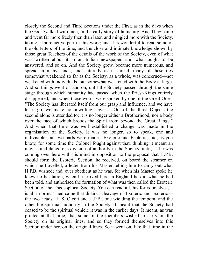closely the Second and Third Sections under the First, as in the days when the Gods walked with men, in the early story of humanity. And They came and went far more freely then than later, and mingled more with the Society, taking a more active part in this work; and it is wonderful to read some of the old letters of the time, and the close and intimate knowledge shown by those great Teachers of the details of the work of the Society, even of what was written about it in an Indian newspaper, and what ought to be answered, and so on. And the Society grew, became more numerous, and spread in many lands; and naturally as it spread, many of these ties somewhat weakened so far as the Society, as a whole, was concerned—not weakened with individuals, but somewhat weakened with the Body at large. And so things went on and on, until the Society passed through the same stage through which humanity had passed when the Priest-Kings entirely disappeared, and when those words were spoken by one of the Great Ones: "The Society has liberated itself from our grasp and influence, and we have let it go; we make no unwilling slaves.... Out of the three Objects the second alone is attended to; it is no longer either a Brotherhood, nor a body over the face of which broods the Spirit from beyond the Great Range." And when that time was well established a change was made in the organisation of the Society. It was no longer, so to speak, one and indivisible, but two parts were made—Exoteric and Esoteric; and, as you know, for some time the Colonel fought against that, thinking it meant an unwise and dangerous division of authority in the Society, until, as he was coming over here with his mind in opposition to the proposal that H.P.B. should form the Esoteric Section, he received, on board the steamer on which he travelled, a letter from his Master telling him to carry out what H.P.B. wished; and, ever obedient as he was, for when his Master spoke he knew no hesitation, when he arrived here in England he did what he had been told, and authorised the formation of what was then called the Esoteric Section of the Theosophical Society. You can read all this for yourselves; it is all in print. Then came that distinct cleavage of Exoteric and Esoteric the two heads, H. S. Olcott and H.P.B., one wielding the temporal and the other the spiritual authority in the Society. It meant that the Society had ceased to be the spiritual vehicle it was in the earlier days. It meant, as was printed at that time, that some of the members wished to carry on the Society on its original lines, and so they formed themselves into this Section under her, on the original lines. So it went on, like that time in the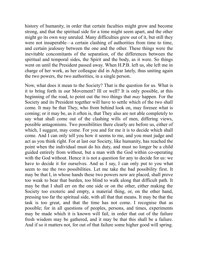history of humanity, in order that certain faculties might grow and become strong, and that the spiritual side for a time might seem apart, and the other might go its own way unruled. Many difficulties grew out of it, but still they were not insuperable—a certain clashing of authorities from time to time, and certain jealousy between the one and the other. These things were the inevitable concomitants of the separation, of the differences between the spiritual and temporal sides, the Spirit and the body, as it were. So things went on until the President passed away. When H.P.B. left us, she left me in charge of her work, as her colleague did in Adyar lately, thus uniting again the two powers, the two authorities, in a single person.

Now, what does it mean to the Society? That is the question for us. What is it to bring forth in our Movement? Ill or well? It is only possible, at this beginning of the road, to point out the two things that *may* happen. For the Society and its President together will have to settle which of the two shall come. It may be that They, who from behind look on, may foresee what is coming; or it may be, as it often is, that They also are not able completely to say what shall come out of the clashing wills of men, differing views, possible antagonisms. Two possibilities there clearly are before us, either of which, I suggest, may come. For you and for me it is to decide which shall come. And I can only tell you how it seems to me, and you must judge and act as you think right. For at last our Society, like humanity, has reached the point when the individual must do his duty, and must no longer be a child guided entirely from without, but a man with the God within co-operating with the God without. Hence it is not a question for any to decide for us: we have to decide it for ourselves. And as I say, I can only put to you what seem to me the two possibilities. Let me take the bad possibility first. It may be that I, in whose hands these two powers now are placed, shall prove too weak to bear that burden, too blind to walk along that difficult path. It may be that I shall err on the one side or on the other, either making the Society too exoteric and empty, a material thing, or, on the other hand, pressing too far the spiritual side, with all that that means. It may be that the task is too great, and that the time has not come. I recognise that as possible; for in all questions of peoples, persons, and times, experiments may be made which it is known will fail, in order that out of the failure fresh wisdom may be gathered, and it may be that this shall be a failure. And if so it matters not, for out of that failure some higher good will spring.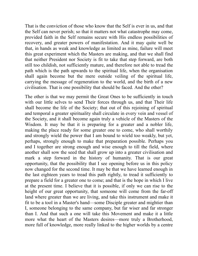That is the conviction of those who know that the Self is ever in us, and that the Self can never perish; so that it matters not what catastrophe may come, provided faith in the Self remains secure with His endless possibilities of recovery, and greater powers of manifestation. And it may quite well be that, in hands as weak and knowledge as limited as mine, failure will meet this great experiment which the Masters are making, and that we shall find that neither President nor Society is fit to take that step forward, are both still too childish, not sufficiently mature, and therefore not able to tread the path which is the path upwards to the spiritual life, when the organisation shall again become but the mere outside veiling of the spiritual life, carrying the message of regeneration to the world, and the birth of a new civilisation. That is one possibility that should be faced. And the other?

The other is that we may permit the Great Ones to be sufficiently in touch with our little selves to send Their forces through us, and that Their life shall become the life of the Society; that out of this rejoining of spiritual and temporal a greater spirituality shall circulate in every vein and vessel of the Society, and it shall become again truly a vehicle of the Masters of the Wisdom. It may be that it is preparing for a greater and a nobler life, making the place ready for some greater one to come, who shall worthily and strongly wield the power that I am bound to wield too weakly, but yet, perhaps, strongly enough to make that preparation possible. Perhaps you and I together are strong enough and wise enough to till the field, where another shall sow the seed that shall grow up into a greater civilisation and mark a step forward in the history of humanity. That is our great opportunity, that the possibility that I see opening before us in this policy now changed for the second time. It may be that we have learned enough in the last eighteen years to tread this path rightly, to tread it sufficiently to prepare a field for a greater one to come; and that is the hope in which I live at the present time. I believe that it is possible, if only we can rise to the height of our great opportunity, that someone will come from the far-off land where greater than we are living, and take this instrument and make it fit to be a tool in a Master's hand—some Disciple greater and mightier than I, someone belonging to the same company, but far wiser and far stronger than I. And that such a one will take this Movement and make it a little more what the heart of the Masters desires—more truly a Brotherhood, more full of knowledge, more really linked to the higher worlds by a centre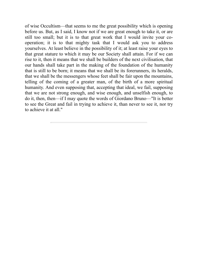of wise Occultism—that seems to me the great possibility which is opening before us. But, as I said, I know not if we are great enough to take it, or are still too small; but it is to that great work that I would invite your cooperation; it is to that mighty task that I would ask you to address yourselves. At least believe in the possibility of it; at least raise your eyes to that great stature to which it may be our Society shall attain. For if we can rise to it, then it means that we shall be builders of the next civilisation, that our hands shall take part in the making of the foundation of the humanity that is still to be born; it means that we shall be its forerunners, its heralds, that we shall be the messengers whose feet shall be fair upon the mountains, telling of the coming of a greater man, of the birth of a more spiritual humanity. And even supposing that, accepting that ideal, we fail, supposing that we are not strong enough, and wise enough, and unselfish enough, to do it, then, then—if I may quote the words of Giordano Bruno—"It is better to see the Great and fail in trying to achieve it, than never to see it, nor try to achieve it at all."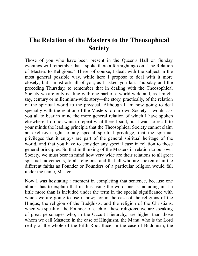## **The Relation of the Masters to the Theosophical Society**

Those of you who have been present in the Queen's Hall on Sunday evenings will remember that I spoke there a fortnight ago on "The Relation of Masters to Religions." There, of course, I dealt with the subject in the most general possible way, while here I propose to deal with it more closely; but I must ask all of you, as I asked you last Thursday and the preceding Thursday, to remember that in dealing with the Theosophical Society we are only dealing with one part of a world-wide and, as I might say, century or millennium-wide story—the story, practically, of the relation of the spiritual world to the physical. Although I am now going to deal specially with the relation of the Masters to our own Society, I would ask you all to bear in mind the more general relation of which I have spoken elsewhere. I do not want to repeat what there I said, but I want to recall to your minds the leading principle that the Theosophical Society cannot claim an exclusive right to any special spiritual privilege, that the spiritual privileges that it enjoys are part of the general spiritual heritage of the world, and that you have to consider any special case in relation to those general principles. So that in thinking of the Masters in relation to our own Society, we must bear in mind how very wide are their relations to all great spiritual movements, to all religions, and that all who are spoken of in the different faiths as Founder or Founders of a particular religion would fall under the name, Master.

Now I was hesitating a moment in completing that sentence, because one almost has to explain that in thus using the word one is including in it a little more than is included under the term in the special significance with which we are going to use it now; for in the case of the religions of the Hindus, the religion of the Buddhists, and the religion of the Christians, when we speak of the Founder of each of these religions, we are speaking of great personages who, in the Occult Hierarchy, are higher than those whom we call Masters: in the case of Hinduism, the Manu, who is the Lord really of the whole of the Fifth Root Race; in the case of Buddhism, the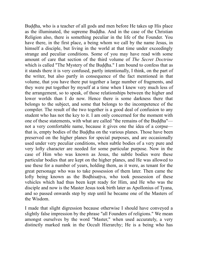Buddha, who is a teacher of all gods and men before He takes up His place as the illuminated, the supreme Buddha. And in the case of the Christian Religion also, there is something peculiar in the life of the Founder. You have there, in the first place, a being whom we call by the name Jesus, in himself a disciple, but living in the world at that time under exceedingly strange and peculiar conditions. Some of you may have read with some amount of care that section of the third volume of *The Secret Doctrine* which is called "The Mystery of the Buddha." I am bound to confess that as it stands there it is very confused, partly intentionally, I think, on the part of the writer, but also partly in consequence of the fact mentioned in that volume, that you have there put together a large number of fragments, and they were put together by myself at a time when I knew very much less of the arrangement, so to speak, of those relationships between the higher and lower worlds than I do now. Hence there is some darkness there that belongs to the subject, and some that belongs to the incompetence of the compiler. The result of the two together is a good deal of confusion to any student who has not the key to it. I am only concerned for the moment with one of these statements, with what are called "the remains of the Buddha" not a very comfortable name, because it gives one the idea of a corpse that is, empty bodies of the Buddha on the various planes. Those have been preserved on the higher planes for special purposes, and are occasionally used under very peculiar conditions, when subtle bodies of a very pure and very lofty character are needed for some particular purpose. Now in the case of Him who was known as Jesus, the subtle bodies were these particular bodies that are kept on the higher planes, and He was allowed to use these for a number of years, holding them, as it were, as tenant for the great personage who was to take possession of them later. Then came the lofty being known as the Bodhisattva, who took possession of these vehicles which had thus been kept ready for Him, and He who was the disciple and now is the Master Jesus took birth later as Apollonius of Tyana, and so passed onwards step by step until he became one of the Masters of the Wisdom.

I made that slight digression because otherwise I should have conveyed a slightly false impression by the phrase "all Founders of religions." We mean amongst ourselves by the word "Master," when used accurately, a very distinctly marked rank in the Occult Hierarchy; He is a being who has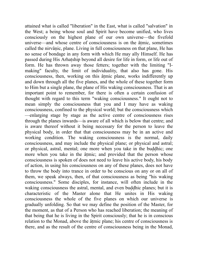attained what is called "liberation" in the East, what is called "salvation" in the West; a being whose soul and Spirit have become unified, who lives consciously on the highest plane of our own universe—the fivefold universe—and whose centre of consciousness is on the âtmic, sometimes called the nirvânic, plane. Living in full consciousness on that plane, He has no sense of bondage in any form with which He may ally Himself. He has passed during His Arhatship beyond all desire for life in form, or life out of form. He has thrown away those fetters; together with the limiting "Imaking" faculty, the limit of individuality, that also has gone. His consciousness, then, working on this âtmic plane, works indifferently up and down through all the five planes, and the whole of these together form to Him but a single plane, the plane of His waking consciousness. That is an important point to remember, for there is often a certain confusion of thought with regard to this term "waking consciousness." It ought not to mean simply the consciousness that you and I may have as waking consciousness, confined to the physical world; but the consciousness which —enlarging stage by stage as the active centre of consciousness rises through the planes inwards—is aware of all which is below that centre; and is aware thereof without it being necessary for the person to leave the physical body, in order that that consciousness may be in an active and working condition. The waking consciousness is the normal, daily consciousness, and may include the physical plane; or physical and astral; or physical, astral, mental; one more when you take in the buddhic; one more when you take in the âtmic; and provided that the person whose consciousness is spoken of does not need to leave his active body, his body of action, in using his consciousness on any of these planes, does not have to throw the body into trance in order to be conscious on any or on all of them, we speak always, then, of that consciousness as being "his waking consciousness." Some disciples, for instance, will often include in the waking consciousness the astral, mental, and even buddhic planes; but it is characteristic of the Master alone that He unites in His waking consciousness the whole of the five planes on which our universe is gradually unfolding. So that we may define the position of the Master, for the moment, as that of a Person who has reached liberation; the meaning of that being that he is living in the Spirit consciously; that he is in conscious relation to the Monad, above the âtmic plane; his centre of consciousness is there, and as the result of the centre of consciousness being in the Monad,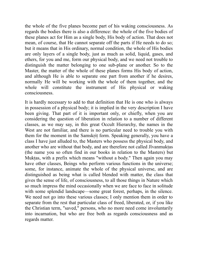the whole of the five planes become part of his waking consciousness. As regards the bodies there is also a difference: the whole of the five bodies of these planes act for Him as a single body, His body of action. That does not mean, of course, that He cannot separate off the parts if He needs to do so; but it means that in His ordinary, normal condition, the whole of His bodies are only layers of a single body, just as much as solid, liquid, gases, and ethers, for you and me, form our physical body, and we need not trouble to distinguish the matter belonging to one sub-plane or another. So to the Master, the matter of the whole of these planes forms His body of action, and although He is able to separate one part from another if he desires, normally He will be working with the whole of them together, and the whole will constitute the instrument of His physical or waking consciousness.

It is hardly necessary to add to that definition that He is one who is always in possession of a physical body; it is implied in the very description I have been giving. That part of it is important only, or chiefly, when you are considering the question of liberation in relation to a number of different classes, as we may say, in this great Occult Hierarchy, the names in the West are not familiar, and there is no particular need to trouble you with them for the moment in the Samskrit form. Speaking generally, you have a class I have just alluded to, the Masters who possess the physical body, and another who are without that body, and are therefore not called Jîvanmuktas (the name you so often find in our books in relation to the Masters) but Muktas, with a prefix which means "without a body." Then again you may have other classes, Beings who perform various functions in the universe; some, for instance, animate the whole of the physical universe, and are distinguished as being what is called blended with matter, the class that gives the sense of life, of consciousness, to all those things in Nature which so much impress the mind occasionally when we are face to face in solitude with some splendid landscape—some great forest, perhaps, in the silence. We need not go into these various classes; I only mention them in order to separate from the rest that particular class of freed, liberated, or, if you like the Christian term, "saved," persons, who no more need come involuntarily into incarnation, but who are free both as regards consciousness and as regards matter.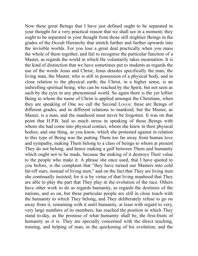Now these great Beings that I have just defined ought to be separated in your thought for a very practical reason that we shall see in a moment; they ought to be separated in your thought from those still mightier Beings in the grades of the Occult Hierarchy that stretch further and further upwards into the invisible worlds. For you lose a great deal practically when you mass the whole of them together, and fail to recognise the particular function of a Master, as regards the world in which He voluntarily takes incarnation. It is the kind of distinction that we have sometimes put to students as regards the use of the words Jesus and Christ; Jesus denotes specifically the man, the living man, the Master, who is still in possession of a physical body, and in close relation to the physical earth; the Christ, in a higher sense, is an indwelling spiritual being, who can be reached by the Spirit, but not seen as such by the eyes in any phenomenal world. So again there is the yet loftier Being to whom the name of Christ is applied amongst the Christians, when they are speaking of One we call the Second LOGOS; these are Beings of different grades, and in different relations to mankind; but the Master, as Master, is a man, and the manhood must never be forgotten. It was on that point that H.P.B. laid so much stress in speaking of those Beings with whom she had come into physical contact, whom she knew in their physical bodies; and one thing, as you know, which she protested against in relation to this type of Being was the putting Them too far away from human love and sympathy, making Them belong to a class of beings to whom at present They do not belong, and hence making a gulf between Them and humanity which ought not to be made, because the making of it destroys Their value to the people who make it. A phrase she once used, that I have quoted to you before, is the complaint that "they have turned our Masters into cold far-off stars, instead of living men," and on the fact that They are living men she continually insisted; for it is by virtue of that living manhood that They are able to play the part that They play in the evolution of the race. Others have other work to do as regards humanity, as regards the destinies of the nations, and so on, but these particular people are still in close touch with the humanity to which They belong, and They deliberately refuse to go on away from it, remaining with it until humanity, at least with regard to very, very large numbers of its members, has reached the position in which They stand to-day, as the promise of what humanity shall be, the first-fruits of humanity as it is. They are specially concerned with the direct teaching, training, and helping of man, in the quickening of his evolution; and the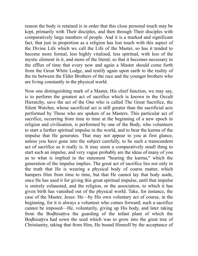reason the body is retained is in order that this close personal touch may be kept, primarily with Their disciples, and then through Their disciples with comparatively large numbers of people. And it is a marked and significant fact, that just in proportion as a religion has lost touch with this aspect of the Divine Life which we call the Life of the Master, so has it tended to become more formal, less highly vitalised, less spiritual, with less of the mystic element in it, and more of the literal; so that it becomes necessary in the efflux of time that every now and again a Master should come forth from the Great White Lodge, and testify again upon earth to the reality of the tie between the Elder Brothers of the race and the younger brothers who are living constantly in the physical world.

Now one distinguishing mark of a Master, His chief function, we may say, is to perform the greatest act of sacrifice which is known in the Occult Hierarchy, save the act of the One who is called The Great Sacrifice, the Silent Watcher, whose sacrificial act is still greater than the sacrificial acts performed by Those who are spoken of as Masters. This particular act of sacrifice, occurring from time to time at the beginning of a new epoch in religion and civilisation, is performed by one of the Body, who volunteers to start a further spiritual impulse in the world, and to bear the karma of the impulse that He generates. That may not appear to you at first glance, unless you have gone into the subject carefully, to be such a transcendent act of sacrifice as it really is. It may seem a comparatively small thing to start such an impulse, and very vague probably are the ideas of many of you as to what is implied in the statement "bearing the karma," which the generation of the impulse implies. The great act of sacrifice lies not only in the truth that He is wearing a physical body of coarse matter, which hampers Him from time to time, but that He cannot lay that body aside, once He has used it for giving this great spiritual impulse, until that impulse is entirely exhausted, and the religion, or the association, to which it has given birth has vanished out of the physical world. Take, for instance, the case of the Master, Jesus: He—by His own voluntary act of course, in the beginning, for it is always a volunteer who comes forward; such a sacrifice cannot be imposed—He, voluntarily, giving up His body, and later taking from the Bodhisattva the guarding of the infant plant of which the Bodhisattva had sown the seed which was to grow into the great tree of Christianity, taking that from Him, He bound Himself by the acceptance of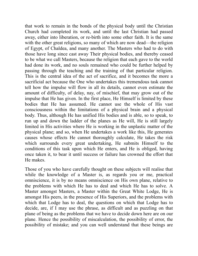that work to remain in the bonds of the physical body until the Christian Church had completed its work, and until the last Christian had passed away, either into liberation, or re-birth into some other faith. It is the same with the other great religions, so many of which are now dead—the religion of Egypt, of Chaldea, and many another. The Masters who had to do with those have long since cast away Their physical bodies, and thereby ceased to be what we call Masters, because the religion that each gave to the world had done its work, and no souls remained who could be further helped by passing through the teaching and the training of that particular religion. This is the central idea of the act of sacrifice, and it becomes the more a sacrificial act because the One who undertakes this tremendous task cannot tell how the impulse will flow in all its details, cannot even estimate the amount of difficulty, of delay, nay, of mischief, that may grow out of the impulse that He has given. In the first place, He Himself is limited by these bodies that He has assumed. He cannot use the whole of His vast consciousness within the limitations of a physical brain and a physical body. Thus, although He has unified His bodies and is able, so to speak, to run up and down the ladder of the planes as He will, He is still largely limited in His activities where He is working in the unplastic matter of the physical plane; and so, when He undertakes a work like this, He generates causes whose effects He cannot thoroughly calculate, He takes the risk which surrounds every great undertaking, He submits Himself to the conditions of this task upon which He enters, and He is obliged, having once taken it, to bear it until success or failure has crowned the effort that He makes.

Those of you who have carefully thought on these subjects will realise that while the knowledge of a Master is, as regards you or me, practical omniscience, it is by no means omniscience on His own plane, relative to the problems with which He has to deal and which He has to solve. A Master amongst Masters, a Master within the Great White Lodge, He is amongst His peers, in the presence of His Superiors, and the problems with which that Lodge has to deal, the questions on which that Lodge has to decide, are, if I may use the phrase, as difficult and as puzzling on that plane of being as the problems that we have to decide down here are on our plane. Hence the possibility of miscalculation, the possibility of error, the possibility of mistake; and you can well understand that these beings are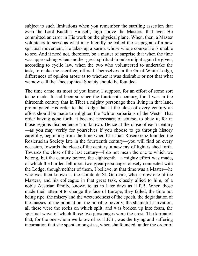subject to such limitations when you remember the startling assertion that even the Lord Buddha Himself, high above the Masters, that even He committed an error in His work on the physical plane. When, then, a Master volunteers to serve as what may literally be called the scapegoat of a new spiritual movement, He takes up a karma whose whole course He is unable to see. And it need not, therefore, be a matter of surprise that when the time was approaching when another great spiritual impulse might again be given, according to cyclic law, when the two who volunteered to undertake the task, to make the sacrifice, offered Themselves in the Great White Lodge, differences of opinion arose as to whether it was desirable or not that what we now call the Theosophical Society should be founded.

The time came, as most of you know, I suppose, for an effort of some sort to be made. It had been so since the fourteenth century, for it was in the thirteenth century that in Tibet a mighty personage then living in that land, promulgated His order to the Lodge that at the close of every century an effort should be made to enlighten the "white barbarians of the West." That order having gone forth, it became necessary, of course, to obey it; for in those regions disobedience is unknown. Hence at the close of each century —as you may verify for yourselves if you choose to go through history carefully, beginning from the time when Christian Rosenkreuz founded the Rosicrucian Society late in the fourteenth century—you will find on every occasion, towards the close of the century, a new ray of light is shed forth. Towards the close of the last century—I do not mean the one to which we belong, but the century before, the eighteenth—a mighty effort was made, of which the burden fell upon two great personages closely connected with the Lodge, though neither of them, I believe, at that time was a Master—he who was then known as the Comte de St. Germain, who is now one of the Masters, and his colleague in that great task, closely allied to him, of a noble Austrian family, known to us in later days as H.P.B. When those made their attempt to change the face of Europe, they failed, the time not being ripe; the misery and the wretchedness of the epoch, the degradation of the masses of the population, the horrible poverty, the shameful starvation, all these were the rocks on which split, and was broken up into foam, the spiritual wave of which those two personages were the crest. The karma of that, for the one whom we know of as H.P.B., was the trying and suffering incarnation that she spent amongst us, when she founded, under the order of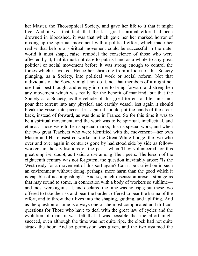her Master, the Theosophical Society, and gave her life to it that it might live. And it was that fact, that the last great spiritual effort had been drowned in bloodshed, it was that which gave her her marked horror of mixing up the spiritual movement with a political effort, which made her realise that before a spiritual movement could be successful in the outer world it must shape, raise, remodel the conscience of those who were affected by it, that it must not dare to put its hand as a whole to any great political or social movement before it was strong enough to control the forces which it evoked. Hence her shrinking from all idea of this Society plunging, as a Society, into political work or social reform. Not that individuals of the Society might not do it, not that members of it might not use their best thought and energy in order to bring forward and strengthen any movement which was really for the benefit of mankind; but that the Society as a Society, as the vehicle of this great torrent of life, must not pour that torrent into any physical and earthly vessel, lest again it should break the vessel into pieces, lest again it should put the hands of the clock back, instead of forward, as was done in France. So for this time it was to be a spiritual movement, and the work was to be spiritual, intellectual, and ethical. Those were to be its special marks, this its special work; and when the two great Teachers who were identified with the movement—her own Master and His closest co-worker in the Great White Lodge, the two who over and over again in centuries gone by had stood side by side as fellowworkers in the civilisations of the past—when They volunteered for this great emprise, doubt, as I said, arose among Their peers. The lesson of the eighteenth century was not forgotten; the question inevitably arose: "Is the West ready for a movement of this sort again? Can it be carried on in such an environment without doing, perhaps, more harm than the good which it is capable of accomplishing?" And so, much discussion arose—strange as that may sound to some, in connection with a body of workers so sublime and most were against it, and declared the time was not ripe; but these two offered to take the risk and bear the burden, offered to bear the karma of the effort, and to throw their lives into the shaping, guiding, and uplifting. And as the question of time is always one of the most complicated and difficult questions for Those who have to deal with the great law of cycles and the evolution of man, it was felt that it was possible that the effort might succeed, even although the time was not quite ripe, the clock had not quite struck the hour. And so permission was given, and the two assumed the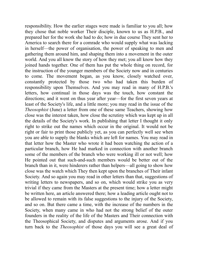responsibility. How the earlier stages were made is familiar to you all; how they chose that noble worker Their disciple, known to us as H.P.B., and prepared her for the work she had to do; how in due course They sent her to America to search there for a comrade who would supply what was lacking in herself—the power of organisation, the power of speaking to men and gathering them around him, and shaping them into a movement in the outer world. And you all know the story of how they met; you all know how they joined hands together. One of them has put the whole thing on record, for the instruction of the younger members of the Society now and in centuries to come. The movement began, as you know, closely watched over, constantly protected by those two who had taken this burden of responsibility upon Themselves. And you may read in many of H.P.B.'s letters, how continual in those days was the touch, how constant the directions; and it went on thus year after year—for the first seven years at least of the Society's life, and a little more; you may read in the issue of the *Theosophist* (June) a letter from one of these same Teachers, showing how close was the interest taken, how close the scrutiny which was kept up in all the details of the Society's work. In publishing that letter I thought it only right to strike out the names which occur in the original. It would not be right or fair to print those publicly yet, as you can perfectly well see when you are able to supply the blanks which are left for names. You may read in that letter how the Master who wrote it had been watching the action of a particular branch, how He had marked in connection with another branch some of the members of the branch who were working ill or not well; how He pointed out that such-and-such members would be better out of the branch than in it, were hinderers rather than helpers—all going to show how close was the watch which They then kept upon the branches of Their infant Society. And so again you may read in other letters than that, suggestions of writing letters to newspapers, and so on, which would strike you as very trivial if they came from the Masters at the present time; how a letter might be written here, an article answered there; how a leading article ought not to be allowed to remain with its false suggestions to the injury of the Society, and so on. But there came a time, with the increase of the numbers in the Society, when many came in who had not the strong belief of the outer founders in the reality of the life of the Masters and Their connection with the Theosophical Society, and disputes and arguments arose. And if you turn back to the *Theosophist* of those days you will see a great deal of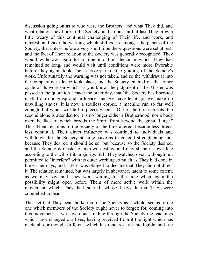discussion going on as to who were the Brothers, and what They did, and what relation they bore to the Society, and so on; until at last They grew a little weary of this continual challenging of Their life, and work, and interest, and gave the warning which still exists amongst the papers of the Society, that unless before a very short time these questions were set at rest, and the fact of Their relation to the Society was generally recognised, They would withdraw again for a time into the silence in which They had remained so long, and would wait until conditions were more favorable before they again took Their active part in the guiding of the Society's work. Unfortunately the warning was not taken, and so the withdrawal into the comparative silence took place, and the Society entered on that other cycle of its work on which, as you know, the judgment of the Master was passed in the quotation I made the other day, that "the Society has liberated itself from our grasp and influence, and we have let it go; we make no unwilling slaves. It is now a soulless corpse, a machine run so far well enough, but which will fall to pieces when.... Out of the three objects, the second alone is attended to; it is no longer either a Brotherhood, nor a body over the face of which broods the Spirit from beyond the great Range." Thus Their relations to the Society of the time altered, became less direct, less continual. Their direct influence was confined to individuals and withdrawn for the Society at large, save as to general strengthening, not because They desired it should be so, but because so the Society desired, and the Society is master of its own destiny, and may shape its own fate according to the will of its majority. Still They watched over it, though not permitted to "interfere" with its outer working so much as They had done in the earlier days, and H.P.B. was obliged to declare that They did not direct it. The relation remained, but was largely in abeyance, latent to some extent, as we may say, and They were waiting for the time when again the possibility might open before Them of more active work within the movement which They had started, whose heavy karma They were compelled to bear.

The fact that They bear the karma of the Society as a whole, seems to me one which members of the Society ought never to forget; for, coming into this movement as we have done, finding through the Society the teachings which have changed our lives, having received from it the light which has made all our thought different, which has rendered life intelligible, and life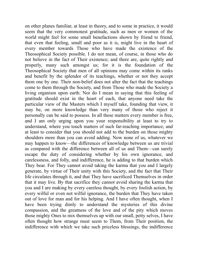on other planes familiar, at least in theory, and to some in practice, it would seem that the very commonest gratitude, such as men or women of the world might feel for some small benefactions shown by friend to friend, that even that feeling, small and poor as it is, might live in the heart of every member towards Those who have made the existence of the Theosophical Society possible. I do not mean, of course, in those who do not believe in the fact of Their existence; and there are, quite rightly and properly, many such amongst us; for it is the foundation of the Theosophical Society that men of all opinions may come within its ranks and benefit by the splendor of its teachings, whether or not they accept them one by one. Their non-belief does not alter the fact that the teachings come to them through the Society, and from Those who made the Society a living organism upon earth. Nor do I mean in saying that this feeling of gratitude should exist in the heart of each, that anyone need take the particular view of the Masters which I myself take, founding that view, it may be, on more knowledge than very many of those who reject it personally can be said to possess. In all these matters every member is free, and I am only urging upon you your responsibility at least to try to understand, where you touch matters of such far-reaching importance; and at least to consider that you should not add to the burden on those mighty shoulders more than you can avoid adding. Now none of us, whatever we may happen to know—the differences of knowledge between us are trivial as compared with the difference between all of us and Them—can surely escape the duty of considering whether by his own ignorance, and carelessness, and folly, and indifference, he is adding to that burden which They bear. For They cannot avoid taking the karma that you and I largely generate, by virtue of Their unity with this Society, and the fact that Their life circulates through it, and that They have sacrificed Themselves in order that it may live. By that sacrifice they cannot avoid sharing the karma that you and I are making by every careless thought, by every foolish action, by every wilful or even not wilful ignorance, the burden that They have taken out of love for man and for his helping. And I have often thought, when I have been trying dimly to understand the mysteries of this divine compassion, and the greatness of the love and of the pity which moves those mighty Ones to mix themselves up with our small, petty selves, I have often thought how strange must seem to Them, from Their position, the indifference with which we take such priceless blessings, the indifference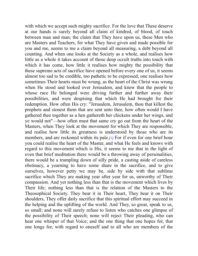<span id="page-89-0"></span>with which we accept such mighty sacrifice. For the love that These deserve at our hands is surely beyond all claim of kindred, of blood, of touch between man and man; the claim that They have upon us, these Men who are Masters and Teachers, for what They have given and made possible for you and me, seems to me a claim beyond all measuring, a debt beyond all counting. And when one looks at the Society as a whole, and realises how little as a whole it takes account of those deep occult truths into touch with which it has come, how little it realises how mighty the possibility that these supreme acts of sacrifice have opened before every one of us, it seems almost too sad to be credible, too pathetic to be expressed; one realises how sometimes Their hearts must be wrung, as the heart of the Christ was wrung when He stood and looked over Jerusalem, and knew that the people to whose race He belonged were driving further and further away their possibilities, and were despising that which He had brought for their redemption. How often His cry: "Jerusalem, Jerusalem, thou that killest the prophets and stonest them that are sent unto thee, how often would I have gathered thee together as a hen gathereth her chickens under her wings, and ye would not"—how often must that same cry go out from the heart of the Masters, when They look at the movement for which They are responsible, and realise how little its greatness is understood by those who are its members, and are reckoned within its pale.[\[1\]](#page-91-0) For if even for one brief hour you could realise the heart of the Master, and what He feels and knows with regard to this movement which is His, it seems to me that in the light of even that brief meditation there would be a throwing away of personalities, there would be a trampling down of silly pride, a casting aside of careless obstinacy, a yearning to have some share in the sacrifice, and to give ourselves, however petty we may be, side by side with that sublime sacrifice which They are making year after year for us, unworthy of Their compassion. And yet nothing less than that is the movement which lives by Their life; nothing less than that is the relation of the Masters to the Theosophical Society. They bear it in Their heart, They bear it on Their shoulders, They offer daily sacrifice that this spiritual effort may succeed in the helping and the uplifting of the world. And They, so great, speak to us, so small; and none will surely refuse to listen who catches one glimpse of the possibility of Their speech; none will reject Their pleading, who can hear one whisper of that Voice; and the one thing that one hopes for, that one longs for, with regard to oneself and to all who are members of the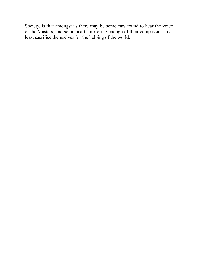Society, is that amongst us there may be some ears found to hear the voice of the Masters, and some hearts mirroring enough of their compassion to at least sacrifice themselves for the helping of the world.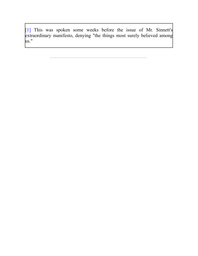<span id="page-91-0"></span>[\[1\]](#page-89-0) This was spoken some weeks before the issue of Mr. Sinnett's extraordinary manifesto, denying "the things most surely believed among us."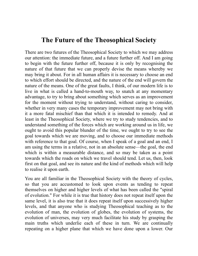## **The Future of the Theosophical Society**

There are two futures of the Theosophical Society to which we may address our attention: the immediate future, and a future further off. And I am going to begin with the future further off, because it is only by recognising the nature of that future that we can properly devise the means whereby we may bring it about. For in all human affairs it is necessary to choose an end to which effort should be directed, and the nature of the end will govern the nature of the means. One of the great faults, I think, of our modern life is to live in what is called a hand-to-mouth way, to snatch at any momentary advantage, to try to bring about something which serves as an improvement for the moment without trying to understand, without caring to consider, whether in very many cases the temporary improvement may not bring with it a more fatal mischief than that which it is intended to remedy. And at least in the Theosophical Society, where we try to study tendencies, and to understand something of the forces which are working around us in life, we ought to avoid this popular blunder of the time, we ought to try to see the goal towards which we are moving, and to choose our immediate methods with reference to that goal. Of course, when I speak of a goal and an end, I am using the terms in a relative, not in an absolute sense—the goal, the end which is within a measurable distance, and so may be taken as a point towards which the roads on which we travel should tend. Let us, then, look first on that goal, and see its nature and the kind of methods which will help to realise it upon earth.

You are all familiar in the Theosophical Society with the theory of cycles, so that you are accustomed to look upon events as tending to repeat themselves on higher and higher levels of what has been called the "spiral of evolution." For while it is true that history does not repeat itself upon the same level, it is also true that it does repeat itself upon successively higher levels, and that anyone who is studying Theosophical teaching as to the evolution of man, the evolution of globes, the evolution of systems, the evolution of universes, may very much facilitate his study by grasping the main truths which underlie each of these in turn. We are continually repeating on a higher plane that which we have done upon a lower. Our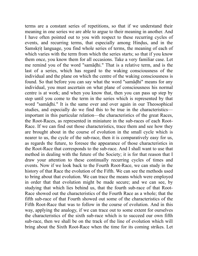terms are a constant series of repetitions, so that if we understand their meaning in one series we are able to argue to their meaning in another. And I have often pointed out to you with respect to these recurring cycles of events, and recurring terms, that especially among Hindus, and in the Samskrit language, you find whole series of terms, the meaning of each of which varies with the term from which the series starts; so that if you know them once, you know them for all occasions. Take a very familiar case. Let me remind you of the word "samâdhi." That is a relative term, and is the last of a series, which has regard to the waking consciousness of the individual and the plane on which the centre of the waking consciousness is found. So that before you can say what the word "samâdhi" means for any individual, you must ascertain on what plane of consciousness his normal centre is at work; and when you know that, then you can pass up step by step until you come to the term in the series which is represented by that word "samâdhi." It is the same over and over again in our Theosophical studies, and especially do we find this to be true in the characteristics important in this particular relation—the characteristics of the great Races, the Root-Races, as represented in miniature in the sub-races of each Root-Race. If we can find out those characteristics, trace them and see how they are brought about in the course of evolution in the small cycle which is nearer to us, the cycle of the sub-race, then it is comparatively easy for us, as regards the future, to foresee the appearance of those characteristics in the Root-Race that corresponds to the sub-race. And I shall want to use that method in dealing with the future of the Society; it is for that reason that I draw your attention to these continually recurring cycles of times and events. Now if we look back to the Fourth Root-Race, we can study in the history of that Race the evolution of the Fifth. We can see the methods used to bring about that evolution. We can trace the means which were employed in order that that evolution might be made secure; and we can see, by studying that which lies behind us, that the fourth sub-race of that Root-Race showed out the characteristics of the Fourth Race as a whole; that the fifth sub-race of that Fourth showed out some of the characteristics of the Fifth Root-Race that was to follow in the course of evolution. And in this way, applying the analogy, if we can trace out to some extent for ourselves the characteristics of the sixth sub-race which is to succeed our own fifth sub-race, then we shall be on the track of the line of evolution which will bring about the Sixth Root-Race when the time for its coming strikes. Let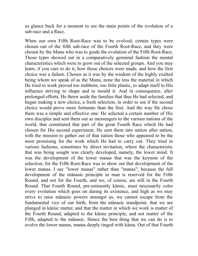us glance back for a moment to see the main points of the evolution of a sub-race and a Race.

When our own Fifth Root-Race was to be evolved, certain types were chosen out of the fifth sub-race of the Fourth Root-Race, and they were chosen by the Manu who was to guide the evolution of the Fifth Root-Race. Those types showed out in a comparatively germinal fashion the mental characteristics which were to grow out of the selected groups. And you may learn, if you care to do it, how those choices were made, and how the first choice was a failure. Chosen as it was by the wisdom of the highly exalted being whom we speak of as the Manu, none the less the material in which He tried to work proved too stubborn, too little plastic, to adapt itself to His influence striving to shape and to mould it. And in consequence, after prolonged efforts, He threw aside the families that thus He had selected, and began making a new choice, a fresh selection, in order to see if the second choice would prove more fortunate than the first. And the way He chose them was a simple and effective one: He selected a certain number of His own disciples and sent them out as messengers to the various nations of the world, that constituted that part of the great Fourth Race which He had chosen for His second experiment. He sent them into nation after nation, with the mission to gather out of that nation those who appeared to be the most promising for the work which He had to carry out. They tried in various fashions, sometimes by direct invitation, where the characteristic that was being sought was clearly developed, namely, the lower mind. It was the development of the lower manas that was the keynote of the selection; for the Fifth Root-Race was to show out that development of the lower manas. I say "lower manas" rather than "manas"; because the full development of the mânasic principle in man is reserved for the Fifth Round, and not for the Fourth, and we, of course, are still in the Fourth Round. That Fourth Round, pre-eminently kâmic, must necessarily color every evolution which goes on during its existence, and high as we may strive to raise mânasic powers amongst us, we cannot escape from the fundamental vice of our birth, from the mânasic standpoint, that we are plunged in kâmic matter, and that the matter in which we work is matter of the Fourth Round, adapted to the kâmic principle, and not matter of the Fifth, adapted to the mânasic. Hence the best thing that we can do is to evolve the lower manas, manas deeply tinged with kâma. Out of that Fourth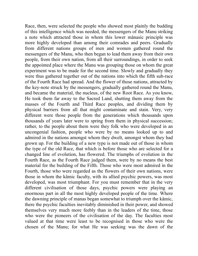Race, then, were selected the people who showed most plainly the budding of this intelligence which was needed, the messengers of the Manu striking a note which attracted those in whom this lower mânasic principle was more highly developed than among their comrades and peers. Gradually from different nations groups of men and women gathered round the messengers of the Manu, who then began to lead them away from their own people, from their own nation, from all their surroundings, in order to seek the appointed place where the Manu was grouping those on whom the great experiment was to be made for the second time. Slowly and gradually they were thus gathered together out of the nations into which the fifth sub-race of the Fourth Race had spread. And the flower of those nations, attracted by the key-note struck by the messengers, gradually gathered round the Manu, and became the material, the nucleus, of the new Root Race. As you know, He took them far away to the Sacred Land, shutting them away from the masses of the Fourth and Third Race peoples, and dividing them by physical barriers from all that might contaminate and stain. Very, very different were those people from the generations which thousands upon thousands of years later were to spring from them in physical succession; rather, to the people about them were they folk who were developed in an uncongenial fashion, people who were by no means looked up to and admired in the nations amongst whom they dwelt, amongst whom they had grown up. For the building of a new type is not made out of those in whom the type of the old Race, that which is before those who are selected for a changed line of evolution, has flowered. The triumphs of evolution in the Fourth Race, as the Fourth Race judged them, were by no means the best material for the building of the Fifth. Those who were most admired in the Fourth, those who were regarded as the flowers of their own nations, were those in whom the kâmic faculty, with its allied psychic powers, was most developed, was most triumphant. For you must remember that in the very different civilisation of those days, psychic powers were playing an enormous part in all the most highly developed people of the time. Where the dawning principle of manas began somewhat to triumph over the kâmic, there the psychic faculties inevitably diminished in their power, and showed themselves very much more feebly than in the leaders of the time, those who were the pioneers of the civilisation of the day. The faculties most valued at that time were least to be recognised in those who were the chosen of the Manu; for what He was seeking was the dawn of the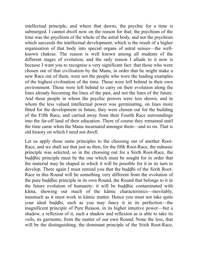intellectual principle, and where that dawns, the psychic for a time is submerged. I cannot dwell now on the reason for that; the psychism of the time was the psychism of the whole of the astral body, and not the psychism which succeeds the intellectual development, which is the result of a higher organisation of that body into special organs of astral senses—the wellknown chakras. The reason is well known among all students of the different stages of evolution, and the only reason I allude to it now is because I want you to recognise a very significant fact: that those who were chosen out of that civilisation by the Manu, in order that he might make a new Race out of them, were not the people who were the leading examples of the highest civilisation of the time. Those were left behind in their own environment. Those were left behind to carry on their evolution along the lines already becoming the lines of the past, and not the lines of the future. And these people in whom the psychic powers were less shown, and in whom the less valued intellectual power was germinating, on lines more fitted for the development in future, they were chosen out for the building of the Fifth Race, and carried away from their Fourth Race surroundings into the far-off land of their education. There of course they remained until the time came when the Manu incarnated amongst them—and so on. That is old history on which I need not dwell.

Let us apply those same principles to the choosing out of another Root-Race, and we shall see that just as then, for the fifth Root-Race, the mânasic principle was selected, so in the choosing out for a Sixth Root-Race, the buddhic principle must be the one which must be sought for in order that the material may be shaped in which it will be possible for it in its turn to develop. There again I must remind you that the buddhi of the Sixth Root-Race in this Round will be something very different from the evolution of the pure buddhic principle in its own Round, the Round that belongs to it in the future evolution of humanity: it will be buddhic contaminated with kâma, showing out much of the kâmic characteristics—inevitably, inasmuch as it must work in kâmic matter. Hence you must not take quite your ideal buddhi, such as you may fancy it in its perfection—the magnificent principle of Pure Reason, in its higher intuitive power—but a shadow, a reflexion of it, such a shadow and reflexion as is able to take its veils, its garments, from the matter of our own Round. None the less, that will be the distinguishing, the dominant principle of the Sixth Root-Race,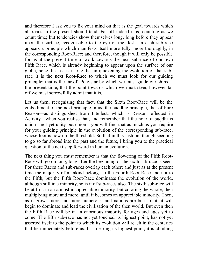and therefore I ask you to fix your mind on that as the goal towards which all roads in the present should tend. Far-off indeed it is, counting as we count time; but tendencies show themselves long, long before they appear upon the surface, recognisable to the eye of the flesh. In each sub-race appears a principle which manifests itself more fully, more thoroughly, in the corresponding Root-Race; and therefore, though it will only be possible for us at the present time to work towards the next sub-race of our own Fifth Race, which is already beginning to appear upon the surface of our globe, none the less is it true that in quickening the evolution of that subrace it is the next Root-Race to which we must look for our guiding principle; that is the far-off Pole-star by which we must guide our ships at the present time, that the point towards which we must steer, however far off we must sorrowfully admit that it is.

Let us then, recognising that fact, that the Sixth Root-Race will be the embodiment of the next principle in us, the buddhic principle, that of Pure Reason—as distinguished from Intellect, which is Reason reflected in Activity—when you realise that, and remember that the note of buddhi is union—not yet unity but union—you will find that as much as you require for your guiding principle in the evolution of the corresponding sub-race, whose foot is now on the threshold. So that in this fashion, though seeming to go so far abroad into the past and the future, I bring you to the practical question of the next step forward in human evolution.

The next thing you must remember is that the flowering of the Fifth Root-Race will go on long, long after the beginning of the sixth sub-race is seen. For these Races and sub-races overlap each other; and just as at the present time the majority of mankind belongs to the Fourth Root-Race and not to the Fifth, but the Fifth Root-Race dominates the evolution of the world, although still in a minority, so is it of sub-races also. The sixth sub-race will be at first in an almost inappreciable minority, but coloring the whole; then multiplying more and more, until it becomes an appreciable minority. Then, as it grows more and more numerous, and nations are born of it, it will begin to dominate and lead the civilisation of the then world. But even then the Fifth Race will be in an enormous majority for ages and ages yet to come. The fifth sub-race has not yet touched its highest point, has not yet asserted itself to the point to which its evolution will reach in the centuries that lie immediately before us. It is nearing its highest point; it is climbing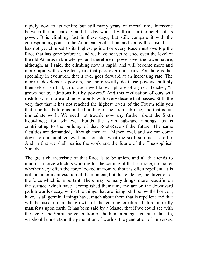rapidly now to its zenith; but still many years of mortal time intervene between the present day and the day when it will rule in the height of its power. It is climbing fast in these days; but still, compare it with the corresponding point in the Atlantean civilisation, and you will realise that it has not yet climbed to its highest point. For every Race must overtop the Race that has gone before it, and we have not yet reached even the level of the old Atlantis in knowledge, and therefore in power over the lower nature, although, as I said, the climbing now is rapid, and will become more and more rapid with every ten years that pass over our heads. For there is that speciality in evolution, that it ever goes forward at an increasing rate. The more it develops its powers, the more swiftly do those powers multiply themselves; so that, to quote a well-known phrase of a great Teacher, "it grows not by additions but by powers." And this civilisation of ours will rush forward more and more rapidly with every decade that passes. Still, the very fact that it has not reached the highest levels of the Fourth tells you that time lies before us in the building of the sixth sub-race, and that is our immediate work. We need not trouble now any further about the Sixth Root-Race; for whatever builds the sixth sub-race amongst us is contributing to the building of that Root-Race of the future. The same faculties are demanded, although then at a higher level, and we can come down to our humbler level and consider what the sixth sub-race is to be. And in that we shall realise the work and the future of the Theosophical Society.

The great characteristic of that Race is to be union, and all that tends to union is a force which is working for the coming of that sub-race, no matter whether very often the force looked at from without is often repellent. It is not the outer manifestation of the moment, but the tendency, the direction of the force which is important. There may be many things, more beautiful on the surface, which have accomplished their aim, and are on the downward path towards decay, whilst the things that are rising, still below the horizon, have, as all germinal things have, much about them that is repellent and that will be used up in the growth of the coming creature, before it really manifests upon earth. It has been said by a Master that if we could see with the eye of the Spirit the generation of the human being, his ante-natal life, we should understand the generation of worlds, the generation of universes.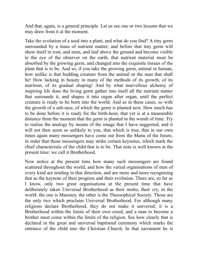And that, again, is a general principle. Let us see one or two lessons that we may draw from it at the moment.

Take the evolution of a seed into a plant, and what do you find? A tiny germ surrounded by a mass of nutrient matter; and before that tiny germ will show itself in root, and stem, and leaf above the ground and become visible to the eye of the observer on the earth, that nutrient material must be absorbed by the growing germ, and changed into the exquisite tissues of the plant that is to be. And so, if you take the growing germ, animal or human, how unlike is that budding creature from the animal or the man that shall be! How lacking in beauty in many of the methods of its growth, of its nutrition, of its gradual shaping! And by what marvellous alchemy of inspiring life does the living germ gather into itself all the nutrient matter that surrounds it, and shapes it into organ after organ, until the perfect creature is ready to be born into the world. And as in these cases, so with the growth of a sub-race, of which the germ is planted now. How much has to be done before it is ready for the birth-hour, that yet is at a measurable distance from the moment that the germ is planted in the womb of time. Try to realise the analogy by means of the image that I have suggested, and it will not then seem so unlikely to you, that which is true, that in our own times again many messengers have come out from the Manu of the future, in order that those messengers may strike certain keynotes, which mark the chief characteristic of the child that is to be. That note is well known at the present time: we call it Brotherhood.

Now notice at the present time how many such messengers are found scattered throughout the world, and how the varied organisations of men of every kind are tending in that direction, and are more and more recognising that as the keynote of their progress and their evolution. There are, so far as I know, only two great organisations at the present time that have deliberately taken Universal Brotherhood as their motto, their cry, in the world: the one is Masonry, the other is the Theosophical Society. Those are the only two which proclaim Universal Brotherhood. For although many religions declare Brotherhood, they do not make it universal; it is a Brotherhood within the limits of their own creed, and a man to become a brother must come within the limits of the religion. See how clearly that is declared in the great and universal baptismal ceremony which marks the entrance of the child into the Christian Church. In that sacrament he is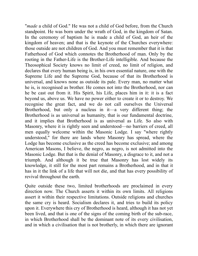"*made* a child of God." He was not a child of God before, from the Church standpoint. He was born under the wrath of God, in the kingdom of Satan. In the ceremony of baptism he is made a child of God, an heir of the kingdom of heaven; and that is the keynote of the Churches everywhere: those outside are not children of God. And you must remember that it is that Fatherhood of God which connotes the Brotherhood of man. Only by the rooting in the Father-Life is the Brother-Life intelligible. And because the Theosophical Society knows no limit of creed, no limit of religion, and declares that every human being is, in his own essential nature, one with the Supreme Life and the Supreme God, because of that its Brotherhood is universal, and knows none as outside its pale. Every man, no matter what he is, is recognised as brother. He comes not into the Brotherhood, nor can he be cast out from it. His Spirit, his Life, places him in it: it is a fact beyond us, above us. We have no power either to create it or to destroy. We recognise the great fact, and we do not call ourselves the Universal Brotherhood, but only a nucleus in it—a very different thing; the Brotherhood is as universal as humanity, that is our fundamental doctrine, and it implies that Brotherhood is as universal as Life. So also with Masonry, where it is rightly seen and understood—no barriers of creed, all men equally welcome within the Masonic Lodge. I say "where rightly understood," for there are lands where Masonry has spread, where the Lodge has become exclusive as the creed has become exclusive; and among American Masons, I believe, the negro, as negro, is not admitted into the Masonic Lodge. But that is the denial of Masonry, a disgrace to it, and not a triumph. And although it be true that Masonry has lost widely its knowledge, it still for the most part remains a Brotherhood, and in that it has in it the link of a life that will not die, and that has every possibility of revival throughout the earth.

Quite outside these two, limited brotherhoods are proclaimed in every direction now. The Church asserts it within its own limits. All religions assert it within their respective limitations. Outside religions and churches the same cry is heard. Socialism declares it, and tries to build its policy upon it. Everywhere this cry of Brotherhood is heard, although it has not yet been lived, and that is one of the signs of the coming birth of the sub-race, in which Brotherhood shall be the dominant note of its every civilisation, and in which a civilisation that is not brotherly, in which there are ignorant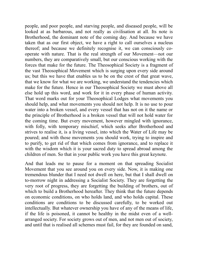people, and poor people, and starving people, and diseased people, will be looked at as barbarous, and not really as civilisation at all. Its note is Brotherhood, the dominant note of the coming day. And because we have taken that as our first object, we have a right to call ourselves a nucleus thereof; and because we definitely recognise it, we can consciously cooperate with nature. That is the real strength of our Movement—not our numbers, they are comparatively small, but our conscious working with the forces that make for the future. The Theosophical Society is a fragment of the vast Theosophical Movement which is surging upon every side around us; but this we have that enables us to be on the crest of that great wave, that we know for what we are working, we understand the tendencies which make for the future. Hence in our Theosophical Society we must above all else hold up this word, and work for it in every phase of human activity. That word marks out for your Theosophical Lodges what movements you should help, and what movements you should not help. It is no use to pour water into a broken vessel, and every vessel that has not on it the name or the principle of Brotherhood is a broken vessel that will not hold water for the coming time. But every movement, however mingled with ignorance, with folly, with temporary mischief, which seeks after Brotherhood and strives to realise it, is a living vessel, into which the Water of Life may be poured; and with those movements you should work, trying to inspire and to purify, to get rid of that which comes from ignorance, and to replace it with the wisdom which it is your sacred duty to spread abroad among the children of men. So that in your public work you have this great keynote.

And that leads me to pause for a moment on that spreading Socialist Movement that you see around you on every side. Now, it is making one tremendous blunder that I need not dwell on here, but that I shall dwell on to-morrow night in addressing a Socialist Society. They are forgetting the very root of progress, they are forgetting the building of brothers, out of which to build a Brotherhood hereafter. They think that the future depends on economic conditions, on who holds land, and who holds capital. These conditions are conditions to be discussed carefully, to be worked out intellectually. But whatever ownership you have of any of the means of life, if the life is poisoned, it cannot be healthy in the midst even of a wellarranged society. For society grows out of men, and not men out of society, and until that is realised all schemes must fail, for they are founded on sand,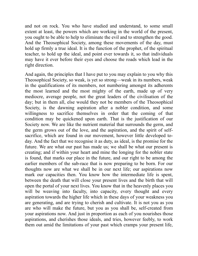and not on rock. You who have studied and understand, to some small extent at least, the powers which are working in the world of the present, you ought to be able to help to eliminate the evil and to strengthen the good. And the Theosophical Society, among these movements of the day, must hold up firmly a true ideal. It is the function of the prophet, of the spiritual teacher, to hold up the ideal, and point ever towards it, so that individuals may have it ever before their eyes and choose the roads which lead in the right direction.

And again, the principles that I have put to you may explain to you why this Theosophical Society, so weak, is yet so strong—weak in its numbers, weak in the qualifications of its members, not numbering amongst its adherents the most learned and the most mighty of the earth, made up of very mediocre, average people, not the great leaders of the civilisation of the day; but in them all, else would they not be members of the Theosophical Society, is the dawning aspiration after a nobler condition, and some willingness to sacrifice themselves in order that the coming of that condition may be quickened upon earth. That is the justification of our Society now. We are like the nutrient material that surrounds the germ, and the germ grows out of the love, and the aspiration, and the spirit of selfsacrifice, which are found in our movement, however little developed today. And the fact that we recognise it as duty, as ideal, is the promise for the future. We are what our past has made us; we shall be what our present is creating; and if within your heart and mine the longing for the nobler state is found, that marks our place in the future, and our right to be among the earlier members of the sub-race that is now preparing to be born. For our thoughts now are what we shall be in our next life; our aspirations now mark our capacities then. You know how the intermediate life is spent, between the death that will close your present lives and the birth that will open the portal of your next lives. You know that in the heavenly places you will be weaving into faculty, into capacity, every thought and every aspiration towards the higher life which in these days of your weakness you are generating, and are trying to cherish and cultivate. It is not you as you are who will make the future, but you as you shall be, self-created from your aspirations now. And just in proportion as each of you nourishes those aspirations, and cherishes those ideals, and tries, however feebly, to work them out amid the limitations of your past which cramps your present life,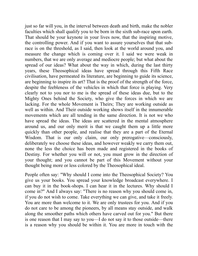just so far will you, in the interval between death and birth, make the nobler faculties which shall qualify you to be born in the sixth sub-race upon earth. That should be your keynote in your lives now, that the inspiring motive, the controlling power. And if you want to assure yourselves that that subrace is on the threshold, as I said, then look at the world around you, and measure the change which is coming over it. I said we were weak in numbers, that we are only average and mediocre people; but what about the spread of our ideas? What about the way in which, during the last thirty years, these Theosophical ideas have spread through this Fifth Race civilisation, have permeated its literature, are beginning to guide its science, are beginning to inspire its art? That is the proof of the strength of the force, despite the feebleness of the vehicles in which that force is playing. Very clearly not to you nor to me is the spread of these ideas due, but to the Mighty Ones behind the Society, who give the forces in which we are lacking. For the whole Movement is Theirs; They are working outside as well as within. And Their outside working shows itself in the innumerable movements which are all tending in the same direction. It is not we who have spread the ideas. The ideas are scattered in the mental atmosphere around us, and our only merit is that we caught them up a little more quickly than other people, and realise that they are a part of the Eternal Wisdom. That is our only claim, our only prerogative—consciously, deliberately we choose these ideas, and however weakly we carry them out, none the less the choice has been made and registered in the books of Destiny. For whether you will or not, you must grow in the direction of your thought; and you cannot be part of this Movement without your thought being more or less colored by the Theosophical ideal.

People often say: "Why should I come into the Theosophical Society? You give us your books. You spread your knowledge broadcast everywhere. I can buy it in the book-shops. I can hear it in the lectures. Why should I come in?" And I always say: "There is no reason why you should come in, if you do not wish to come. Take everything we can give, and take it freely. You are more than welcome to it. We are only trustees for you. And if you do not care to be among the pioneers, by all means stay outside, and walk along the smoother paths which others have carved out for you." But there is one reason that I may say to you—I do not say it to those outside—there is a reason why you should be within it. You are more in touch with the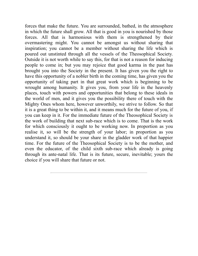forces that make the future. You are surrounded, bathed, in the atmosphere in which the future shall grow. All that is good in you is nourished by those forces. All that is harmonious with them is strengthened by their overmastering might. You cannot be amongst us without sharing that inspiration; you cannot be a member without sharing the life which is poured out unstinted through all the vessels of the Theosophical Society. Outside it is not worth while to say this, for that is not a reason for inducing people to come in; but you may rejoice that good karma in the past has brought you into the Society in the present. It has given you the right to have this opportunity of a nobler birth in the coming time, has given you the opportunity of taking part in that great work which is beginning to be wrought among humanity. It gives you, from your life in the heavenly places, touch with powers and opportunities that belong to these ideals in the world of men, and it gives you the possibility there of touch with the Mighty Ones whom here, however unworthily, we strive to follow. So that it is a great thing to be within it, and it means much for the future of you, if you can keep in it. For the immediate future of the Theosophical Society is the work of building that next sub-race which is to come. That is the work for which consciously it ought to be working now. In proportion as you realise it, so will be the strength of your labor; in proportion as you understand it, so should be your share in the gladder work of that happier time. For the future of the Theosophical Society is to be the mother, and even the educator, of the child sixth sub-race which already is going through its ante-natal life. That is its future, secure, inevitable; yours the choice if you will share that future or not.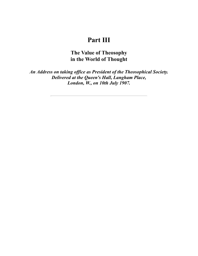## **Part III**

**The Value of Theosophy in the World of Thought**

*An Address on taking office as President of the Theosophical Society. Delivered at the Queen's Hall, Langham Place, London, W., on 10th July 1907.*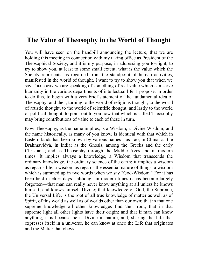## **The Value of Theosophy in the World of Thought**

You will have seen on the handbill announcing the lecture, that we are holding this meeting in connection with my taking office as President of the Theosophical Society, and it is my purpose, in addressing you to-night, to try to show you, at least to some small extent, what is the value which the Society represents, as regarded from the standpoint of human activities, manifested in the world of thought. I want to try to show you that when we say THEOSOPHY we are speaking of something of real value which can serve humanity in the various departments of intellectual life. I propose, in order to do this, to begin with a very brief statement of the fundamental idea of Theosophy; and then, turning to the world of religious thought, to the world of artistic thought, to the world of scientific thought, and lastly to the world of political thought, to point out to you how that which is called Theosophy may bring contributions of value to each of these in turn.

Now Theosophy, as the name implies, is a Wisdom, a Divine Wisdom; and the name historically, as many of you know, is identical with that which in Eastern lands has been known by various names—as Tao, in China; as the Brahmavidyâ, in India; as the Gnosis, among the Greeks and the early Christians; and as Theosophy through the Middle Ages and in modern times. It implies always a knowledge, a Wisdom that transcends the ordinary knowledge, the ordinary science of the earth; it implies a wisdom as regards life, a wisdom as regards the essential nature of things, a wisdom which is summed up in two words when we say "God-Wisdom." For it has been held in elder days—although in modern times it has become largely forgotten—that man can really never know anything at all unless he knows himself, and knows himself Divine; that knowledge of God, the Supreme, the Universal Life, is the root of all true knowledge of matter as well as of Spirit, of this world as well as of worlds other than our own; that in that one supreme knowledge all other knowledges find their root; that in that supreme light all other lights have their origin; and that if man can know anything, it is because he is Divine in nature, and, sharing the Life that expresses itself in a universe, he can know at once the Life that originates and the Matter that obeys.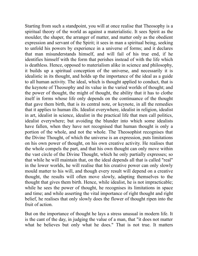Starting from such a standpoint, you will at once realise that Theosophy is a spiritual theory of the world as against a materialistic. It sees Spirit as the moulder, the shaper, the arranger of matter, and matter only as the obedient expression and servant of the Spirit; it sees in man a spiritual being, seeking to unfold his powers by experience in a universe of forms; and it declares that man misunderstands himself, and will fail of his true end, if he identifies himself with the form that perishes instead of with the life which is deathless. Hence, opposed to materialism alike in science and philosophy, it builds up a spiritual conception of the universe, and necessarily it is idealistic in its thought, and holds up the importance of the ideal as a guide to all human activity. The ideal, which is thought applied to conduct, that is the keynote of Theosophy and its value in the varied worlds of thought; and the power of thought, the might of thought, the ability that it has to clothe itself in forms whose life only depends on the continuance of the thought that gave them birth, that is its central note, or keynote, in all the remedies that it applies to human ills. Idealist everywhere, idealist in religion, idealist in art, idealist in science, idealist in the practical life that men call politics, idealist everywhere; but avoiding the blunder into which some idealists have fallen, when they have not recognised that human thought is only a portion of the whole, and not the whole. The Theosophist recognises that the Divine Thought, of which the universe is an expression, puts limitations on his own power of thought, on his own creative activity. He realises that the whole compels the part, and that his own thought can only move within the vast circle of the Divine Thought, which he only partially expresses; so that while he will maintain that, on the ideal depends all that is called "real" in the lower worlds, he will realise that his creative power can only slowly mould matter to his will, and though every result will depend on a creative thought, the results will often move slowly, adapting themselves to the thought that gives them birth. Hence, while idealist, he is not impracticable; while he sees the power of thought, he recognises its limitations in space and time; and while asserting the vital importance of right thought and right belief, he realises that only slowly does the flower of thought ripen into the fruit of action.

But on the importance of thought he lays a stress unusual in modern life. It is the cant of the day, in judging the value of a man, that "it does not matter what he believes but only what he does." That is not true. It matters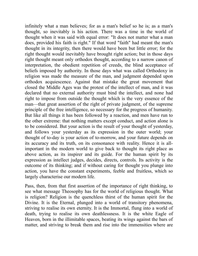infinitely what a man believes; for as a man's belief so he is; as a man's thought, so inevitably is his action. There was a time in the world of thought when it was said with equal error: "It does not matter what a man does, provided his faith is right." If that word "faith" had meant the man's thought in its integrity, then there would have been but little error; for the right thought would inevitably have brought right action; but in those days right thought meant only orthodox thought, according to a narrow canon of interpretation, the obedient repetition of creeds, the blind acceptance of beliefs imposed by authority. In those days what was called Orthodoxy in religion was made the measure of the man, and judgment depended upon orthodox acquiescence. Against that mistake the great movement that closed the Middle Ages was the protest of the intellect of man, and it was declared that no external authority must bind the intellect, and none had right to impose from outside the thought which is the very essence of the man—that great assertion of the right of private judgment, of the supreme principle of the free intelligence, so necessary for the progress of humanity. But like all things it has been followed by a reaction, and men have run to the other extreme: that nothing matters except conduct, and action alone is to be considered. But your action is the result of your thought of yesterday, and follows your yesterday as its expression in the outer world; your thought of to-day is your action of to-morrow, and your future depends on its accuracy and its truth, on its consonance with reality. Hence it is allimportant in the modern world to give back to thought its right place as above action, as its inspirer and its guide. For the human spirit by its expression as intellect judges, decides, directs, controls. Its activity is the outcome of its thinking; and if without caring for thought you plunge into action, you have the constant experiments, feeble and fruitless, which so largely characterise our modern life.

Pass, then, from that first assertion of the importance of right thinking, to see what message Theosophy has for the world of religious thought. What is religion? Religion is the quenchless thirst of the human spirit for the Divine. It is the Eternal, plunged into a world of transitory phenomena, striving to realise its own eternity. It is the Immortal, flung into a world of death, trying to realise its own deathlessness. It is the white Eagle of Heaven, born in the illimitable spaces, beating its wings against the bars of matter, and striving to break them and rise into the immensities where are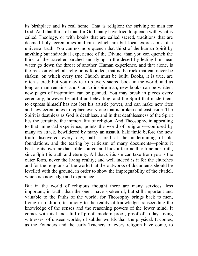its birthplace and its real home. That is religion: the striving of man for God. And that thirst of man for God many have tried to quench with what is called Theology, or with books that are called sacred, traditions that are deemed holy, ceremonies and rites which are but local expressions of a universal truth. You can no more quench that thirst of the human Spirit by anything but individual experience of the Divine, than you can quench the thirst of the traveller parched and dying in the desert by letting him hear water go down the throat of another. Human experience, and that alone, is the rock on which all religion is founded, that is the rock that can never be shaken, on which every true Church must be built. Books, it is true, are often sacred; but you may tear up every sacred book in the world, and as long as man remains, and God to inspire man, new books can be written, new pages of inspiration can be penned. You may break in pieces every ceremony, however beautiful and elevating, and the Spirit that made them to express himself has not lost his artistic power, and can make new rites and new ceremonies to replace every one that is broken and cast aside. The Spirit is deathless as God is deathless, and in that deathlessness of the Spirit lies the certainty, the immortality of religion. And Theosophy, in appealing to that immortal experience, points the world of religions—confused by many an attack, bewildered by many an assault, half timid before the new truth discovered every day, half scared at the undermining of old foundations, and the tearing by criticism of many documents—points it back to its own inexhaustible source, and bids it fear neither time nor truth, since Spirit is truth and eternity. All that criticism can take from you is the outer form, never the living reality; and well indeed is it for the churches and for the religions of the world that the outworks of documents should be levelled with the ground, in order to show the impregnability of the citadel, which is knowledge and experience.

But in the world of religious thought there are many services, less important, in truth, than the one I have spoken of, but still important and valuable to the faiths of the world; for Theosophy brings back to men, living in tradition, testimony to the reality of knowledge transcending the knowledge of the senses and the reasoning powers of the lower mind. It comes with its hands full of proof, modern proof, proof of to-day, living witnesses, of unseen worlds, of subtler worlds than the physical. It comes, as the Founders and the early Teachers of every religion have come, to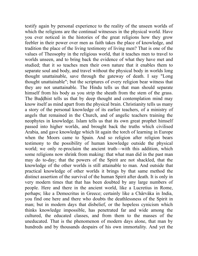testify again by personal experience to the reality of the unseen worlds of which the religions are the continual witnesses in the physical world. Have you ever noticed in the histories of the great religions how they grow feebler in their power over men as faith takes the place of knowledge, and tradition the place of the living testimony of living men? That is one of the values of Theosophy in the religious world, that it teaches men to travel to worlds unseen, and to bring back the evidence of what they have met and studied; that it so teaches men their own nature that it enables them to separate soul and body, and travel without the physical body in worlds long thought unattainable, save through the gateway of death. I say "Long thought unattainable"; but the scriptures of every religion bear witness that they are not unattainable. The Hindu tells us that man should separate himself from his body as you strip the sheath from the stem of the grass. The Buddhist tells us that by deep thought and contemplation mind may know itself as mind apart from the physical brain. Christianity tells us many a story of the personal knowledge of its earlier teachers, of a ministry of angels that remained in the Church, and of angelic teachers training the neophytes in knowledge. Islam tells us that its own great prophet himself passed into higher worlds, and brought back the truths which civilised Arabia, and gave knowledge which lit again the torch of learning in Europe when the Moors came to Spain. And so religion after religion bears testimony to the possibility of human knowledge outside the physical world; we only re-proclaim the ancient truth—with this addition, which some religions now shrink from making: that what man did in the past man may do to-day; that the powers of the Spirit are not shackled, that the knowledge of the other worlds is still attainable to man. And outside that practical knowledge of other worlds it brings by that same method the distinct assertion of the survival of the human Spirit after death. It is only in very modern times that that has been doubted by any large numbers of people. Here and there in the ancient world, like a Lucretius in Rome, perhaps; like a Democritus in Greece; certainly like a Chârvâka in India, you find one here and there who doubts the deathlessness of the Spirit in man; but in modern days that disbelief, or the hopeless cynicism which thinks knowledge impossible, has penetrated far and wide among the cultured, the educated classes, and from them to the masses of the uneducated. That is the phenomenon of modern days alone, that man by hundreds and by thousands despairs of his own immortality. And yet the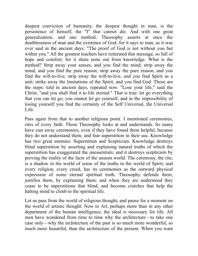deepest conviction of humanity, the deepest thought in man, is the persistence of himself, the "I" that cannot die. And with one great generalisation, and one method, Theosophy asserts at once the deathlessness of man and the existence of God; for it says to man, as it was ever said in the ancient days: "The proof of God is not without you but within you." All the greatest teachers have reiterated that message, so full of hope and comfort; for it shuts none out from knowledge. What is the method? Strip away your senses, and you find the mind; strip away the mind, and you find the pure reason; strip away the pure reason, and you find the will-to-live; strip away the will-to-live, and you find Spirit as a unit; strike away the limitations of the Spirit, and you find God. Those are the steps: told in ancient days, repeated now. "Lose your life," said the Christ, "and you shall find it to life eternal." That is true: let go everything that you can let go; you cannot let go yourself, and in the impossibility of losing yourself you find the certainty of the Self Universal, the Universal Life.

Pass again from that to another religious point. I mentioned ceremonies, rites of every faith. Those Theosophy looks at and understands. So many have cast away ceremonies, even if they have found them helpful, because they do not understand them, and fear superstition in their use. Knowledge has two great enemies: Superstition and Scepticism. Knowledge destroys blind superstition by asserting and explaining natural truths of which the superstition has exaggerated the unessentials; and it destroys scepticism by proving the reality of the facts of the unseen world. The ceremony, the rite, is a shadow in the world of sense of the truths in the world of Spirit; and every religion, every creed, has its ceremonies as the outward physical expression of some eternal spiritual truth. Theosophy defends them, justifies them, by explaining them; and when they are understood they cease to be superstitions that blind, and become crutches that help the halting mind to climb to the spiritual life.

Let us pass from the world of religious thought, and pause for a moment on the world of artistic thought. Now to Art, perhaps more than in any other department of the human intelligence, the ideal is necessary for life. All men have wondered from time to time why the architecture—to take one case only—why the architecture of the past is so much more wonderful, so much more beautiful, than the architecture of the present. When you want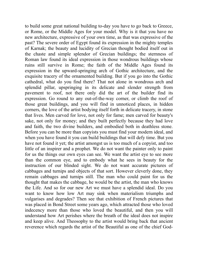to build some great national building to-day you have to go back to Greece, or Rome, or the Middle Ages for your model. Why is it that you have no new architecture, expressive of your own time, as that was expressive of the past? The severe order of Egypt found its expression in the mighty temples of Karnak; the beauty and lucidity of Grecian thought bodied itself out in the chaste and simple splendor of Grecian buildings; the sternness of Roman law found its ideal expression in those wondrous buildings whose ruins still survive in Rome; the faith of the Middle Ages found its expression in the upward-springing arch of Gothic architecture, and the exquisite tracery of the ornamented building. But if you go into the Gothic cathedral, what do you find there? That not alone in wondrous arch and splendid pillar, upspringing in its delicate and slender strength from pavement to roof, not there only did the art of the builder find its expression. Go round to any out-of-the-way corner, or climb the roof of those great buildings, and you will find in unnoticed places, in hidden corners, the love of the artist bodying itself forth in delicate tracery, in stone that lives. Men carved for love, not only for fame; men carved for beauty's sake, not only for money; and they built perfectly because they had love and faith, the two divine builders, and embodied both in deathless stone. Before you can be more than copyists you must find your modern ideal, and when you have found it you can build buildings that will defy time. But you have not found it yet; the artist amongst us is too much of a copyist, and too little of an inspirer and a prophet. We do not want the painter only to paint for us the things our own eyes can see. We want the artist eye to see more than the common eye, and to embody what he sees in beauty for the instruction of our blinded sight. We do not want accurate pictures of cabbages and turnips and objects of that sort. However cleverly done, they remain cabbages and turnips still. The man who could paint for us the thought that makes the cabbage, he would be the artist, the man who knows the Life. And so for our new Art we must have a splendid ideal. Do you want to know how low Art may sink when materialism triumphs and vulgarises and degrades? Then see that exhibition of French pictures that was placed in Bond Street some years ago, which attracted those who loved indecency more than those who loved the beautiful, and then you will understand how Art perishes where the breath of the ideal does not inspire and keep alive. And Theosophy to the artist would bring back that ancient reverence which regards the artist of the Beautiful as one of the chief God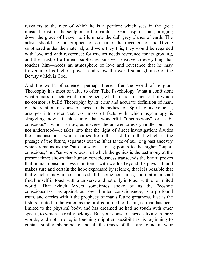revealers to the race of which he is a portion; which sees in the great musical artist, or the sculptor, or the painter, a God-inspired man, bringing down the grace of heaven to illuminate the dull grey planes of earth. The artists should be the prophets of our time, the revealers of the Divine smothered under the material; and were they this, they would be regarded with love and with reverence; for true art needs reverence for its growing, and the artist, of all men—subtle, responsive, sensitive to everything that touches him—needs an atmosphere of love and reverence that he may flower into his highest power, and show the world some glimpse of the Beauty which is God.

And the world of science—perhaps there, after the world of religion, Theosophy has most of value to offer. Take Psychology. What a confusion; what a mass of facts want arrangement; what a chaos of facts out of which no cosmos is built! Theosophy, by its clear and accurate definition of man, of the relation of consciousness to its bodies, of Spirit to its vehicles, arranges into order that vast mass of facts with which psychology is struggling now. It takes into that wonderful "unconscious" or "subconscious"—which is now, as it were, the answer to every riddle; but it is not understood—it takes into that the light of direct investigation; divides the "unconscious" which comes from the past from that which is the presage of the future, separates out the inheritance of our long past ancestry which remains as the "sub-conscious" in us; points to the higher "superconscious," not "sub-conscious," of which the genius is the testimony at the present time; shows that human consciousness transcends the brain; proves that human consciousness is in touch with worlds beyond the physical; and makes sure and certain the hope expressed by science, that it is possible that that which is now unconscious shall become conscious, and that man shall find himself in touch with a universe and not only in touch with one limited world. That which Myers sometimes spoke of as the "cosmic consciousness," as against our own limited consciousness, is a profound truth, and carries with it the prophecy of man's future greatness. Just as the fish is limited to the water, as the bird is limited to the air, so man has been limited to the physical body, and has dreamed he had no touch with other spaces, to which he really belongs. But your consciousness is living in three worlds, and not in one, is touching mightier possibilities, is beginning to contact subtler phenomena; and all the traces of that are found in your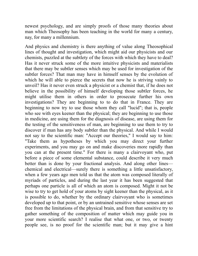newest psychology, and are simply proofs of those many theories about man which Theosophy has been teaching in the world for many a century, nay, for many a millennium.

And physics and chemistry is there anything of value along Theosophical lines of thought and investigation, which might aid our physicists and our chemists, puzzled at the subtlety of the forces with which they have to deal? Has it never struck some of the more intuitive physicists and materialists that there may be subtler senses which may be used for investigation of the subtler forces? That man may have in himself senses by the evolution of which he will able to pierce the secrets that now he is striving vainly to unveil? Has it never even struck a physicist or a chemist that, if he does not believe in the possibility of himself developing those subtler forces, he might utilise them in others in order to prosecute further his own investigations? They are beginning to to do that in France. They are beginning to now try to use those whom they call "lucid"; that is, people who see with eyes keener than the physical; they are beginning to use those in medicine, are using them for the diagnosis of disease, are using them for the testing of the sensitiveness of man, are beginning to use them to try to discover if man has any body subtler than the physical. And while I would not say to the scientific man: "Accept our theories," I would say to him: "Take them as hypotheses by which you may direct your further experiments, and you may go on and make discoveries more rapidly than you can at the present time." For there is many a clairvoyant who, put before a piece of some elemental substance, could describe it very much better than is done by your fractional analysis. And along other lines chemical and electrical—surely there is something a little unsatisfactory, when a few years ago men told us that the atom was composed literally of myriads of particles, and during the last year it has been suggested that perhaps one particle is all of which an atom is composed. Might it not be wise to try to get hold of your atoms by sight keener than the physical, as it is possible to do, whether by the ordinary clairvoyant who is sometimes developed up to that point, or by an untrained sensitive whose senses are set free from the limitations of the physical brain, and from that sensitive try to gather something of the composition of matter which may guide you in your more scientific search? I realise that what one, or two, or twenty people see, is no proof for the scientific man; but it may give a hint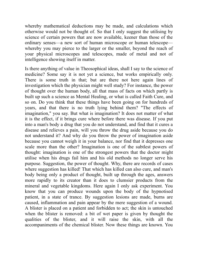whereby mathematical deductions may be made, and calculations which otherwise would not be thought of. So that I only suggest the utilising by science of certain powers that are now available, keener than those of the ordinary senses—a new sort of human microscope or human telescope whereby you may pierce to the larger or the smaller, beyond the reach of your physical microscopes and telescopes, made of metal and not of intelligence showing itself in matter.

Is there anything of value in Theosophical ideas, shall I say to the science of medicine? Some say it is not yet a science, but works empirically only. There is some truth in that; but are there not here again lines of investigation which the physician might well study? For instance, the power of thought over the human body, all that mass of facts on which partly is built up such a science as Mental Healing, or what is called Faith Cure, and so on. Do you think that these things have been going on for hundreds of years, and that there is no truth lying behind them? "The effects of imagination," you say. But what is imagination? It does not matter of what it is the effect, if it brings cure where before there was disease. If you put into a man's body a drug that you do not understand, and find that it cures a disease and relieves a pain, will you throw the drug aside because you do not understand it? And why do you throw the power of imagination aside because you cannot weigh it in your balance, nor find that it depresses one scale more than the other? Imagination is one of the subtlest powers of thought: imagination is one of the strongest powers that the doctor might utilise when his drugs fail him and his old methods no longer serve his purpose. Suggestion, the power of thought. Why, there are records of cases where suggestion has killed! That which has killed can also cure, and man's body being only a product of thought, built up through the ages, answers more rapidly to its creator than it does to clumsier products from the mineral and vegetable kingdoms. Here again I only ask experiment. You know that you can produce wounds upon the body of the hypnotised patient, in a state of trance. By suggestion lesions are made, burns are caused, inflammation and pain appear by the mere suggestion of a wound. A blister is placed on a patient and forbidden to act; the skin is untouched when the blister is removed: a bit of wet paper is given by thought the qualities of the blister, and it will raise the skin, with all the accompaniments of the chemical blister. Now these things are known. You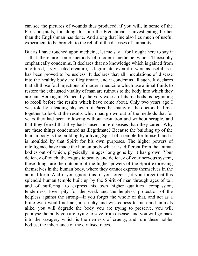can see the pictures of wounds thus produced, if you will, in some of the Paris hospitals, for along this line the Frenchman is investigating further than the Englishman has done. And along that line also lies much of useful experiment to be brought to the relief of the diseases of humanity.

But as I have touched upon medicine, let me say—for I ought here to say it —that there are some methods of modern medicine which Theosophy emphatically condemns. It declares that no knowledge which is gained from a tortured, a vivisected creature, is legitimate, even if it were as useful as it has been proved to be useless. It declares that all inoculations of disease into the healthy body are illegitimate, and it condemns all such. It declares that all those foul injections of modern medicine which use animal fluids to restore the exhausted vitality of man are ruinous to the body into which they are put. Here again France, by the very excess of its methods, is beginning to recoil before the results which have come about. Only two years ago I was told by a leading physician of Paris that many of the doctors had met together to look at the results which had grown out of the methods that for years they had been following without hesitation and without scruple, and that they feared that they had caused more diseases than they cured. Why are these things condemned as illegitimate? Because the building up of the human body is the building by a living Spirit of a temple for himself, and it is moulded by that Spirit for his own purposes. The higher powers of intelligence have made the human body what it is, different from the animal bodies out of which, physically, in ages long gone by, it has grown. Your delicacy of touch, the exquisite beauty and delicacy of your nervous system, these things are the outcome of the higher powers of the Spirit expressing themselves in the human body, where they cannot express themselves in the animal form. And if you ignore this, if you forget it, if you forget that this splendid human temple built up by the Spirit of man through ages of toil and of suffering, to express his own higher qualities—compassion, tenderness, love, pity for the weak and the helpless, protection of the helpless against the strong—if you forget the whole of that, and act as a brute even would not act, in cruelty and wickedness to men and animals alike, you will degrade the body you are trying to preserve, you will paralyse the body you are trying to save from disease, and you will go back into the savagery which is the nemesis of cruelty, and ruin these nobler bodies, the inheritance of the civilised races.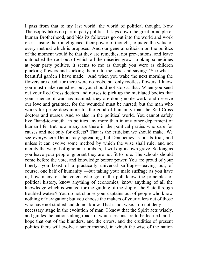I pass from that to my last world, the world of political thought. Now Theosophy takes no part in party politics. It lays down the great principle of human Brotherhood, and bids its followers go out into the world and work on it—using their intelligence, their power of thought, to judge the value of every method which is proposed. And our general criticism on the politics of the moment would be that they are remedies, not preventions, and leave untouched the root out of which all the miseries grow. Looking sometimes at your party politics, it seems to me as though you were as children plucking flowers and sticking them into the sand and saying: "See what a beautiful garden I have made." And when you wake the next morning the flowers are dead, for there were no roots, but only rootless flowers. I know you must make remedies, but you should not stop at that. When you send out your Red Cross doctors and nurses to pick up the mutilated bodies that your science of war has maimed, they are doing noble work, and deserve our love and gratitude, for the wounded must be nursed; but the man who works for peace does more for the good of humanity than the Red Cross doctors and nurses. And so also in the political world. You cannot safely live "hand-to-mouth" in politics any more than in any other department of human life. But how many are there in the political parties who care for causes and not only for effects? That is the criticism we should make. We see everywhere Democracy spreading; but Democracy is on its trial, and unless it can evolve some method by which the wise shall rule, and not merely the weight of ignorant numbers, it will dig its own grave. So long as you leave your people ignorant they are not fit to rule. The schools should come before the vote, and knowledge before power. You are proud of your liberty; you boast of a practically universal suffrage—leaving out, of course, one half of humanity!—but taking your male suffrage as you have it, how many of the voters who go to the poll know the principles of political history, know anything of economics, know anything of all the knowledge which is wanted for the guiding of the ship of the State through troubled waters? You do not choose your captains out of people who know nothing of navigation; but you choose the makers of your rulers out of those who have not studied and do not know. That is not wise. I do not deny it is a necessary stage in the evolution of man. I know that the Spirit acts wisely, and guides the nations along roads in which lessons are to be learned; and I hope that out of the blunders, and the errors, and the crudities of present politics there will evolve a saner method, in which the wise of the nation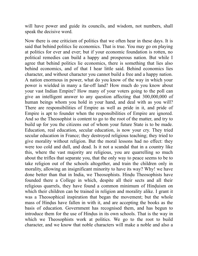will have power and guide its councils, and wisdom, not numbers, shall speak the decisive word.

Now there is one criticism of politics that we often hear in these days. It is said that behind politics lie economics. That is true. You may go on playing at politics for ever and ever; but if your economic foundation is rotten, no political remedies can build a happy and prosperous nation. But while I agree that behind politics lie economics, there is something that lies also behind economics, and of that I hear little said. Behind economics lies character, and without character you cannot build a free and a happy nation. A nation enormous in power, what do you know of the way in which your power is wielded in many a far-off land? How much do you know about your vast Indian Empire? How many of your voters going to the poll can give an intelligent answer to any question affecting that 300,000,000 of human beings whom you hold in your hand, and deal with as you will? There are responsibilities of Empire as well as pride in it, and pride of Empire is apt to founder when the responsibilities of Empire are ignored. And so the Theosophist is content to go to the root of the matter, and try to build up for you the citizens out of whom your future State is to be made. Education, real education, secular education, is now your cry. They tried secular education in France; they destroyed religious teaching; they tried to give morality without religion. But the moral lessons had no effect: they were too cold and dull, and dead. Is it not a scandal that in a country like this, where the vast majority are religious, you are quarrelling so much about the trifles that separate you, that the only way to peace seems to be to take religion out of the schools altogether, and train the children only in morality, allowing an insignificant minority to have its way? Why! we have done better than that in India, we Theosophists. Hindu Theosophists have founded there a College in which, despite all their sects and all their religious quarrels, they have found a common minimum of Hinduism on which their children can be trained in religion and morality alike. I grant it was a Theosophical inspiration that began the movement; but the whole mass of Hindus have fallen in with it, and are accepting the books as the basis of education. Government has recognised them, and has begun to introduce them for the use of Hindus in its own schools. That is the way in which we Theosophists work at politics. We go to the root to build character, and we know that noble characters will make a noble and also a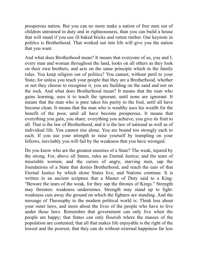prosperous nation. But you can no more make a nation of free men out of children untrained in duty and in righteousness, than you can build a house that will stand if you use ill-baked bricks and rotten timber. Our keynote in politics is Brotherhood. That worked out into life will give you the nation that you want.

And what does Brotherhood mean? It means that everyone of us, you and I, every man and woman throughout the land, looks on all others as they look on their own brothers, and acts on the same principle which in the family rules. You keep religion out of politics? You cannot, without peril to your State; for unless you teach your people that they are a Brotherhood, whether or not they choose to recognise it, you are building on the sand and not on the rock. And what does Brotherhood mean? It means that the man who gains learning, uses it to teach the ignorant, until none are ignorant. It means that the man who is pure takes his purity to the foul, until all have become clean. It means that the man who is wealthy uses his wealth for the benefit of the poor, until all have become prosperous. It means that everything you gain, you share; everything you achieve, you give its fruit to all. That is the law of Brotherhood, and it is the law of national as well as of individual life. You cannot rise alone. You are bound too strongly each to each. If you use your strength to raise yourself by trampling on your fellows, inevitably you will fail by the weakness that you have wronged.

Do you know who are the greatest enemies of a State? The weak, injured by the strong. For, above all States, rules an Eternal Justice; and the tears of miserable women, and the curses of angry, starving men, sap the foundations of a State that denies Brotherhood, and reach the ears of that Eternal Justice by which alone States live, and Nations continue. It is written in an ancient scripture that a Master of Duty said to a King: "Beware the tears of the weak, for they sap the thrones of Kings." Strength may threaten: weakness undermines. Strength may stand up to fight: weakness cuts away the ground on which the fighters are standing. And the message of Theosophy to the modern political world is: Think less about your outer laws, and more about the lives of the people who have to live under those laws. Remember that government can only live when the people are happy; that States can only flourish where the masses of the population are contented; that all that makes life enjoyable is the right of the lowest and the poorest; that they can do without external happiness far less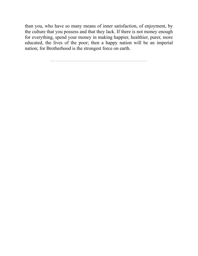than you, who have so many means of inner satisfaction, of enjoyment, by the culture that you possess and that they lack. If there is not money enough for everything, spend your money in making happier, healthier, purer, more educated, the lives of the poor; then a happy nation will be an imperial nation; for Brotherhood is the strongest force on earth.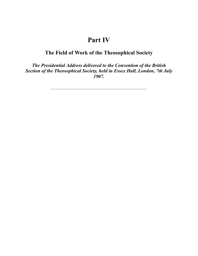## **Part IV**

## **The Field of Work of the Theosophical Society**

*The Presidential Address delivered to the Convention of the British Section of the Theosophical Society, held in Essex Hall, London, 7th July 1907.*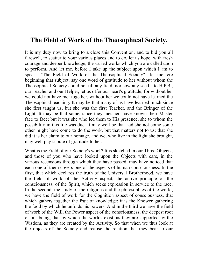## **The Field of Work of the Theosophical Society.**

It is my duty now to bring to a close this Convention, and to bid you all farewell, to scatter to your various places and to do, let us hope, with fresh courage and deeper knowledge, the varied works which you are called upon to perform. And let me, before I take up the subject upon which I am to speak—"The Field of Work of the Theosophical Society"—let me, ere beginning that subject, say one word of gratitude to her without whom the Theosophical Society could not till any field, nor sow any seed—to H.P.B., our Teacher and our Helper, let us offer our heart's gratitude; for without her we could not have met together, without her we could not have learned the Theosophical teaching. It may be that many of us have learned much since she first taught us, but she was the first Teacher, and the Bringer of the Light. It may be that some, since they met her, have known their Master face to face; but it was she who led them to His presence, she to whom the possibility in this life was due. It may well be that had she not come some other might have come to do the work, but that matters not to us; that she did it is her claim to our homage, and we, who live in the light she brought, may well pay tribute of gratitude to her.

What is the Field of our Society's work? It is sketched in our Three Objects; and those of you who have looked upon the Objects with care, in the various recensions through which they have passed, may have noticed that each one of them covers one of the aspects of human consciousness. In the first, that which declares the truth of the Universal Brotherhood, we have the field of work of the Activity aspect, the active principle of the consciousness, of the Spirit, which seeks expression in service to the race. In the second, the study of the religions and the philosophies of the world, we have the field of work for the Cognition aspect of consciousness, that which gathers together the fruit of knowledge; it is the Knower gathering the food by which he unfolds his powers. And in the third we have the field of work of the Will, the Power aspect of the consciousness, the deepest root of our being, that by which the worlds exist, as they are supported by the Wisdom, as they are created by the Activity. So that when we thus look at the objects of the Society and realise the relation that they bear to our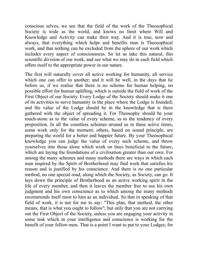conscious selves, we see that the field of the work of the Theosophical Society is wide as the world, and knows no limit where Will and Knowledge and Activity can make their way. And it is true, now and always, that everything which helps and benefits man is Theosophical work, and that nothing can be excluded from the sphere of our work which includes every aspect of consciousness. So let us take this natural, this scientific division of our work, and see what we may do in each field which offers itself to the appropriate power in our nature.

The first will naturally cover all active working for humanity, all service which one can offer to another; and it will be well, in the days that lie before us, if we realise that there is no scheme for human helping, no possible effort for human uplifting, which is outside the field of work of the First Object of our Society. Every Lodge of the Society should make it one of its activities to serve humanity in the place where the Lodge is founded; and the value of the Lodge should be in the knowledge that is there gathered with the object of spreading it. For Theosophy should be your touch-stone as to the value of every scheme, as to the tendency of every proposition. In all the countless schemes around us in these active times, some work only for the moment; others, based on sound principle, are preparing the world for a better and happier future. By your Theosophical knowledge you can judge the value of every such scheme, and throw yourselves into those alone which work on lines beneficial to the future, which are laying the foundations of a civilisation greater than our own. For among the many schemes and many methods there are ways in which each man inspired by the Spirit of Brotherhood may find work that satisfies his reason and is justified by his conscience. And there is no one particular method, no one special road, along which the Society, as Society, can go. It lays down the principle of Brotherhood as an active working spirit in the life of every member, and then it leaves the member free to use his own judgment and his own conscience as to which among the many methods recommends itself most to him as an individual. So that in speaking of that field of work, it is not for me to say: "This plan, that method, the other means, that is what you ought to follow"; but only that you are not carrying out the First Object of the Society, unless you are engaging your activity in some task which in your intelligence and conscience is working for the benefit of your fellow-men. That is a point I want to put to your Lodges; for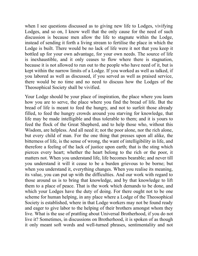when I see questions discussed as to giving new life to Lodges, vivifying Lodges, and so on, I know well that the only cause for the need of such discussion is because men allow the life to stagnate within the Lodge, instead of sending it forth a living stream to fertilise the place in which the Lodge is built. There would be no lack of life were it not that you keep it bottled up for your own advantage, for your own needs. The source of life is inexhaustible, and it only ceases to flow where there is stagnation, because it is not allowed to run out to the people who have need of it, but is kept within the narrow limits of a Lodge. If you worked as well as talked, if you labored as well as discussed, if you served as well as praised service, there would be no time and no need to discuss how the Lodges of the Theosophical Society shall be vivified.

Your Lodge should be your place of inspiration, the place where you learn how you are to serve, the place where you find the bread of life. But the bread of life is meant to feed the hungry, and not to surfeit those already filled, to feed the hungry crowds around you starving for knowledge, that life may be made intelligible and thus tolerable to them; and it is yours to feed the flock of the Great Shepherd, and to help those who, without this Wisdom, are helpless. And all need it; not the poor alone, nor the rich alone, but every child of man. For the one thing that presses upon all alike, the bitterness of life, is the sense of wrong, the want of intelligibility in life, and therefore a feeling of the lack of justice upon earth; that is the sting which pierces every heart; whether the heart belong to the rich or the poor, it matters not. When you understand life, life becomes bearable; and never till you understand it will it cease to be a burden grievous to be borne; but when you understand it, everything changes. When you realise its meaning, its value, you can put up with the difficulties. And our work with regard to those around us is to bring that knowledge, and by that knowledge to lift them to a place of peace. That is the work which demands to be done, and which your Lodges have the duty of doing. For there ought not to be one scheme for human helping, in any place where a Lodge of the Theosophical Society is established, where in that Lodge workers may not be found ready and eager to give labor to the helping of their brothers amongst whom they live. What is the use of prattling about Universal Brotherhood, if you do not live it? Sometimes, in discussions on Brotherhood, it is spoken of as though it only meant soft words and well-turned phrases, sentimentality and not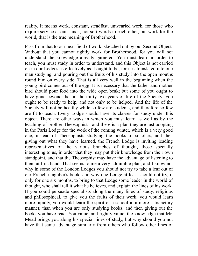reality. It means work, constant, steadfast, unwearied work, for those who require service at our hands; not soft words to each other, but work for the world, that is the true meaning of Brotherhood.

Pass from that to our next field of work, sketched out by our Second Object. Without that you cannot rightly work for Brotherhood, for you will not understand the knowledge already garnered. You must learn in order to teach, you must study in order to understand, and this Object is not carried on in our Lodges as effectively as it ought to be; for it is translated into one man studying, and pouring out the fruits of his study into the open mouths round him on every side. That is all very well in the beginning when the young bird comes out of the egg. It is necessary that the father and mother bird should pour food into the wide open beak; but some of you ought to have gone beyond that in the thirty-two years of life of the Society: you ought to be ready to help, and not only to be helped. And the life of the Society will not be healthy while so few are students, and therefore so few are fit to teach. Every Lodge should have its classes for study under this object. There are other ways in which you must learn as well as by the teaching of brother Theosophists, and there is a plan they are just adopting in the Paris Lodge for the work of the coming winter, which is a very good one; instead of Theosophists studying the books of scholars, and then giving out what they have learned, the French Lodge is inviting leading representatives of the various branches of thought, those specially interesting to us, in order that they may put their knowledge from their own standpoint, and that the Theosophist may have the advantage of listening to them at first hand. That seems to me a very admirable plan, and I know not why in some of the London Lodges you should not try to take a leaf out of our French neighbor's book, and why one Lodge at least should not try, if only for one six months, to bring to that Lodge some leader in the world of thought, who shall tell it what he believes, and explain the lines of his work. If you could persuade specialists along the many lines of study, religious and philosophical, to give you the fruits of their work, you would learn more rapidly, you would learn the spirit of a school in a more satisfactory manner, than when you are only studying books, and then giving out the books you have read. You value, and rightly value, the knowledge that Mr. Mead brings you along his special lines of study, but why should you not have that same advantage similarly from others who follow other lines of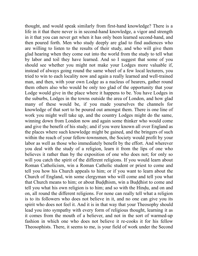thought, and would speak similarly from first-hand knowledge? There is a life in it that there never is in second-hand knowledge, a vigor and strength in it that you can never get when it has only been learned second-hand, and then poured forth. Men who study deeply are glad to find audiences who are willing to listen to the results of their study, and who will give them glad hearing when they come out into the world from the study to tell what by labor and toil they have learned. And so I suggest that some of you should see whether you might not make your Lodges more valuable if, instead of always going round the same wheel of a few local lecturers, you tried to win to each locality now and again a really learned and well-trained man, and then, with your own Lodge as a nucleus of hearers, gather round them others also who would be only too glad of the opportunity that your Lodge would give in the place where it happens to be. You have Lodges in the suburbs, Lodges in the towns outside the area of London, and how glad many of these would be, if you made yourselves the channels for knowledge of that sort to be poured out amongst them. There is one line of work you might well take up, and the country Lodges might do the same, winning down from London now and again some thinker who would come and give the benefit of his study; and if you were known all over England as the places where such knowledge might be gained, and the bringers of such within the reach of your fellow-townsmen, the Society would profit by your labor as well as those who immediately benefit by the effort. And wherever you deal with the study of a religion, learn it from the lips of one who believes it rather than by the exposition of one who does not; for only so will you catch the spirit of the different religions. If you would learn about Roman Catholicism, win a Roman Catholic student or priest to come and tell you how his Church appeals to him; or if you want to learn about the Church of England, win some clergyman who will come and tell you what that Church means to him; or about Buddhism, win a Buddhist to come and tell you what his own religion is to him; and so with the Hindu, and on and on, all round the different religions. For none can really tell what a religion is to its followers who does not believe in it, and no one can give you its spirit who does not feel it. And it is in that way that your Theosophy should lead you into sympathy with every form of religious thought, learning it as it comes from the mouth of a believer, and not in the sort of warmed-up fashion in which one who does not believe it re-cooks it for his fellow Theosophists. There, it seems to me, is your field of work under the Second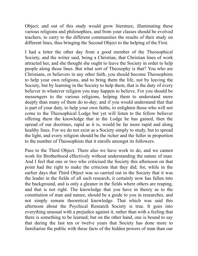Object; and out of this study would grow literature, illuminating these various religions and philosophies, and from your classes should be evolved teachers, to carry to the different communities the results of their study on different lines, thus bringing the Second Object to the helping of the First.

I had a letter the other day from a good member of the Theosophical Society, and the writer said, being a Christian, that Christian lines of work attracted her, and she thought she ought to leave the Society in order to help people along those lines. But what sort of Theosophy is that? You who are Christians, or believers in any other faith, you should become Theosophists to help your own religions, and to bring them the life, not by leaving the Society, but by learning in the Society to help them; that is the duty of every believer in whatever religion you may happen to believe. For you should be messengers to the various religions, helping them to understand more deeply than many of them do to-day; and if you would understand that that is part of your duty, to help your own faiths, to enlighten those who will not come to the Theosophical Lodge but yet will listen to the fellow believer offering them the knowledge that in the Lodge he has gained, then the spread of our doctrines, rapid as it is, would be far more rapid and along healthy lines. For we do not exist as a Society simply to study, but to spread the light, and every religion should be the richer and the fuller in proportion to the number of Theosophists that it enrolls amongst its followers.

Pass to the Third Object. There also we have work to do, and we cannot work for Brotherhood effectively without understanding the nature of man. And I feel that one or two who criticised the Society this afternoon on that point had the right to make the criticism that they did; for, while in the earlier days that Third Object was so carried out in the Society that it was the leader in the fields of all such research, it certainly now has fallen into the background, and is only a gleaner in the fields where others are reaping, and that is not right. The knowledge that you have in theory as to the constitution of man and nature, should be a guide to you in researches, and not simply remain theoretical knowledge. That which was said this afternoon about the Psychical Research Society is true. It goes into everything unusual with a prejudice against it, rather than with a feeling that there is something to be learned; but on the other hand, one is bound to say that during the last ten or twelve years that Society has done more to familiarise the public with these facts of the hidden powers of man than our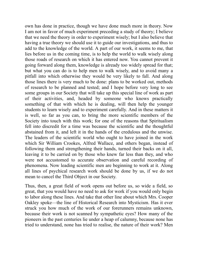own has done in practice, though we have done much more in theory. Now I am not in favor of much experiment preceding a study of theory; I believe that we need the theory in order to experiment wisely; but I also believe that having a true theory we should use it to guide our investigations, and thus to add to the knowledge of the world. A part of our work, it seems to me, that lies before us in the coming time, is to help the world to walk wisely along those roads of research on which it has entered now. You cannot prevent it going forward along them, knowledge is already too widely spread for that; but what you can do is to help men to walk wisely, and to avoid many a pitfall into which otherwise they would be very likely to fall. And along those lines there is very much to be done: plans to be worked out, methods of research to be planned and tested; and I hope before very long to see some groups in our Society that will take up this special line of work as part of their activities, and, headed by someone who knows practically something of that with which he is dealing, will then help the younger students to learn wisely and to experiment carefully. And in these matters it is well, so far as you can, to bring the more scientific members of the Society into touch with this work; for one of the reasons that Spiritualism fell into discredit for a time was because the scientific and the thoughtful abstained from it, and left it in the hands of the credulous and the unwise. The leaders of the scientific world who ought to have joined in the work which Sir William Crookes, Alfred Wallace, and others began, instead of following them and strengthening their hands, turned their backs on it all, leaving it to be carried on by those who knew far less than they, and who were not accustomed to accurate observation and careful recording of phenomena. Now leading scientific men are beginning to work at it. Along all lines of psychical research work should be done by us, if we do not mean to cancel the Third Object in our Society.

Thus, then, a great field of work opens out before us, so wide a field, so great, that you would have no need to ask for work if you would only begin to labor along these lines. And take that other line about which Mrs. Cooper Oakley spoke—the line of Historical Research into Mysticism. Has it ever struck you how much of the work of our forerunners remains unknown, because their work is not scanned by sympathetic eyes? How many of the pioneers in the past centuries lie under a heap of calumny, because none has tried to understand, none has tried to realise, the nature of their work? Men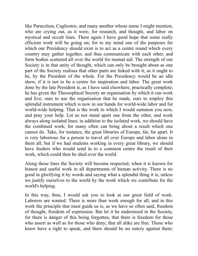like Paracelsus, Cagliostro, and many another whose name I might mention, who are crying out, as it were, for research, and thought, and labor on mystical and occult lines. There again I have good hope that some really efficient work will be going on; for to my mind one of the purposes for which our Presidency should exist is to act as a centre round which every country may gather together, and thus communicate with each other, and form bodies scattered all over the world for mutual aid. The strength of our Society is in that unity of thought, which can only be brought about as one part of the Society realises that other parts are linked with it, as it ought to be, by the President of the whole. For the Presidency would be an idle show, if it is not to be a centre for inspiration and labor. The great work done by the late President is, as I have said elsewhere, practically complete; he has given the Theosophical Society an organisation by which it can work and live; ours to use the organisation that he made, ours to employ this splendid instrument which is now in our hands for world-wide labor and for world-wide helping. That is the work to which I would summon you now, and pray your help. Let us not stand apart one from the other, and work always along isolated lines; in addition to the isolated work, we should have the combined work; for many often can bring about a result which one cannot do. Take, for instance, the great libraries of Europe, far, far apart. It is very laborious for a person to travel all over Europe and labor alone in them all; but if we had students working in every great library, we should have feeders who would send in to a common centre the result of their work, which could then be shed over the world.

Along those lines the Society will become respected, when it is known for honest and useful work in all departments of human activity. There is no good in glorifying it by words and saying what a splendid thing it is, unless we justify ourselves to the world by the work which we contribute for the world's helping.

In this way, then, I would ask you to look at our great field of work. Laborers are wanted. There is more than work enough for all, and in this work the principle that must guide us is, as we have so often said, freedom of thought, freedom of expression. But let it be understood in the Society, for there is danger of this being forgotten, that there is freedom for those who assert as well as for those who deny; that all alike are free. Those who know have a right to speak, and there should be no outcry against them;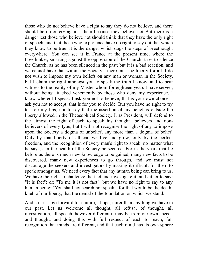those who do not believe have a right to say they do not believe, and there should be no outcry against them because they believe not But there is a danger lest those who believe not should think that they have the only right of speech, and that those who experience have no right to say out that which they know to be true. It is the danger which dogs the steps of Freethought everywhere. You can see it in France at the present time, where the Freethinker, smarting against the oppression of the Church, tries to silence the Church, as he has been silenced in the past; but it is a bad reaction, and we cannot have that within the Society—there must be liberty for all. I do not wish to impose my own beliefs on any man or woman in the Society, but I claim the right amongst you to speak the truth I know, and to bear witness to the reality of my Master whom for eighteen years I have served, without being attacked vehemently by those who deny my experience. I know whereof I speak. I ask you not to believe; that is your own choice. I ask you not to accept; that is for you to decide. But you have no right to try to stop my lips, nor to say that the assertion of my belief is outside the liberty allowed in the Theosophical Society. I, as President, will defend to the utmost the right of each to speak his thought—believers and nonbelievers of every type; but I will not recognise the right of any to impose upon the Society a dogma of unbelief, any more than a dogma of belief. Only by that liberty of all can we live and grow; only by the perfect freedom, and the recognition of every man's right to speak, no matter what he says, can the health of the Society be secured. For in the years that lie before us there is much new knowledge to be gained, many new facts to be discovered, many new experiences to go through, and we must not discourage the seekers and investigators by making it difficult for them to speak amongst us. We need every fact that any human being can bring to us. We have the right to challenge the fact and investigate it, and either to say: "It is fact"; or: "To me it is not fact"; but we have no right to say to any human being: "You shall not search nor speak," for that would be the deathknell of our liberty, that the denial of the foundation on which we stand.

And so let us go forward to a future, I hope, fairer than anything we have in our past. Let us welcome all thought, all refusal of thought, all investigation, all speech, however different it may be from our own speech and thought, and doing this with full respect of each for each, full recognition that minds are different, and that each mind has its own sphere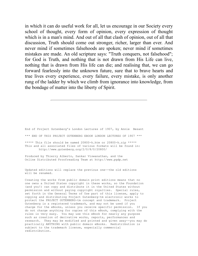in which it can do useful work for all, let us encourage in our Society every school of thought, every form of opinion, every expression of thought which is in a man's mind. And out of all that clash of opinion, out of all that discussion, Truth should come out stronger, richer, larger than ever. And never mind if sometimes falsehoods are spoken; never mind if sometimes mistakes are made. An old scripture says: "Truth conquers, not falsehood"; for God is Truth, and nothing that is not drawn from His Life can live, nothing that is drawn from His life can die; and realising that, we can go forward fearlessly into the unknown future, sure that to brave hearts and true lives every experience, every failure, every mistake, is only another rung of the ladder by which we climb from ignorance into knowledge, from the bondage of matter into the liberty of Spirit.

End of Project Gutenberg's London Lectures of 1907, by Annie Besant \*\*\* END OF THIS PROJECT GUTENBERG EBOOK LONDON LECTURES OF 1907 \*\*\*

\*\*\*\*\* This file should be named 20800-h.htm or 20800-h.zip \*\*\*\*\* This and all associated files of various formats will be found in: http://www.gutenberg.org/2/0/8/0/20800/

Produced by Thierry Alberto, Sankar Viswanathan, and the Online Distributed Proofreading Team at http://www.pgdp.net

Updated editions will replace the previous one--the old editions will be renamed.

Creating the works from public domain print editions means that no one owns a United States copyright in these works, so the Foundation (and you!) can copy and distribute it in the United States without permission and without paying copyright royalties. Special rules, set forth in the General Terms of Use part of this license, apply to copying and distributing Project Gutenberg-tm electronic works to protect the PROJECT GUTENBERG-tm concept and trademark. Project Gutenberg is a registered trademark, and may not be used if you charge for the eBooks, unless you receive specific permission. If you do not charge anything for copies of this eBook, complying with the rules is very easy. You may use this eBook for nearly any purpose such as creation of derivative works, reports, performances and research. They may be modified and printed and given away--you may do practically ANYTHING with public domain eBooks. Redistribution is subject to the trademark license, especially commercial redistribution.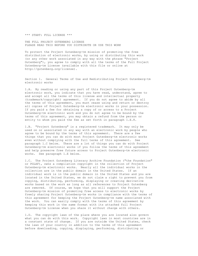\*\*\* START: FULL LICENSE \*\*\*

THE FULL PROJECT GUTENBERG LICENSE PLEASE READ THIS BEFORE YOU DISTRIBUTE OR USE THIS WORK

To protect the Project Gutenberg-tm mission of promoting the free distribution of electronic works, by using or distributing this work (or any other work associated in any way with the phrase "Project Gutenberg"), you agree to comply with all the terms of the Full Project Gutenberg-tm License (available with this file or online at http://gutenberg.org/license).

Section 1. General Terms of Use and Redistributing Project Gutenberg-tm electronic works

1.A. By reading or using any part of this Project Gutenberg-tm electronic work, you indicate that you have read, understand, agree to and accept all the terms of this license and intellectual property (trademark/copyright) agreement. If you do not agree to abide by all the terms of this agreement, you must cease using and return or destroy all copies of Project Gutenberg-tm electronic works in your possession. If you paid a fee for obtaining a copy of or access to a Project Gutenberg-tm electronic work and you do not agree to be bound by the terms of this agreement, you may obtain a refund from the person or entity to whom you paid the fee as set forth in paragraph 1.E.8.

1.B. "Project Gutenberg" is a registered trademark. It may only be used on or associated in any way with an electronic work by people who agree to be bound by the terms of this agreement. There are a few things that you can do with most Project Gutenberg-tm electronic works even without complying with the full terms of this agreement. See paragraph 1.C below. There are a lot of things you can do with Project Gutenberg-tm electronic works if you follow the terms of this agreement and help preserve free future access to Project Gutenberg-tm electronic works. See paragraph 1.E below.

1.C. The Project Gutenberg Literary Archive Foundation ("the Foundation" or PGLAF), owns a compilation copyright in the collection of Project Gutenberg-tm electronic works. Nearly all the individual works in the collection are in the public domain in the United States. If an individual work is in the public domain in the United States and you are located in the United States, we do not claim a right to prevent you from copying, distributing, performing, displaying or creating derivative works based on the work as long as all references to Project Gutenberg are removed. Of course, we hope that you will support the Project Gutenberg-tm mission of promoting free access to electronic works by freely sharing Project Gutenberg-tm works in compliance with the terms of this agreement for keeping the Project Gutenberg-tm name associated with the work. You can easily comply with the terms of this agreement by keeping this work in the same format with its attached full Project Gutenberg-tm License when you share it without charge with others.

1.D. The copyright laws of the place where you are located also govern what you can do with this work. Copyright laws in most countries are in a constant state of change. If you are outside the United States, check the laws of your country in addition to the terms of this agreement before downloading, copying, displaying, performing, distributing or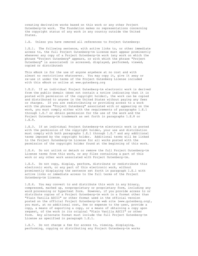creating derivative works based on this work or any other Project Gutenberg-tm work. The Foundation makes no representations concerning the copyright status of any work in any country outside the United States.

1.E. Unless you have removed all references to Project Gutenberg:

1.E.1. The following sentence, with active links to, or other immediate access to, the full Project Gutenberg-tm License must appear prominently whenever any copy of a Project Gutenberg-tm work (any work on which the phrase "Project Gutenberg" appears, or with which the phrase "Project Gutenberg" is associated) is accessed, displayed, performed, viewed, copied or distributed:

This eBook is for the use of anyone anywhere at no cost and with almost no restrictions whatsoever. You may copy it, give it away or re-use it under the terms of the Project Gutenberg License included with this eBook or online at www.gutenberg.org

1.E.2. If an individual Project Gutenberg-tm electronic work is derived from the public domain (does not contain a notice indicating that it is posted with permission of the copyright holder), the work can be copied and distributed to anyone in the United States without paying any fees or charges. If you are redistributing or providing access to a work with the phrase "Project Gutenberg" associated with or appearing on the work, you must comply either with the requirements of paragraphs 1.E.1 through 1.E.7 or obtain permission for the use of the work and the Project Gutenberg-tm trademark as set forth in paragraphs 1.E.8 or 1.E.9.

1.E.3. If an individual Project Gutenberg-tm electronic work is posted with the permission of the copyright holder, your use and distribution must comply with both paragraphs 1.E.1 through 1.E.7 and any additional terms imposed by the copyright holder. Additional terms will be linked to the Project Gutenberg-tm License for all works posted with the permission of the copyright holder found at the beginning of this work.

1.E.4. Do not unlink or detach or remove the full Project Gutenberg-tm License terms from this work, or any files containing a part of this work or any other work associated with Project Gutenberg-tm.

1.E.5. Do not copy, display, perform, distribute or redistribute this electronic work, or any part of this electronic work, without prominently displaying the sentence set forth in paragraph 1.E.1 with active links or immediate access to the full terms of the Project Gutenberg-tm License.

1.E.6. You may convert to and distribute this work in any binary, compressed, marked up, nonproprietary or proprietary form, including any word processing or hypertext form. However, if you provide access to or distribute copies of a Project Gutenberg-tm work in a format other than "Plain Vanilla ASCII" or other format used in the official version posted on the official Project Gutenberg-tm web site (www.gutenberg.org), you must, at no additional cost, fee or expense to the user, provide a copy, a means of exporting a copy, or a means of obtaining a copy upon request, of the work in its original "Plain Vanilla ASCII" or other form. Any alternate format must include the full Project Gutenberg-tm License as specified in paragraph 1.E.1.

1.E.7. Do not charge a fee for access to, viewing, displaying, performing, copying or distributing any Project Gutenberg-tm works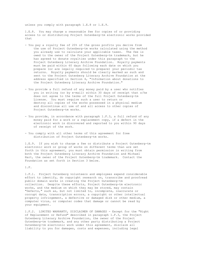unless you comply with paragraph 1.E.8 or 1.E.9.

1.E.8. You may charge a reasonable fee for copies of or providing access to or distributing Project Gutenberg-tm electronic works provided that

- You pay a royalty fee of 20% of the gross profits you derive from the use of Project Gutenberg-tm works calculated using the method you already use to calculate your applicable taxes. The fee is owed to the owner of the Project Gutenberg-tm trademark, but he has agreed to donate royalties under this paragraph to the Project Gutenberg Literary Archive Foundation. Royalty payments must be paid within 60 days following each date on which you prepare (or are legally required to prepare) your periodic tax returns. Royalty payments should be clearly marked as such and sent to the Project Gutenberg Literary Archive Foundation at the address specified in Section 4, "Information about donations to the Project Gutenberg Literary Archive Foundation."
- You provide a full refund of any money paid by a user who notifies you in writing (or by e-mail) within 30 days of receipt that s/he does not agree to the terms of the full Project Gutenberg-tm License. You must require such a user to return or destroy all copies of the works possessed in a physical medium and discontinue all use of and all access to other copies of Project Gutenberg-tm works.
- You provide, in accordance with paragraph 1.F.3, a full refund of any money paid for a work or a replacement copy, if a defect in the electronic work is discovered and reported to you within 90 days of receipt of the work.
- You comply with all other terms of this agreement for free distribution of Project Gutenberg-tm works.

1.E.9. If you wish to charge a fee or distribute a Project Gutenberg-tm electronic work or group of works on different terms than are set forth in this agreement, you must obtain permission in writing from both the Project Gutenberg Literary Archive Foundation and Michael Hart, the owner of the Project Gutenberg-tm trademark. Contact the Foundation as set forth in Section 3 below.

1.F.

1.F.1. Project Gutenberg volunteers and employees expend considerable effort to identify, do copyright research on, transcribe and proofread public domain works in creating the Project Gutenberg-tm collection. Despite these efforts, Project Gutenberg-tm electronic works, and the medium on which they may be stored, may contain "Defects," such as, but not limited to, incomplete, inaccurate or corrupt data, transcription errors, a copyright or other intellectual property infringement, a defective or damaged disk or other medium, a computer virus, or computer codes that damage or cannot be read by your equipment.

1.F.2. LIMITED WARRANTY, DISCLAIMER OF DAMAGES - Except for the "Right of Replacement or Refund" described in paragraph 1.F.3, the Project Gutenberg Literary Archive Foundation, the owner of the Project Gutenberg-tm trademark, and any other party distributing a Project Gutenberg-tm electronic work under this agreement, disclaim all liability to you for damages, costs and expenses, including legal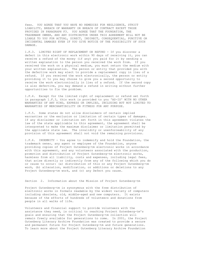fees. YOU AGREE THAT YOU HAVE NO REMEDIES FOR NEGLIGENCE, STRICT LIABILITY, BREACH OF WARRANTY OR BREACH OF CONTRACT EXCEPT THOSE PROVIDED IN PARAGRAPH F3. YOU AGREE THAT THE FOUNDATION, THE TRADEMARK OWNER, AND ANY DISTRIBUTOR UNDER THIS AGREEMENT WILL NOT BE LIABLE TO YOU FOR ACTUAL, DIRECT, INDIRECT, CONSEQUENTIAL, PUNITIVE OR INCIDENTAL DAMAGES EVEN IF YOU GIVE NOTICE OF THE POSSIBILITY OF SUCH DAMAGE.

1.F.3. LIMITED RIGHT OF REPLACEMENT OR REFUND - If you discover a defect in this electronic work within 90 days of receiving it, you can receive a refund of the money (if any) you paid for it by sending a written explanation to the person you received the work from. If you received the work on a physical medium, you must return the medium with your written explanation. The person or entity that provided you with the defective work may elect to provide a replacement copy in lieu of a refund. If you received the work electronically, the person or entity providing it to you may choose to give you a second opportunity to receive the work electronically in lieu of a refund. If the second copy is also defective, you may demand a refund in writing without further opportunities to fix the problem.

1.F.4. Except for the limited right of replacement or refund set forth in paragraph 1.F.3, this work is provided to you 'AS-IS' WITH NO OTHER WARRANTIES OF ANY KIND, EXPRESS OR IMPLIED, INCLUDING BUT NOT LIMITED TO WARRANTIES OF MERCHANTIBILITY OR FITNESS FOR ANY PURPOSE.

1.F.5. Some states do not allow disclaimers of certain implied warranties or the exclusion or limitation of certain types of damages. If any disclaimer or limitation set forth in this agreement violates the law of the state applicable to this agreement, the agreement shall be interpreted to make the maximum disclaimer or limitation permitted by the applicable state law. The invalidity or unenforceability of any provision of this agreement shall not void the remaining provisions.

1.F.6. INDEMNITY - You agree to indemnify and hold the Foundation, the trademark owner, any agent or employee of the Foundation, anyone providing copies of Project Gutenberg-tm electronic works in accordance with this agreement, and any volunteers associated with the production, promotion and distribution of Project Gutenberg-tm electronic works, harmless from all liability, costs and expenses, including legal fees, that arise directly or indirectly from any of the following which you do or cause to occur: (a) distribution of this or any Project Gutenberg-tm work, (b) alteration, modification, or additions or deletions to any Project Gutenberg-tm work, and (c) any Defect you cause.

Section 2. Information about the Mission of Project Gutenberg-tm

Project Gutenberg-tm is synonymous with the free distribution of electronic works in formats readable by the widest variety of computers including obsolete, old, middle-aged and new computers. It exists because of the efforts of hundreds of volunteers and donations from people in all walks of life.

Volunteers and financial support to provide volunteers with the assistance they need, is critical to reaching Project Gutenberg-tm's goals and ensuring that the Project Gutenberg-tm collection will remain freely available for generations to come. In 2001, the Project Gutenberg Literary Archive Foundation was created to provide a secure and permanent future for Project Gutenberg-tm and future generations. To learn more about the Project Gutenberg Literary Archive Foundation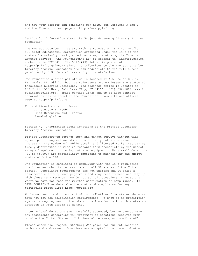and how your efforts and donations can help, see Sections 3 and 4 and the Foundation web page at http://www.pglaf.org.

Section 3. Information about the Project Gutenberg Literary Archive Foundation

The Project Gutenberg Literary Archive Foundation is a non profit 501(c)(3) educational corporation organized under the laws of the state of Mississippi and granted tax exempt status by the Internal Revenue Service. The Foundation's EIN or federal tax identification number is 64-6221541. Its 501(c)(3) letter is posted at http://pglaf.org/fundraising. Contributions to the Project Gutenberg Literary Archive Foundation are tax deductible to the full extent permitted by U.S. federal laws and your state's laws.

The Foundation's principal office is located at 4557 Melan Dr. S. Fairbanks, AK, 99712., but its volunteers and employees are scattered throughout numerous locations. Its business office is located at 809 North 1500 West, Salt Lake City, UT 84116, (801) 596-1887, email business@pglaf.org. Email contact links and up to date contact information can be found at the Foundation's web site and official page at http://pglaf.org

For additional contact information: Dr. Gregory B. Newby Chief Executive and Director gbnewby@pglaf.org

Section 4. Information about Donations to the Project Gutenberg Literary Archive Foundation

Project Gutenberg-tm depends upon and cannot survive without wide spread public support and donations to carry out its mission of increasing the number of public domain and licensed works that can be freely distributed in machine readable form accessible by the widest array of equipment including outdated equipment. Many small donations (\$1 to \$5,000) are particularly important to maintaining tax exempt status with the IRS.

The Foundation is committed to complying with the laws regulating charities and charitable donations in all 50 states of the United States. Compliance requirements are not uniform and it takes a considerable effort, much paperwork and many fees to meet and keep up with these requirements. We do not solicit donations in locations where we have not received written confirmation of compliance. To SEND DONATIONS or determine the status of compliance for any particular state visit http://pglaf.org

While we cannot and do not solicit contributions from states where we have not met the solicitation requirements, we know of no prohibition against accepting unsolicited donations from donors in such states who approach us with offers to donate.

International donations are gratefully accepted, but we cannot make any statements concerning tax treatment of donations received from outside the United States. U.S. laws alone swamp our small staff.

Please check the Project Gutenberg Web pages for current donation methods and addresses. Donations are accepted in a number of other